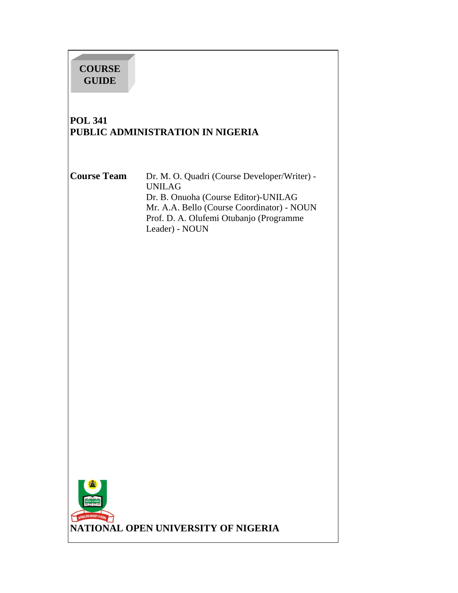# **COURSE GUIDE**

# **POL 341 PUBLIC ADMINISTRATION IN NIGERIA**

**Course Team** Dr. M. O. Quadri (Course Developer/Writer) - UNILAG Dr. B. Onuoha (Course Editor)-UNILAG Mr. A.A. Bello (Course Coordinator) - NOUN Prof. D. A. Olufemi Otubanjo (Programme Leader) - NOUN

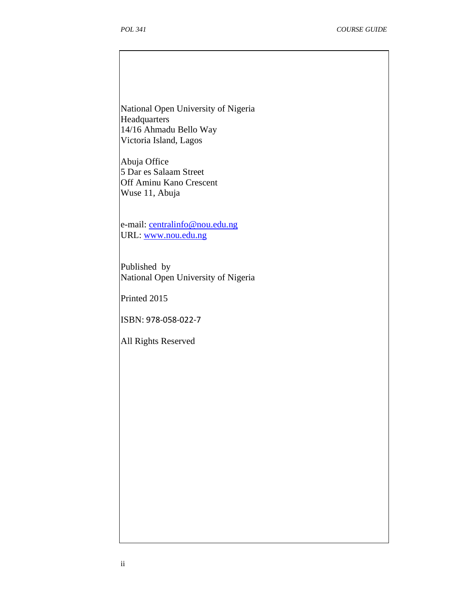National Open University of Nigeria Headquarters 14/16 Ahmadu Bello Way Victoria Island, Lagos

Abuja Office 5 Dar es Salaam Street Off Aminu Kano Crescent Wuse 11, Abuja

e-mail: centralinfo@nou.edu.ng URL: www.nou.edu.ng

Published by National Open University of Nigeria

Printed 2015

ISBN: 978-058-022-7

All Rights Reserved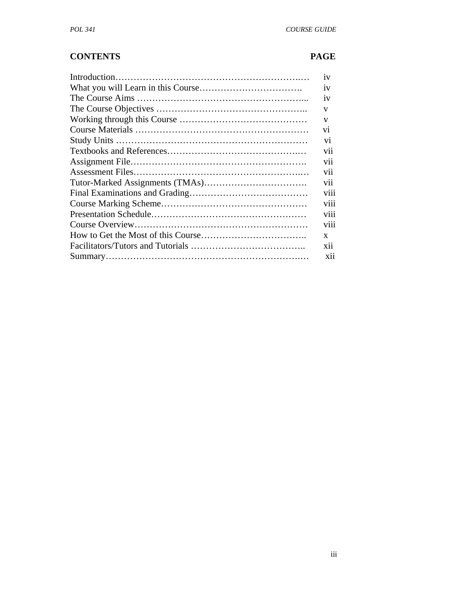## **CONTENTS PAGE**

| 1V              |
|-----------------|
| 1V              |
| 1V              |
| v               |
| V               |
| V <sub>1</sub>  |
| V1              |
| V11             |
| V11             |
| V11             |
| vii             |
| V111            |
| V111            |
| V111            |
| V <sub>11</sub> |
| X               |
| <b>X11</b>      |
| <b>X11</b>      |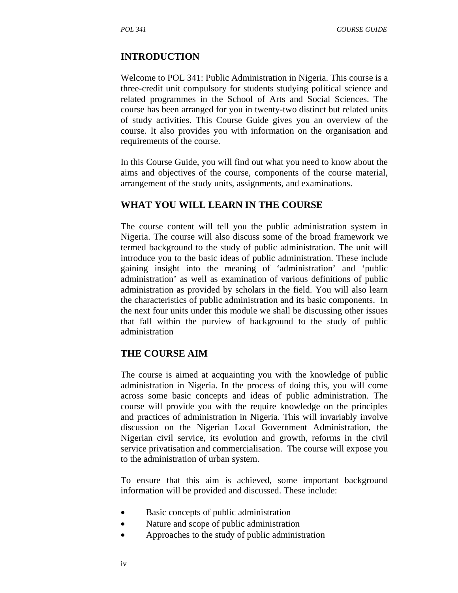## **INTRODUCTION**

Welcome to POL 341: Public Administration in Nigeria. This course is a three-credit unit compulsory for students studying political science and related programmes in the School of Arts and Social Sciences. The course has been arranged for you in twenty-two distinct but related units of study activities. This Course Guide gives you an overview of the course. It also provides you with information on the organisation and requirements of the course.

In this Course Guide, you will find out what you need to know about the aims and objectives of the course, components of the course material, arrangement of the study units, assignments, and examinations.

## **WHAT YOU WILL LEARN IN THE COURSE**

The course content will tell you the public administration system in Nigeria. The course will also discuss some of the broad framework we termed background to the study of public administration. The unit will introduce you to the basic ideas of public administration. These include gaining insight into the meaning of 'administration' and 'public administration' as well as examination of various definitions of public administration as provided by scholars in the field. You will also learn the characteristics of public administration and its basic components. In the next four units under this module we shall be discussing other issues that fall within the purview of background to the study of public administration

## **THE COURSE AIM**

The course is aimed at acquainting you with the knowledge of public administration in Nigeria. In the process of doing this, you will come across some basic concepts and ideas of public administration. The course will provide you with the require knowledge on the principles and practices of administration in Nigeria. This will invariably involve discussion on the Nigerian Local Government Administration, the Nigerian civil service, its evolution and growth, reforms in the civil service privatisation and commercialisation. The course will expose you to the administration of urban system.

To ensure that this aim is achieved, some important background information will be provided and discussed. These include:

- Basic concepts of public administration
- Nature and scope of public administration
- Approaches to the study of public administration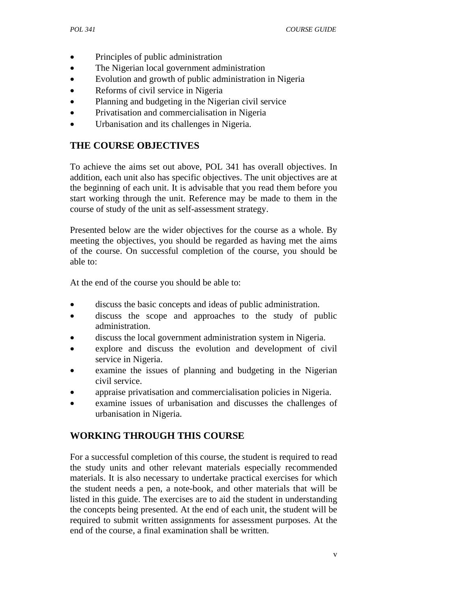- Principles of public administration
- The Nigerian local government administration
- Evolution and growth of public administration in Nigeria
- Reforms of civil service in Nigeria
- Planning and budgeting in the Nigerian civil service
- Privatisation and commercialisation in Nigeria
- Urbanisation and its challenges in Nigeria.

# **THE COURSE OBJECTIVES**

To achieve the aims set out above, POL 341 has overall objectives. In addition, each unit also has specific objectives. The unit objectives are at the beginning of each unit. It is advisable that you read them before you start working through the unit. Reference may be made to them in the course of study of the unit as self-assessment strategy.

Presented below are the wider objectives for the course as a whole. By meeting the objectives, you should be regarded as having met the aims of the course. On successful completion of the course, you should be able to:

At the end of the course you should be able to:

- discuss the basic concepts and ideas of public administration.
- discuss the scope and approaches to the study of public administration.
- discuss the local government administration system in Nigeria.
- explore and discuss the evolution and development of civil service in Nigeria.
- examine the issues of planning and budgeting in the Nigerian civil service.
- appraise privatisation and commercialisation policies in Nigeria.
- examine issues of urbanisation and discusses the challenges of urbanisation in Nigeria.

# **WORKING THROUGH THIS COURSE**

For a successful completion of this course, the student is required to read the study units and other relevant materials especially recommended materials. It is also necessary to undertake practical exercises for which the student needs a pen, a note-book, and other materials that will be listed in this guide. The exercises are to aid the student in understanding the concepts being presented. At the end of each unit, the student will be required to submit written assignments for assessment purposes. At the end of the course, a final examination shall be written.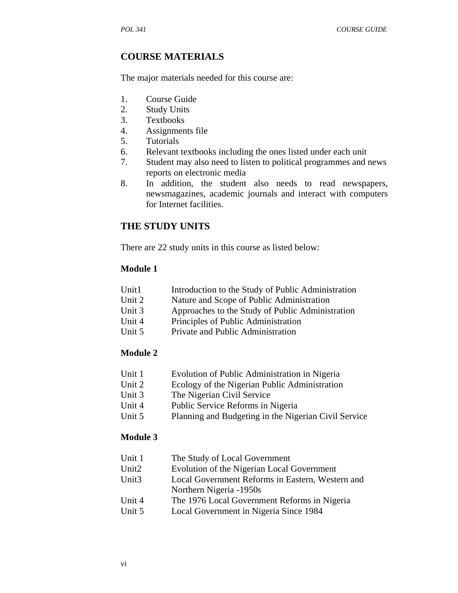## **COURSE MATERIALS**

The major materials needed for this course are:

- 1. Course Guide
- 2. Study Units
- 3. Textbooks
- 4. Assignments file
- 5. Tutorials
- 6. Relevant textbooks including the ones listed under each unit
- 7. Student may also need to listen to political programmes and news reports on electronic media
- 8. In addition, the student also needs to read newspapers, newsmagazines, academic journals and interact with computers for Internet facilities.

## **THE STUDY UNITS**

There are 22 study units in this course as listed below:

#### **Module 1**

| Unit1 | Introduction to the Study of Public Administration |
|-------|----------------------------------------------------|
|       |                                                    |

- Unit 2 Nature and Scope of Public Administration
- Unit 3 Approaches to the Study of Public Administration
- Unit 4 Principles of Public Administration
- Unit 5 Private and Public Administration

#### **Module 2**

- Unit 1 Evolution of Public Administration in Nigeria
- Unit 2 Ecology of the Nigerian Public Administration
- Unit 3 The Nigerian Civil Service
- Unit 4 Public Service Reforms in Nigeria
- Unit 5 Planning and Budgeting in the Nigerian Civil Service

#### **Module 3**

| Unit 1            | The Study of Local Government                    |  |  |
|-------------------|--------------------------------------------------|--|--|
| Unit <sub>2</sub> | Evolution of the Nigerian Local Government       |  |  |
| Unit <sub>3</sub> | Local Government Reforms in Eastern, Western and |  |  |
|                   | Northern Nigeria -1950s                          |  |  |
| Unit 4            | The 1976 Local Government Reforms in Nigeria     |  |  |
| Unit 5            | Local Government in Nigeria Since 1984           |  |  |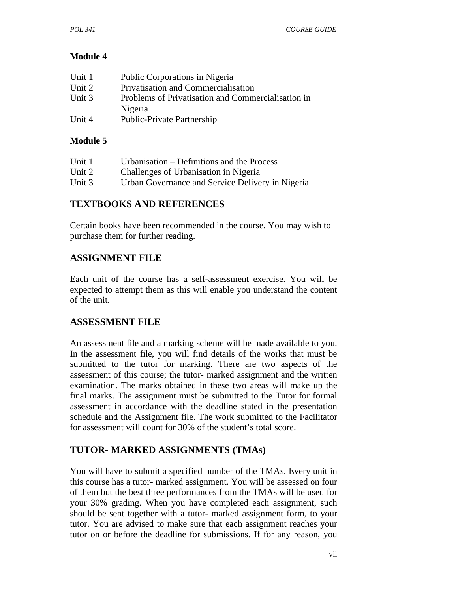## **Module 4**

| Unit 1 | Public Corporations in Nigeria                     |
|--------|----------------------------------------------------|
| Unit 2 | Privatisation and Commercialisation                |
| Unit 3 | Problems of Privatisation and Commercialisation in |
|        | Nigeria                                            |
| Unit 4 | Public-Private Partnership                         |

#### **Module 5**

| Unit 1 | Urbanisation – Definitions and the Process       |
|--------|--------------------------------------------------|
| Unit 2 | Challenges of Urbanisation in Nigeria            |
| Unit 3 | Urban Governance and Service Delivery in Nigeria |

## **TEXTBOOKS AND REFERENCES**

Certain books have been recommended in the course. You may wish to purchase them for further reading.

## **ASSIGNMENT FILE**

Each unit of the course has a self-assessment exercise. You will be expected to attempt them as this will enable you understand the content of the unit.

## **ASSESSMENT FILE**

An assessment file and a marking scheme will be made available to you. In the assessment file, you will find details of the works that must be submitted to the tutor for marking. There are two aspects of the assessment of this course; the tutor- marked assignment and the written examination. The marks obtained in these two areas will make up the final marks. The assignment must be submitted to the Tutor for formal assessment in accordance with the deadline stated in the presentation schedule and the Assignment file. The work submitted to the Facilitator for assessment will count for 30% of the student's total score.

## **TUTOR- MARKED ASSIGNMENTS (TMAs)**

You will have to submit a specified number of the TMAs. Every unit in this course has a tutor- marked assignment. You will be assessed on four of them but the best three performances from the TMAs will be used for your 30% grading. When you have completed each assignment, such should be sent together with a tutor- marked assignment form, to your tutor. You are advised to make sure that each assignment reaches your tutor on or before the deadline for submissions. If for any reason, you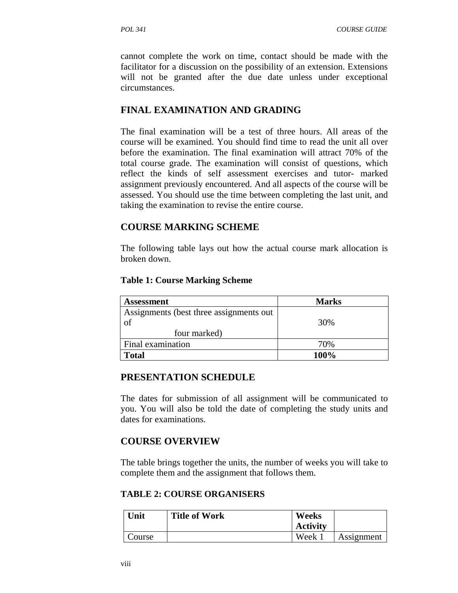cannot complete the work on time, contact should be made with the facilitator for a discussion on the possibility of an extension. Extensions will not be granted after the due date unless under exceptional circumstances.

## **FINAL EXAMINATION AND GRADING**

The final examination will be a test of three hours. All areas of the course will be examined. You should find time to read the unit all over before the examination. The final examination will attract 70% of the total course grade. The examination will consist of questions, which reflect the kinds of self assessment exercises and tutor- marked assignment previously encountered. And all aspects of the course will be assessed. You should use the time between completing the last unit, and taking the examination to revise the entire course.

## **COURSE MARKING SCHEME**

The following table lays out how the actual course mark allocation is broken down.

#### **Table 1: Course Marking Scheme**

| <b>Assessment</b>                        | <b>Marks</b> |  |
|------------------------------------------|--------------|--|
| Assignments (best three assignments out) |              |  |
| of                                       | 30%          |  |
| four marked)                             |              |  |
| Final examination                        | 70%          |  |
| <b>Total</b>                             | 100%         |  |

## **PRESENTATION SCHEDULE**

The dates for submission of all assignment will be communicated to you. You will also be told the date of completing the study units and dates for examinations.

## **COURSE OVERVIEW**

The table brings together the units, the number of weeks you will take to complete them and the assignment that follows them.

#### **TABLE 2: COURSE ORGANISERS**

| Unit   | <b>Title of Work</b> | Weeks           |            |
|--------|----------------------|-----------------|------------|
|        |                      | <b>Activity</b> |            |
| Course |                      | Week :          | Assignment |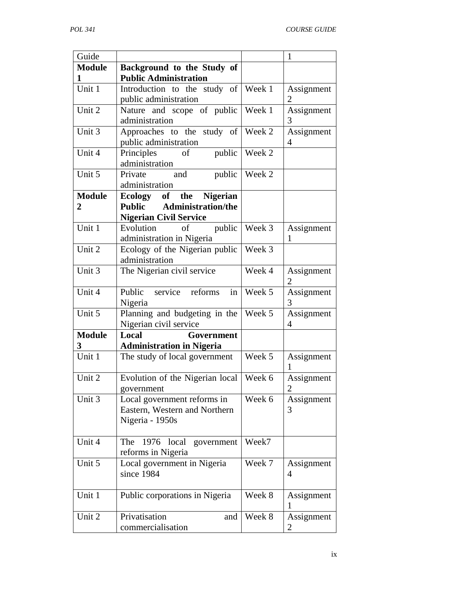| Guide          |                                                      |                 | $\mathbf{1}$   |
|----------------|------------------------------------------------------|-----------------|----------------|
| <b>Module</b>  | Background to the Study of                           |                 |                |
| 1              | <b>Public Administration</b>                         |                 |                |
| Unit 1         | Introduction to the study of $\sqrt{\text{ week 1}}$ |                 | Assignment     |
|                | public administration                                |                 | 2              |
| Unit 2         | Nature and scope of public                           | Week 1          | Assignment     |
|                | administration                                       |                 | 3              |
| Unit 3         | Approaches to the study of Week 2                    |                 | Assignment     |
|                | public administration                                |                 | 4              |
| Unit 4         | <sub>of</sub><br>Principles                          | public   Week 2 |                |
|                | administration                                       |                 |                |
| Unit 5         | and<br>public<br>Private                             | Week 2          |                |
|                | administration                                       |                 |                |
| <b>Module</b>  | Ecology of the Nigerian                              |                 |                |
| $\overline{2}$ | <b>Administration/the</b><br><b>Public</b>           |                 |                |
|                | <b>Nigerian Civil Service</b>                        |                 |                |
| Unit 1         | public<br>Evolution<br>of                            | Week 3          | Assignment     |
|                | administration in Nigeria                            |                 | 1              |
| Unit 2         | Ecology of the Nigerian public                       | Week 3          |                |
|                | administration                                       |                 |                |
| Unit 3         | The Nigerian civil service                           | Week 4          | Assignment     |
|                |                                                      |                 | $\overline{2}$ |
| Unit 4         | in<br>Public service reforms                         | Week 5          | Assignment     |
|                | Nigeria                                              |                 | 3              |
| Unit 5         | Planning and budgeting in the                        | Week 5          | Assignment     |
|                | Nigerian civil service                               |                 | 4              |
| <b>Module</b>  | Local<br>Government                                  |                 |                |
| 3              | <b>Administration in Nigeria</b>                     |                 |                |
| Unit 1         | The study of local government                        | Week 5          | Assignment     |
|                |                                                      |                 |                |
| Unit 2         | Evolution of the Nigerian local                      | Week 6          | Assignment     |
|                | government                                           |                 | $\overline{2}$ |
| Unit 3         | Local government reforms in                          | Week 6          | Assignment     |
|                | Eastern, Western and Northern                        |                 | 3              |
|                | Nigeria - 1950s                                      |                 |                |
|                |                                                      |                 |                |
| Unit 4         | The<br>1976<br>local<br>government                   | Week7           |                |
|                | reforms in Nigeria                                   |                 |                |
| Unit 5         | Local government in Nigeria                          | Week 7          | Assignment     |
|                | since 1984                                           |                 | 4              |
|                |                                                      |                 |                |
| Unit 1         | Public corporations in Nigeria                       | Week 8          | Assignment     |
|                |                                                      |                 | 1              |
| Unit 2         | Privatisation<br>and                                 | Week 8          | Assignment     |
|                | commercialisation                                    |                 | 2              |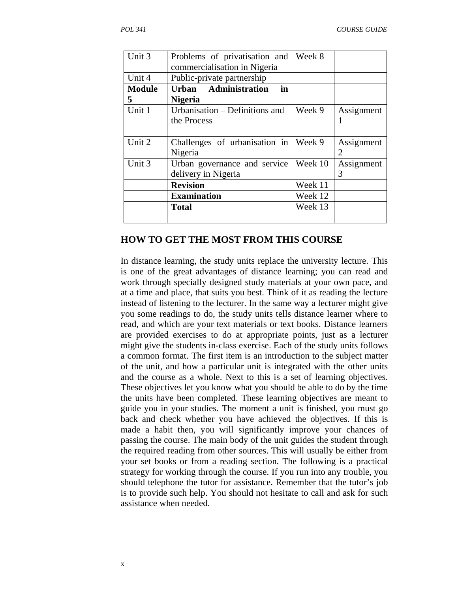| Unit 3        | Problems of privatisation and<br>commercialisation in Nigeria | Week 8  |                       |
|---------------|---------------------------------------------------------------|---------|-----------------------|
| Unit 4        | Public-private partnership                                    |         |                       |
| <b>Module</b> | Urban Administration<br>in                                    |         |                       |
| 5             | <b>Nigeria</b>                                                |         |                       |
| Unit 1        | Urbanisation – Definitions and                                | Week 9  | Assignment            |
|               | the Process                                                   |         |                       |
|               |                                                               |         |                       |
| Unit 2        | Challenges of urbanisation in                                 | Week 9  | Assignment            |
|               | Nigeria                                                       |         | $\mathcal{D}_{\cdot}$ |
| Unit 3        | Urban governance and service                                  | Week 10 | Assignment            |
|               | delivery in Nigeria                                           |         | 3                     |
|               | <b>Revision</b>                                               | Week 11 |                       |
|               | <b>Examination</b>                                            | Week 12 |                       |
|               | <b>Total</b>                                                  | Week 13 |                       |
|               |                                                               |         |                       |

#### **HOW TO GET THE MOST FROM THIS COURSE**

In distance learning, the study units replace the university lecture. This is one of the great advantages of distance learning; you can read and work through specially designed study materials at your own pace, and at a time and place, that suits you best. Think of it as reading the lecture instead of listening to the lecturer. In the same way a lecturer might give you some readings to do, the study units tells distance learner where to read, and which are your text materials or text books. Distance learners are provided exercises to do at appropriate points, just as a lecturer might give the students in-class exercise. Each of the study units follows a common format. The first item is an introduction to the subject matter of the unit, and how a particular unit is integrated with the other units and the course as a whole. Next to this is a set of learning objectives. These objectives let you know what you should be able to do by the time the units have been completed. These learning objectives are meant to guide you in your studies. The moment a unit is finished, you must go back and check whether you have achieved the objectives. If this is made a habit then, you will significantly improve your chances of passing the course. The main body of the unit guides the student through the required reading from other sources. This will usually be either from your set books or from a reading section. The following is a practical strategy for working through the course. If you run into any trouble, you should telephone the tutor for assistance. Remember that the tutor's job is to provide such help. You should not hesitate to call and ask for such assistance when needed.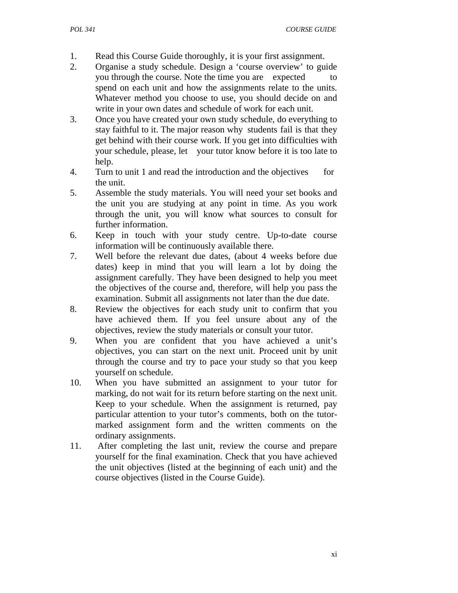- 1. Read this Course Guide thoroughly, it is your first assignment.
- 2. Organise a study schedule. Design a 'course overview' to guide you through the course. Note the time you are expected to spend on each unit and how the assignments relate to the units. Whatever method you choose to use, you should decide on and write in your own dates and schedule of work for each unit.
- 3. Once you have created your own study schedule, do everything to stay faithful to it. The major reason why students fail is that they get behind with their course work. If you get into difficulties with your schedule, please, let your tutor know before it is too late to help.
- 4. Turn to unit 1 and read the introduction and the objectives for the unit.
- 5. Assemble the study materials. You will need your set books and the unit you are studying at any point in time. As you work through the unit, you will know what sources to consult for further information.
- 6. Keep in touch with your study centre. Up-to-date course information will be continuously available there.
- 7. Well before the relevant due dates, (about 4 weeks before due dates) keep in mind that you will learn a lot by doing the assignment carefully. They have been designed to help you meet the objectives of the course and, therefore, will help you pass the examination. Submit all assignments not later than the due date.
- 8. Review the objectives for each study unit to confirm that you have achieved them. If you feel unsure about any of the objectives, review the study materials or consult your tutor.
- 9. When you are confident that you have achieved a unit's objectives, you can start on the next unit. Proceed unit by unit through the course and try to pace your study so that you keep yourself on schedule.
- 10. When you have submitted an assignment to your tutor for marking, do not wait for its return before starting on the next unit. Keep to your schedule. When the assignment is returned, pay particular attention to your tutor's comments, both on the tutormarked assignment form and the written comments on the ordinary assignments.
- 11. After completing the last unit, review the course and prepare yourself for the final examination. Check that you have achieved the unit objectives (listed at the beginning of each unit) and the course objectives (listed in the Course Guide).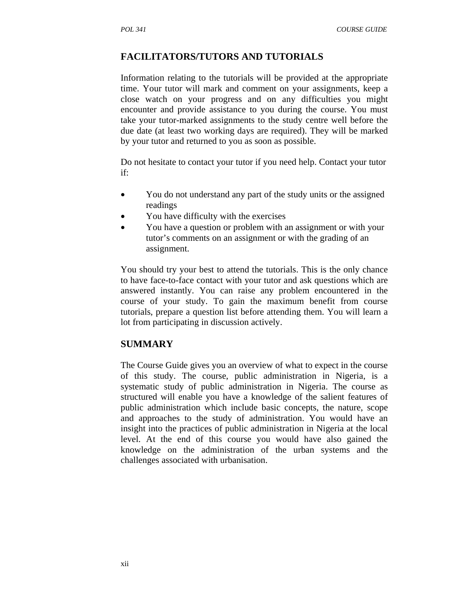## **FACILITATORS/TUTORS AND TUTORIALS**

Information relating to the tutorials will be provided at the appropriate time. Your tutor will mark and comment on your assignments, keep a close watch on your progress and on any difficulties you might encounter and provide assistance to you during the course. You must take your tutor-marked assignments to the study centre well before the due date (at least two working days are required). They will be marked by your tutor and returned to you as soon as possible.

Do not hesitate to contact your tutor if you need help. Contact your tutor if:

- You do not understand any part of the study units or the assigned readings
- You have difficulty with the exercises
- You have a question or problem with an assignment or with your tutor's comments on an assignment or with the grading of an assignment.

You should try your best to attend the tutorials. This is the only chance to have face-to-face contact with your tutor and ask questions which are answered instantly. You can raise any problem encountered in the course of your study. To gain the maximum benefit from course tutorials, prepare a question list before attending them. You will learn a lot from participating in discussion actively.

## **SUMMARY**

The Course Guide gives you an overview of what to expect in the course of this study. The course, public administration in Nigeria, is a systematic study of public administration in Nigeria. The course as structured will enable you have a knowledge of the salient features of public administration which include basic concepts, the nature, scope and approaches to the study of administration. You would have an insight into the practices of public administration in Nigeria at the local level. At the end of this course you would have also gained the knowledge on the administration of the urban systems and the challenges associated with urbanisation.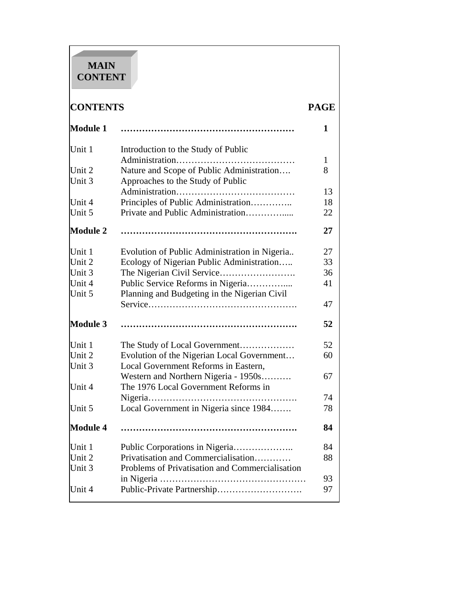# **MAIN CONTENT**

# **CONTENTS PAGE**

| Module 1        |                                                 | 1            |
|-----------------|-------------------------------------------------|--------------|
| Unit 1          | Introduction to the Study of Public             |              |
|                 |                                                 | $\mathbf{1}$ |
| Unit 2          | Nature and Scope of Public Administration       | 8            |
| Unit 3          | Approaches to the Study of Public               |              |
|                 |                                                 | 13           |
| Unit 4          | Principles of Public Administration             | 18           |
| Unit 5          | Private and Public Administration               | 22           |
| Module 2        |                                                 | 27           |
| Unit 1          | Evolution of Public Administration in Nigeria   | 27           |
| Unit 2          | Ecology of Nigerian Public Administration       | 33           |
| Unit 3          |                                                 | 36           |
| Unit 4          | Public Service Reforms in Nigeria               | 41           |
| Unit 5          | Planning and Budgeting in the Nigerian Civil    |              |
|                 |                                                 | 47           |
| Module 3        |                                                 | 52           |
| Unit 1          | The Study of Local Government                   | 52           |
| Unit 2          | Evolution of the Nigerian Local Government      | 60           |
| Unit 3          | Local Government Reforms in Eastern,            |              |
|                 | Western and Northern Nigeria - 1950s            | 67           |
| Unit 4          | The 1976 Local Government Reforms in            |              |
|                 |                                                 | 74           |
| Unit 5          | Local Government in Nigeria since 1984          | 78           |
| <b>Module 4</b> |                                                 | 84           |
| Unit 1          |                                                 | 84           |
| Unit 2          | Privatisation and Commercialisation             | 88           |
| Unit 3          | Problems of Privatisation and Commercialisation |              |
|                 |                                                 | 93           |
| Unit 4          |                                                 | 97           |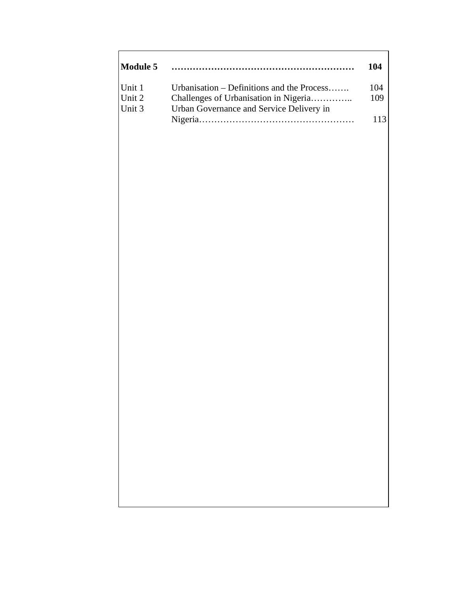| Module 5                   |                                                                                                                                 | 104               |
|----------------------------|---------------------------------------------------------------------------------------------------------------------------------|-------------------|
| Unit 1<br>Unit 2<br>Unit 3 | Urbanisation – Definitions and the Process<br>Challenges of Urbanisation in Nigeria<br>Urban Governance and Service Delivery in | 104<br>109<br>113 |
|                            |                                                                                                                                 |                   |
|                            |                                                                                                                                 |                   |
|                            |                                                                                                                                 |                   |
|                            |                                                                                                                                 |                   |
|                            |                                                                                                                                 |                   |
|                            |                                                                                                                                 |                   |
|                            |                                                                                                                                 |                   |
|                            |                                                                                                                                 |                   |
|                            |                                                                                                                                 |                   |
|                            |                                                                                                                                 |                   |

 $\mathsf{r}$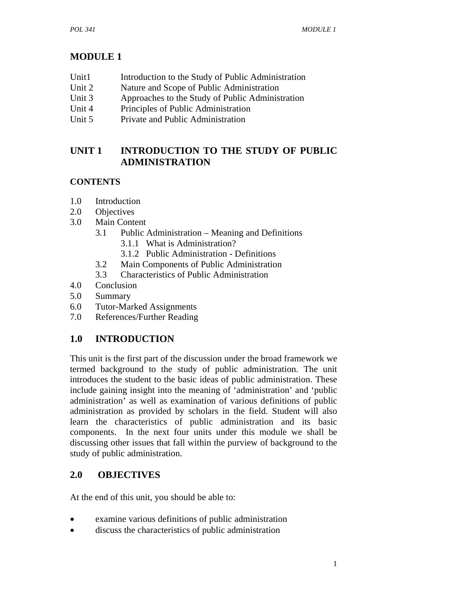# **MODULE 1**

- Unit1 Introduction to the Study of Public Administration
- Unit 2 Nature and Scope of Public Administration
- Unit 3 Approaches to the Study of Public Administration
- Unit 4 Principles of Public Administration
- Unit 5 Private and Public Administration

# **UNIT 1 INTRODUCTION TO THE STUDY OF PUBLIC ADMINISTRATION**

## **CONTENTS**

- 1.0 Introduction
- 2.0 Objectives
- 3.0 Main Content
	- 3.1 Public Administration Meaning and Definitions 3.1.1 What is Administration?
		- 3.1.2 Public Administration Definitions
	- 3.2 Main Components of Public Administration
	- 3.3 Characteristics of Public Administration
- 4.0 Conclusion
- 5.0 Summary
- 6.0 Tutor-Marked Assignments
- 7.0 References/Further Reading

# **1.0 INTRODUCTION**

This unit is the first part of the discussion under the broad framework we termed background to the study of public administration. The unit introduces the student to the basic ideas of public administration. These include gaining insight into the meaning of 'administration' and 'public administration' as well as examination of various definitions of public administration as provided by scholars in the field. Student will also learn the characteristics of public administration and its basic components. In the next four units under this module we shall be discussing other issues that fall within the purview of background to the study of public administration.

# **2.0 OBJECTIVES**

At the end of this unit, you should be able to:

- examine various definitions of public administration
- discuss the characteristics of public administration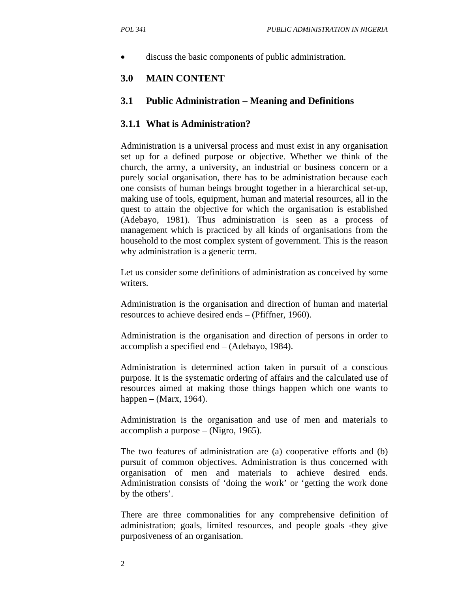discuss the basic components of public administration.

## **3.0 MAIN CONTENT**

#### **3.1 Public Administration – Meaning and Definitions**

#### **3.1.1 What is Administration?**

Administration is a universal process and must exist in any organisation set up for a defined purpose or objective. Whether we think of the church, the army, a university, an industrial or business concern or a purely social organisation, there has to be administration because each one consists of human beings brought together in a hierarchical set-up, making use of tools, equipment, human and material resources, all in the quest to attain the objective for which the organisation is established (Adebayo, 1981). Thus administration is seen as a process of management which is practiced by all kinds of organisations from the household to the most complex system of government. This is the reason why administration is a generic term.

Let us consider some definitions of administration as conceived by some writers.

Administration is the organisation and direction of human and material resources to achieve desired ends – (Pfiffner, 1960).

Administration is the organisation and direction of persons in order to accomplish a specified end – (Adebayo, 1984).

Administration is determined action taken in pursuit of a conscious purpose. It is the systematic ordering of affairs and the calculated use of resources aimed at making those things happen which one wants to happen – (Marx, 1964).

Administration is the organisation and use of men and materials to accomplish a purpose – (Nigro, 1965).

The two features of administration are (a) cooperative efforts and (b) pursuit of common objectives. Administration is thus concerned with organisation of men and materials to achieve desired ends. Administration consists of 'doing the work' or 'getting the work done by the others'.

There are three commonalities for any comprehensive definition of administration; goals, limited resources, and people goals -they give purposiveness of an organisation.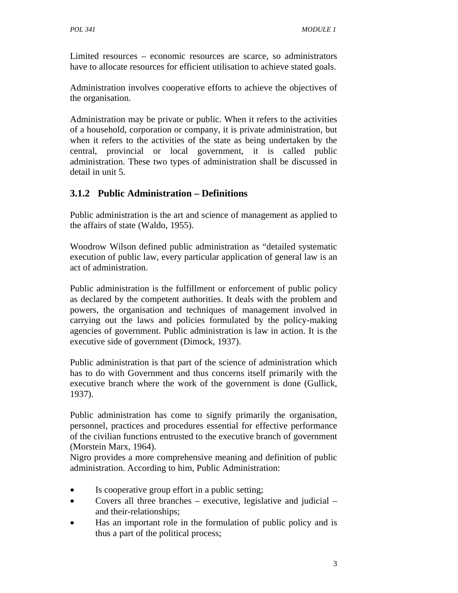Limited resources – economic resources are scarce, so administrators have to allocate resources for efficient utilisation to achieve stated goals.

Administration involves cooperative efforts to achieve the objectives of the organisation.

Administration may be private or public. When it refers to the activities of a household, corporation or company, it is private administration, but when it refers to the activities of the state as being undertaken by the central, provincial or local government, it is called public administration. These two types of administration shall be discussed in detail in unit 5.

# **3.1.2 Public Administration – Definitions**

Public administration is the art and science of management as applied to the affairs of state (Waldo, 1955).

Woodrow Wilson defined public administration as "detailed systematic execution of public law, every particular application of general law is an act of administration.

Public administration is the fulfillment or enforcement of public policy as declared by the competent authorities. It deals with the problem and powers, the organisation and techniques of management involved in carrying out the laws and policies formulated by the policy-making agencies of government. Public administration is law in action. It is the executive side of government (Dimock, 1937).

Public administration is that part of the science of administration which has to do with Government and thus concerns itself primarily with the executive branch where the work of the government is done (Gullick, 1937).

Public administration has come to signify primarily the organisation, personnel, practices and procedures essential for effective performance of the civilian functions entrusted to the executive branch of government (Morstein Marx, 1964).

Nigro provides a more comprehensive meaning and definition of public administration. According to him, Public Administration:

- Is cooperative group effort in a public setting;
- Covers all three branches executive, legislative and judicial and their-relationships;
- Has an important role in the formulation of public policy and is thus a part of the political process;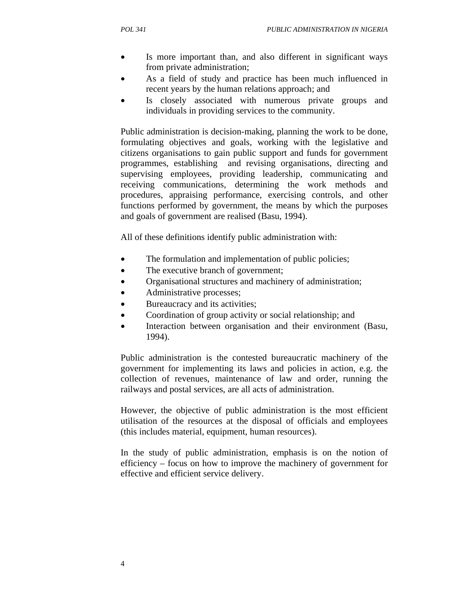- Is more important than, and also different in significant ways from private administration;
- As a field of study and practice has been much influenced in recent years by the human relations approach; and
- Is closely associated with numerous private groups and individuals in providing services to the community.

Public administration is decision-making, planning the work to be done, formulating objectives and goals, working with the legislative and citizens organisations to gain public support and funds for government programmes, establishing and revising organisations, directing and supervising employees, providing leadership, communicating and receiving communications, determining the work methods and procedures, appraising performance, exercising controls, and other functions performed by government, the means by which the purposes and goals of government are realised (Basu, 1994).

All of these definitions identify public administration with:

- The formulation and implementation of public policies;
- The executive branch of government;
- Organisational structures and machinery of administration;
- Administrative processes;
- Bureaucracy and its activities;
- Coordination of group activity or social relationship; and
- Interaction between organisation and their environment (Basu, 1994).

Public administration is the contested bureaucratic machinery of the government for implementing its laws and policies in action, e.g. the collection of revenues, maintenance of law and order, running the railways and postal services, are all acts of administration.

However, the objective of public administration is the most efficient utilisation of the resources at the disposal of officials and employees (this includes material, equipment, human resources).

In the study of public administration, emphasis is on the notion of efficiency – focus on how to improve the machinery of government for effective and efficient service delivery.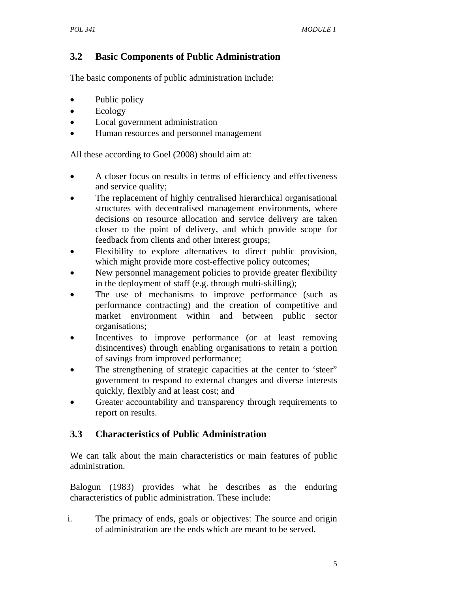## **3.2 Basic Components of Public Administration**

The basic components of public administration include:

- Public policy
- Ecology
- Local government administration
- Human resources and personnel management

All these according to Goel (2008) should aim at:

- A closer focus on results in terms of efficiency and effectiveness and service quality;
- The replacement of highly centralised hierarchical organisational structures with decentralised management environments, where decisions on resource allocation and service delivery are taken closer to the point of delivery, and which provide scope for feedback from clients and other interest groups;
- Flexibility to explore alternatives to direct public provision, which might provide more cost-effective policy outcomes;
- New personnel management policies to provide greater flexibility in the deployment of staff (e.g. through multi-skilling);
- The use of mechanisms to improve performance (such as performance contracting) and the creation of competitive and market environment within and between public sector organisations;
- Incentives to improve performance (or at least removing disincentives) through enabling organisations to retain a portion of savings from improved performance;
- The strengthening of strategic capacities at the center to 'steer" government to respond to external changes and diverse interests quickly, flexibly and at least cost; and
- Greater accountability and transparency through requirements to report on results.

## **3.3 Characteristics of Public Administration**

We can talk about the main characteristics or main features of public administration.

Balogun (1983) provides what he describes as the enduring characteristics of public administration. These include:

i. The primacy of ends, goals or objectives: The source and origin of administration are the ends which are meant to be served.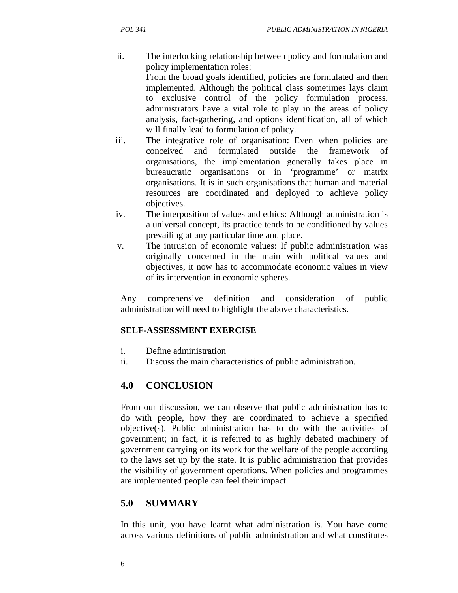- ii. The interlocking relationship between policy and formulation and policy implementation roles: From the broad goals identified, policies are formulated and then implemented. Although the political class sometimes lays claim to exclusive control of the policy formulation process, administrators have a vital role to play in the areas of policy analysis, fact-gathering, and options identification, all of which will finally lead to formulation of policy.
- iii. The integrative role of organisation: Even when policies are conceived and formulated outside the framework of organisations, the implementation generally takes place in bureaucratic organisations or in 'programme' or matrix organisations. It is in such organisations that human and material resources are coordinated and deployed to achieve policy objectives.
- iv. The interposition of values and ethics: Although administration is a universal concept, its practice tends to be conditioned by values prevailing at any particular time and place.
- v. The intrusion of economic values: If public administration was originally concerned in the main with political values and objectives, it now has to accommodate economic values in view of its intervention in economic spheres.

Any comprehensive definition and consideration of public administration will need to highlight the above characteristics.

## **SELF-ASSESSMENT EXERCISE**

- i. Define administration
- ii. Discuss the main characteristics of public administration.

## **4.0 CONCLUSION**

From our discussion, we can observe that public administration has to do with people, how they are coordinated to achieve a specified objective(s). Public administration has to do with the activities of government; in fact, it is referred to as highly debated machinery of government carrying on its work for the welfare of the people according to the laws set up by the state. It is public administration that provides the visibility of government operations. When policies and programmes are implemented people can feel their impact.

# **5.0 SUMMARY**

In this unit, you have learnt what administration is. You have come across various definitions of public administration and what constitutes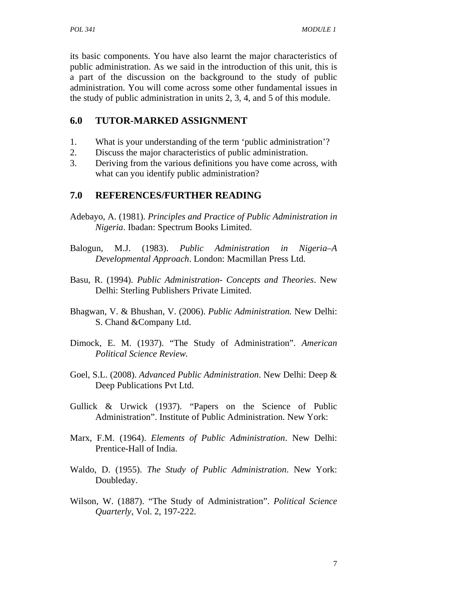its basic components. You have also learnt the major characteristics of public administration. As we said in the introduction of this unit, this is a part of the discussion on the background to the study of public administration. You will come across some other fundamental issues in the study of public administration in units 2, 3, 4, and 5 of this module.

## **6.0 TUTOR-MARKED ASSIGNMENT**

- 1. What is your understanding of the term 'public administration'?
- 2. Discuss the major characteristics of public administration.
- 3. Deriving from the various definitions you have come across, with what can you identify public administration?

## **7.0 REFERENCES/FURTHER READING**

- Adebayo, A. (1981). *Principles and Practice of Public Administration in Nigeria*. Ibadan: Spectrum Books Limited.
- Balogun, M.J. (1983). *Public Administration in Nigeria–A Developmental Approach*. London: Macmillan Press Ltd.
- Basu, R. (1994). *Public Administration- Concepts and Theories*. New Delhi: Sterling Publishers Private Limited.
- Bhagwan, V. & Bhushan, V. (2006). *Public Administration.* New Delhi: S. Chand &Company Ltd.
- Dimock, E. M. (1937). "The Study of Administration". *American Political Science Review.*
- Goel, S.L. (2008). *Advanced Public Administration*. New Delhi: Deep & Deep Publications Pvt Ltd.
- Gullick & Urwick (1937). "Papers on the Science of Public Administration". Institute of Public Administration. New York:
- Marx, F.M. (1964). *Elements of Public Administration*. New Delhi: Prentice-Hall of India.
- Waldo, D. (1955). *The Study of Public Administration*. New York: Doubleday.
- Wilson, W. (1887). "The Study of Administration". *Political Science Quarterly*, Vol. 2, 197-222.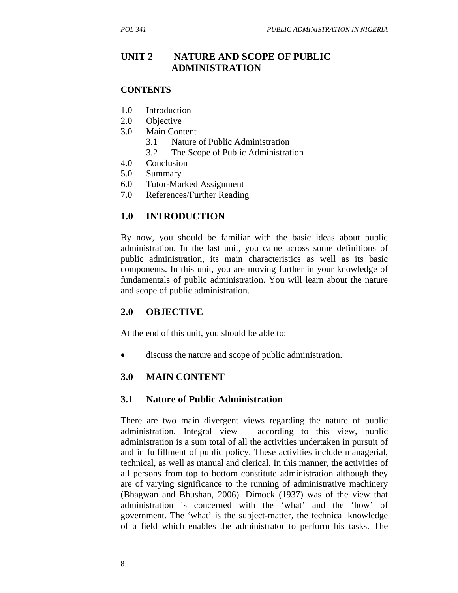## **UNIT 2 NATURE AND SCOPE OF PUBLIC ADMINISTRATION**

#### **CONTENTS**

- 1.0 Introduction
- 2.0 Objective
- 3.0 Main Content
	- 3.1 Nature of Public Administration
	- 3.2 The Scope of Public Administration
- 4.0 Conclusion
- 5.0 Summary
- 6.0 Tutor-Marked Assignment
- 7.0 References/Further Reading

## **1.0 INTRODUCTION**

By now, you should be familiar with the basic ideas about public administration. In the last unit, you came across some definitions of public administration, its main characteristics as well as its basic components. In this unit, you are moving further in your knowledge of fundamentals of public administration. You will learn about the nature and scope of public administration.

#### **2.0 OBJECTIVE**

At the end of this unit, you should be able to:

• discuss the nature and scope of public administration.

## **3.0 MAIN CONTENT**

#### **3.1 Nature of Public Administration**

There are two main divergent views regarding the nature of public administration. Integral view – according to this view, public administration is a sum total of all the activities undertaken in pursuit of and in fulfillment of public policy. These activities include managerial, technical, as well as manual and clerical. In this manner, the activities of all persons from top to bottom constitute administration although they are of varying significance to the running of administrative machinery (Bhagwan and Bhushan, 2006). Dimock (1937) was of the view that administration is concerned with the 'what' and the 'how' of government. The 'what' is the subject-matter, the technical knowledge of a field which enables the administrator to perform his tasks. The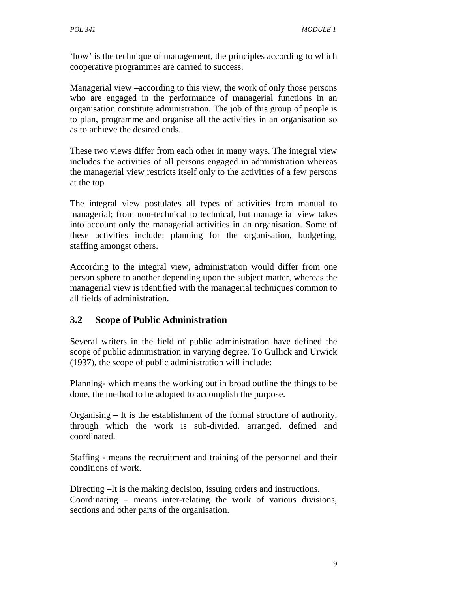'how' is the technique of management, the principles according to which cooperative programmes are carried to success.

Managerial view –according to this view, the work of only those persons who are engaged in the performance of managerial functions in an organisation constitute administration. The job of this group of people is to plan, programme and organise all the activities in an organisation so as to achieve the desired ends.

These two views differ from each other in many ways. The integral view includes the activities of all persons engaged in administration whereas the managerial view restricts itself only to the activities of a few persons at the top.

The integral view postulates all types of activities from manual to managerial; from non-technical to technical, but managerial view takes into account only the managerial activities in an organisation. Some of these activities include: planning for the organisation, budgeting, staffing amongst others.

According to the integral view, administration would differ from one person sphere to another depending upon the subject matter, whereas the managerial view is identified with the managerial techniques common to all fields of administration.

# **3.2 Scope of Public Administration**

Several writers in the field of public administration have defined the scope of public administration in varying degree. To Gullick and Urwick (1937), the scope of public administration will include:

Planning- which means the working out in broad outline the things to be done, the method to be adopted to accomplish the purpose.

Organising – It is the establishment of the formal structure of authority, through which the work is sub-divided, arranged, defined and coordinated.

Staffing - means the recruitment and training of the personnel and their conditions of work.

Directing –It is the making decision, issuing orders and instructions. Coordinating – means inter-relating the work of various divisions, sections and other parts of the organisation.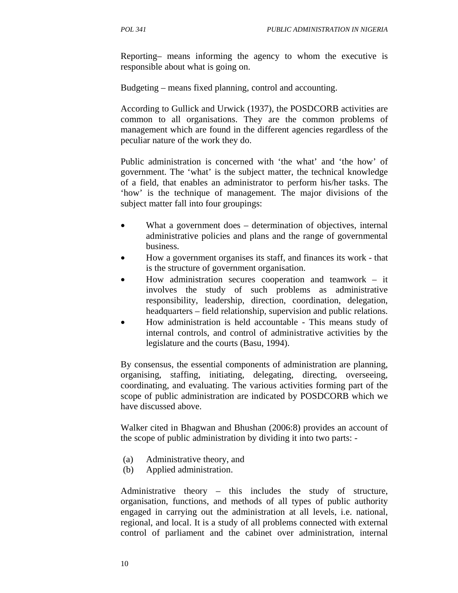Reporting– means informing the agency to whom the executive is responsible about what is going on.

Budgeting – means fixed planning, control and accounting.

According to Gullick and Urwick (1937), the POSDCORB activities are common to all organisations. They are the common problems of management which are found in the different agencies regardless of the peculiar nature of the work they do.

Public administration is concerned with 'the what' and 'the how' of government. The 'what' is the subject matter, the technical knowledge of a field, that enables an administrator to perform his/her tasks. The 'how' is the technique of management. The major divisions of the subject matter fall into four groupings:

- What a government does determination of objectives, internal administrative policies and plans and the range of governmental business.
- How a government organises its staff, and finances its work that is the structure of government organisation.
- How administration secures cooperation and teamwork it involves the study of such problems as administrative responsibility, leadership, direction, coordination, delegation, headquarters – field relationship, supervision and public relations.
- How administration is held accountable This means study of internal controls, and control of administrative activities by the legislature and the courts (Basu, 1994).

By consensus, the essential components of administration are planning, organising, staffing, initiating, delegating, directing, overseeing, coordinating, and evaluating. The various activities forming part of the scope of public administration are indicated by POSDCORB which we have discussed above.

Walker cited in Bhagwan and Bhushan (2006:8) provides an account of the scope of public administration by dividing it into two parts: -

- (a) Administrative theory, and
- (b) Applied administration.

Administrative theory – this includes the study of structure, organisation, functions, and methods of all types of public authority engaged in carrying out the administration at all levels, i.e. national, regional, and local. It is a study of all problems connected with external control of parliament and the cabinet over administration, internal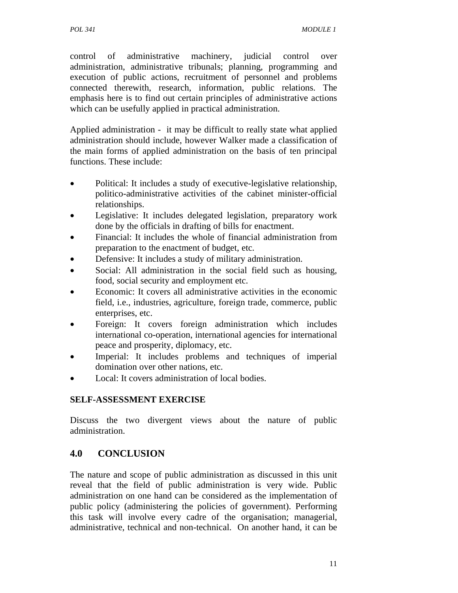control of administrative machinery, judicial control over administration, administrative tribunals; planning, programming and execution of public actions, recruitment of personnel and problems connected therewith, research, information, public relations. The emphasis here is to find out certain principles of administrative actions which can be usefully applied in practical administration.

Applied administration - it may be difficult to really state what applied administration should include, however Walker made a classification of the main forms of applied administration on the basis of ten principal functions. These include:

- Political: It includes a study of executive-legislative relationship, politico-administrative activities of the cabinet minister-official relationships.
- Legislative: It includes delegated legislation, preparatory work done by the officials in drafting of bills for enactment.
- Financial: It includes the whole of financial administration from preparation to the enactment of budget, etc.
- Defensive: It includes a study of military administration.
- Social: All administration in the social field such as housing, food, social security and employment etc.
- Economic: It covers all administrative activities in the economic field, i.e., industries, agriculture, foreign trade, commerce, public enterprises, etc.
- Foreign: It covers foreign administration which includes international co-operation, international agencies for international peace and prosperity, diplomacy, etc.
- Imperial: It includes problems and techniques of imperial domination over other nations, etc.
- Local: It covers administration of local bodies.

# **SELF-ASSESSMENT EXERCISE**

Discuss the two divergent views about the nature of public administration.

# **4.0 CONCLUSION**

The nature and scope of public administration as discussed in this unit reveal that the field of public administration is very wide. Public administration on one hand can be considered as the implementation of public policy (administering the policies of government). Performing this task will involve every cadre of the organisation; managerial, administrative, technical and non-technical. On another hand, it can be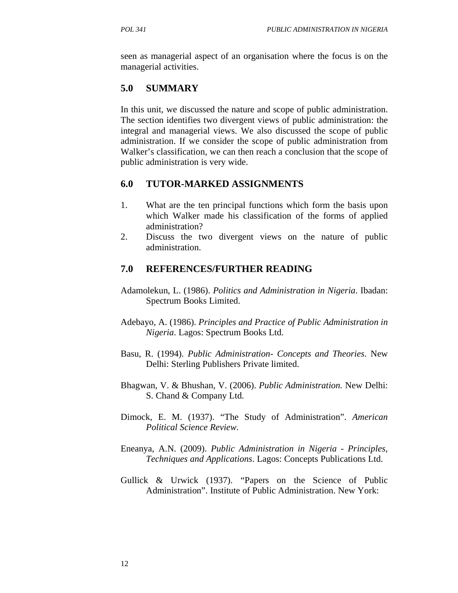seen as managerial aspect of an organisation where the focus is on the managerial activities.

## **5.0 SUMMARY**

In this unit, we discussed the nature and scope of public administration. The section identifies two divergent views of public administration: the integral and managerial views. We also discussed the scope of public administration. If we consider the scope of public administration from Walker's classification, we can then reach a conclusion that the scope of public administration is very wide.

## **6.0 TUTOR-MARKED ASSIGNMENTS**

- 1. What are the ten principal functions which form the basis upon which Walker made his classification of the forms of applied administration?
- 2. Discuss the two divergent views on the nature of public administration.

## **7.0 REFERENCES/FURTHER READING**

- Adamolekun, L. (1986). *Politics and Administration in Nigeria*. Ibadan: Spectrum Books Limited.
- Adebayo, A. (1986). *Principles and Practice of Public Administration in Nigeria*. Lagos: Spectrum Books Ltd.
- Basu, R. (1994). *Public Administration- Concepts and Theories*. New Delhi: Sterling Publishers Private limited.
- Bhagwan, V. & Bhushan, V. (2006). *Public Administration.* New Delhi: S. Chand & Company Ltd.
- Dimock, E. M. (1937). "The Study of Administration". *American Political Science Review.*
- Eneanya, A.N. (2009). *Public Administration in Nigeria Principles, Techniques and Applications*. Lagos: Concepts Publications Ltd.
- Gullick & Urwick (1937). "Papers on the Science of Public Administration". Institute of Public Administration. New York: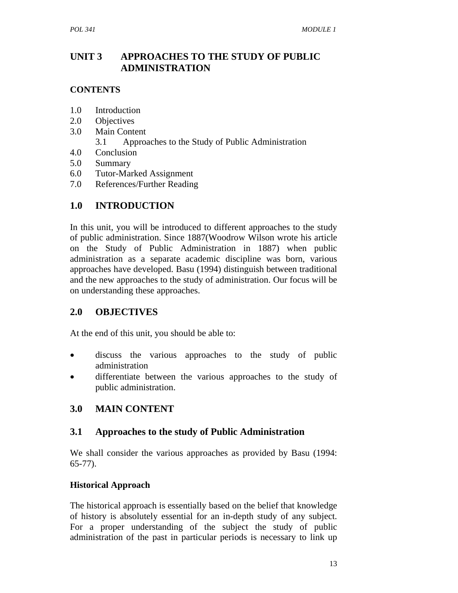## **UNIT 3 APPROACHES TO THE STUDY OF PUBLIC ADMINISTRATION**

## **CONTENTS**

- 1.0 Introduction
- 2.0 Objectives
- 3.0 Main Content
	- 3.1 Approaches to the Study of Public Administration
- 4.0 Conclusion
- 5.0 Summary
- 6.0 Tutor-Marked Assignment
- 7.0 References/Further Reading

# **1.0 INTRODUCTION**

In this unit, you will be introduced to different approaches to the study of public administration. Since 1887(Woodrow Wilson wrote his article on the Study of Public Administration in 1887) when public administration as a separate academic discipline was born, various approaches have developed. Basu (1994) distinguish between traditional and the new approaches to the study of administration. Our focus will be on understanding these approaches.

# **2.0 OBJECTIVES**

At the end of this unit, you should be able to:

- discuss the various approaches to the study of public administration
- differentiate between the various approaches to the study of public administration.

# **3.0 MAIN CONTENT**

## **3.1 Approaches to the study of Public Administration**

We shall consider the various approaches as provided by Basu (1994: 65-77).

## **Historical Approach**

The historical approach is essentially based on the belief that knowledge of history is absolutely essential for an in-depth study of any subject. For a proper understanding of the subject the study of public administration of the past in particular periods is necessary to link up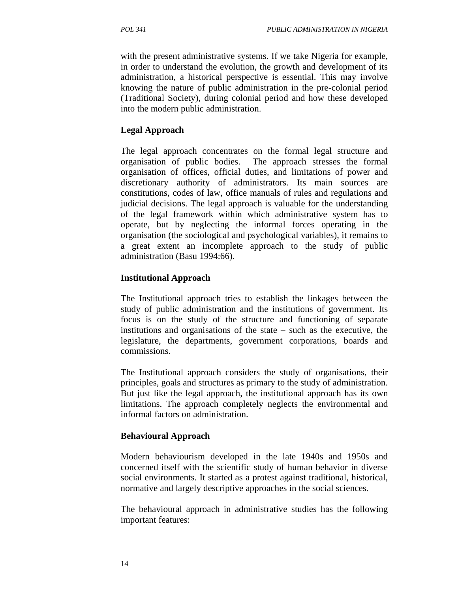with the present administrative systems. If we take Nigeria for example, in order to understand the evolution, the growth and development of its administration, a historical perspective is essential. This may involve knowing the nature of public administration in the pre-colonial period (Traditional Society), during colonial period and how these developed into the modern public administration.

#### **Legal Approach**

The legal approach concentrates on the formal legal structure and organisation of public bodies. The approach stresses the formal organisation of offices, official duties, and limitations of power and discretionary authority of administrators. Its main sources are constitutions, codes of law, office manuals of rules and regulations and judicial decisions. The legal approach is valuable for the understanding of the legal framework within which administrative system has to operate, but by neglecting the informal forces operating in the organisation (the sociological and psychological variables), it remains to a great extent an incomplete approach to the study of public administration (Basu 1994:66).

#### **Institutional Approach**

The Institutional approach tries to establish the linkages between the study of public administration and the institutions of government. Its focus is on the study of the structure and functioning of separate institutions and organisations of the state – such as the executive, the legislature, the departments, government corporations, boards and commissions.

The Institutional approach considers the study of organisations, their principles, goals and structures as primary to the study of administration. But just like the legal approach, the institutional approach has its own limitations. The approach completely neglects the environmental and informal factors on administration.

#### **Behavioural Approach**

Modern behaviourism developed in the late 1940s and 1950s and concerned itself with the scientific study of human behavior in diverse social environments. It started as a protest against traditional, historical, normative and largely descriptive approaches in the social sciences.

The behavioural approach in administrative studies has the following important features: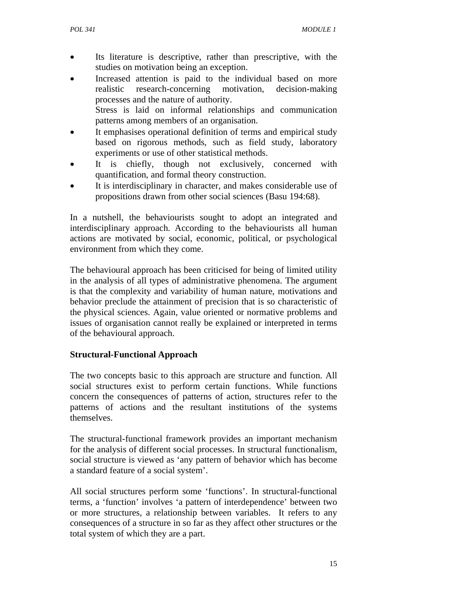- Its literature is descriptive, rather than prescriptive, with the studies on motivation being an exception.
- Increased attention is paid to the individual based on more realistic research-concerning motivation, decision-making processes and the nature of authority. Stress is laid on informal relationships and communication

patterns among members of an organisation.

- It emphasises operational definition of terms and empirical study based on rigorous methods, such as field study, laboratory experiments or use of other statistical methods.
- It is chiefly, though not exclusively, concerned with quantification, and formal theory construction.
- It is interdisciplinary in character, and makes considerable use of propositions drawn from other social sciences (Basu 194:68).

In a nutshell, the behaviourists sought to adopt an integrated and interdisciplinary approach. According to the behaviourists all human actions are motivated by social, economic, political, or psychological environment from which they come.

The behavioural approach has been criticised for being of limited utility in the analysis of all types of administrative phenomena. The argument is that the complexity and variability of human nature, motivations and behavior preclude the attainment of precision that is so characteristic of the physical sciences. Again, value oriented or normative problems and issues of organisation cannot really be explained or interpreted in terms of the behavioural approach.

## **Structural-Functional Approach**

The two concepts basic to this approach are structure and function. All social structures exist to perform certain functions. While functions concern the consequences of patterns of action, structures refer to the patterns of actions and the resultant institutions of the systems themselves.

The structural-functional framework provides an important mechanism for the analysis of different social processes. In structural functionalism, social structure is viewed as 'any pattern of behavior which has become a standard feature of a social system'.

All social structures perform some 'functions'. In structural-functional terms, a 'function' involves 'a pattern of interdependence' between two or more structures, a relationship between variables. It refers to any consequences of a structure in so far as they affect other structures or the total system of which they are a part.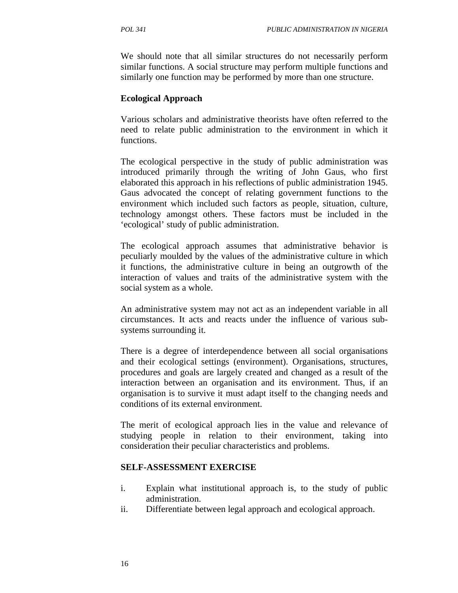We should note that all similar structures do not necessarily perform similar functions. A social structure may perform multiple functions and similarly one function may be performed by more than one structure.

#### **Ecological Approach**

Various scholars and administrative theorists have often referred to the need to relate public administration to the environment in which it functions.

The ecological perspective in the study of public administration was introduced primarily through the writing of John Gaus, who first elaborated this approach in his reflections of public administration 1945. Gaus advocated the concept of relating government functions to the environment which included such factors as people, situation, culture, technology amongst others. These factors must be included in the 'ecological' study of public administration.

The ecological approach assumes that administrative behavior is peculiarly moulded by the values of the administrative culture in which it functions, the administrative culture in being an outgrowth of the interaction of values and traits of the administrative system with the social system as a whole.

An administrative system may not act as an independent variable in all circumstances. It acts and reacts under the influence of various subsystems surrounding it.

There is a degree of interdependence between all social organisations and their ecological settings (environment). Organisations, structures, procedures and goals are largely created and changed as a result of the interaction between an organisation and its environment. Thus, if an organisation is to survive it must adapt itself to the changing needs and conditions of its external environment.

The merit of ecological approach lies in the value and relevance of studying people in relation to their environment, taking into consideration their peculiar characteristics and problems.

#### **SELF-ASSESSMENT EXERCISE**

- i. Explain what institutional approach is, to the study of public administration.
- ii. Differentiate between legal approach and ecological approach.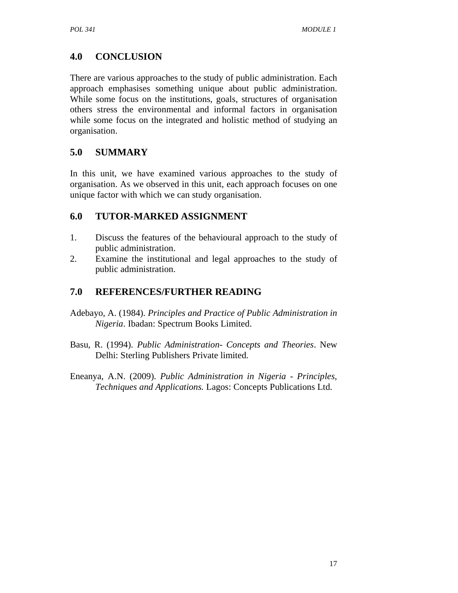# **4.0 CONCLUSION**

There are various approaches to the study of public administration. Each approach emphasises something unique about public administration. While some focus on the institutions, goals, structures of organisation others stress the environmental and informal factors in organisation while some focus on the integrated and holistic method of studying an organisation.

# **5.0 SUMMARY**

In this unit, we have examined various approaches to the study of organisation. As we observed in this unit, each approach focuses on one unique factor with which we can study organisation.

## **6.0 TUTOR-MARKED ASSIGNMENT**

- 1. Discuss the features of the behavioural approach to the study of public administration.
- 2. Examine the institutional and legal approaches to the study of public administration.

## **7.0 REFERENCES/FURTHER READING**

- Adebayo, A. (1984). *Principles and Practice of Public Administration in Nigeria*. Ibadan: Spectrum Books Limited.
- Basu, R. (1994). *Public Administration- Concepts and Theories*. New Delhi: Sterling Publishers Private limited.
- Eneanya, A.N. (2009). *Public Administration in Nigeria Principles, Techniques and Applications.* Lagos: Concepts Publications Ltd.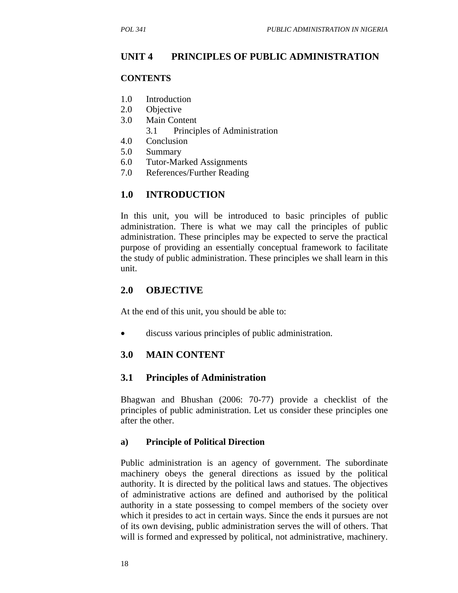#### **UNIT 4 PRINCIPLES OF PUBLIC ADMINISTRATION**

#### **CONTENTS**

- 1.0 Introduction
- 2.0 Objective
- 3.0 Main Content
	- 3.1 Principles of Administration
- 4.0 Conclusion
- 5.0 Summary
- 6.0 Tutor-Marked Assignments
- 7.0 References/Further Reading

## **1.0 INTRODUCTION**

In this unit, you will be introduced to basic principles of public administration. There is what we may call the principles of public administration. These principles may be expected to serve the practical purpose of providing an essentially conceptual framework to facilitate the study of public administration. These principles we shall learn in this unit.

#### **2.0 OBJECTIVE**

At the end of this unit, you should be able to:

• discuss various principles of public administration.

#### **3.0 MAIN CONTENT**

#### **3.1 Principles of Administration**

Bhagwan and Bhushan (2006: 70-77) provide a checklist of the principles of public administration. Let us consider these principles one after the other.

#### **a) Principle of Political Direction**

Public administration is an agency of government. The subordinate machinery obeys the general directions as issued by the political authority. It is directed by the political laws and statues. The objectives of administrative actions are defined and authorised by the political authority in a state possessing to compel members of the society over which it presides to act in certain ways. Since the ends it pursues are not of its own devising, public administration serves the will of others. That will is formed and expressed by political, not administrative, machinery.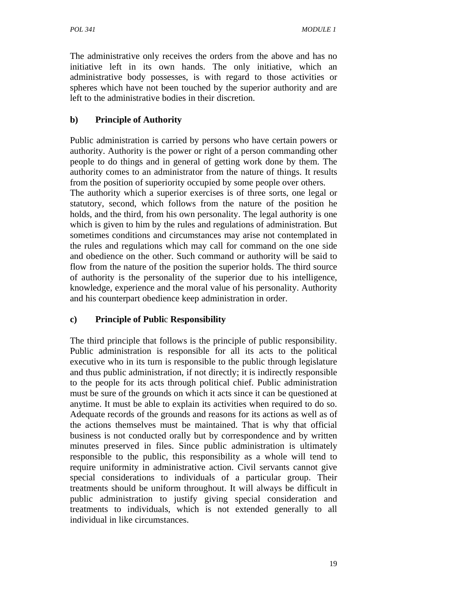The administrative only receives the orders from the above and has no initiative left in its own hands. The only initiative, which an administrative body possesses, is with regard to those activities or spheres which have not been touched by the superior authority and are left to the administrative bodies in their discretion.

## **b) Principle of Authority**

Public administration is carried by persons who have certain powers or authority. Authority is the power or right of a person commanding other people to do things and in general of getting work done by them. The authority comes to an administrator from the nature of things. It results from the position of superiority occupied by some people over others.

The authority which a superior exercises is of three sorts, one legal or statutory, second, which follows from the nature of the position he holds, and the third, from his own personality. The legal authority is one which is given to him by the rules and regulations of administration. But sometimes conditions and circumstances may arise not contemplated in the rules and regulations which may call for command on the one side and obedience on the other. Such command or authority will be said to flow from the nature of the position the superior holds. The third source of authority is the personality of the superior due to his intelligence, knowledge, experience and the moral value of his personality. Authority and his counterpart obedience keep administration in order.

## **c) Principle of Publi**c **Responsibility**

The third principle that follows is the principle of public responsibility. Public administration is responsible for all its acts to the political executive who in its turn is responsible to the public through legislature and thus public administration, if not directly; it is indirectly responsible to the people for its acts through political chief. Public administration must be sure of the grounds on which it acts since it can be questioned at anytime. It must be able to explain its activities when required to do so. Adequate records of the grounds and reasons for its actions as well as of the actions themselves must be maintained. That is why that official business is not conducted orally but by correspondence and by written minutes preserved in files. Since public administration is ultimately responsible to the public, this responsibility as a whole will tend to require uniformity in administrative action. Civil servants cannot give special considerations to individuals of a particular group. Their treatments should be uniform throughout. It will always be difficult in public administration to justify giving special consideration and treatments to individuals, which is not extended generally to all individual in like circumstances.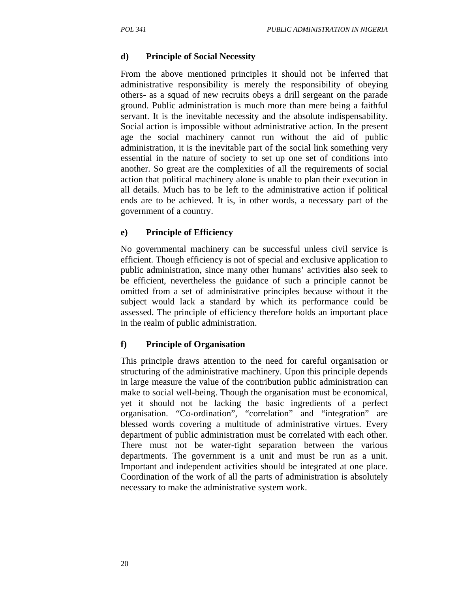## **d) Principle of Social Necessity**

From the above mentioned principles it should not be inferred that administrative responsibility is merely the responsibility of obeying others- as a squad of new recruits obeys a drill sergeant on the parade ground. Public administration is much more than mere being a faithful servant. It is the inevitable necessity and the absolute indispensability. Social action is impossible without administrative action. In the present age the social machinery cannot run without the aid of public administration, it is the inevitable part of the social link something very essential in the nature of society to set up one set of conditions into another. So great are the complexities of all the requirements of social action that political machinery alone is unable to plan their execution in all details. Much has to be left to the administrative action if political ends are to be achieved. It is, in other words, a necessary part of the government of a country.

## **e) Principle of Efficiency**

No governmental machinery can be successful unless civil service is efficient. Though efficiency is not of special and exclusive application to public administration, since many other humans' activities also seek to be efficient, nevertheless the guidance of such a principle cannot be omitted from a set of administrative principles because without it the subject would lack a standard by which its performance could be assessed. The principle of efficiency therefore holds an important place in the realm of public administration.

## **f) Principle of Organisation**

This principle draws attention to the need for careful organisation or structuring of the administrative machinery. Upon this principle depends in large measure the value of the contribution public administration can make to social well-being. Though the organisation must be economical, yet it should not be lacking the basic ingredients of a perfect organisation. "Co-ordination", "correlation" and "integration" are blessed words covering a multitude of administrative virtues. Every department of public administration must be correlated with each other. There must not be water-tight separation between the various departments. The government is a unit and must be run as a unit. Important and independent activities should be integrated at one place. Coordination of the work of all the parts of administration is absolutely necessary to make the administrative system work.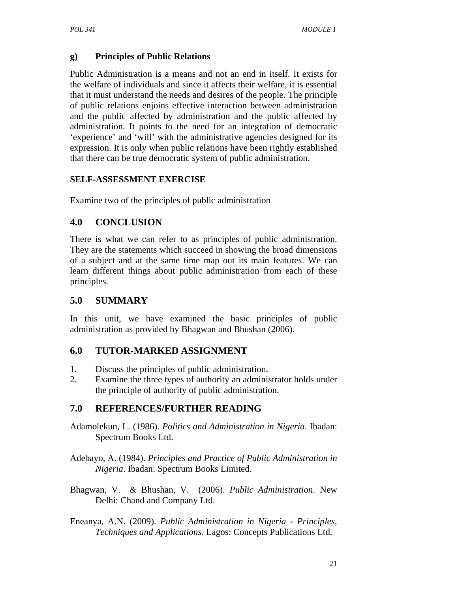## **g) Principles of Public Relations**

Public Administration is a means and not an end in itself. It exists for the welfare of individuals and since it affects their welfare, it is essential that it must understand the needs and desires of the people. The principle of public relations enjoins effective interaction between administration and the public affected by administration and the public affected by administration. It points to the need for an integration of democratic 'experience' and 'will' with the administrative agencies designed for its expression. It is only when public relations have been rightly established that there can be true democratic system of public administration.

## **SELF-ASSESSMENT EXERCISE**

Examine two of the principles of public administration

# **4.0 CONCLUSION**

There is what we can refer to as principles of public administration. They are the statements which succeed in showing the broad dimensions of a subject and at the same time map out its main features. We can learn different things about public administration from each of these principles.

## **5.0 SUMMARY**

In this unit, we have examined the basic principles of public administration as provided by Bhagwan and Bhushan (2006).

## **6.0 TUTOR-MARKED ASSIGNMENT**

- 1. Discuss the principles of public administration.
- 2. Examine the three types of authority an administrator holds under the principle of authority of public administration.

# **7.0 REFERENCES/FURTHER READING**

- Adamolekun, L. (1986). *Politics and Administration in Nigeria*. Ibadan: Spectrum Books Ltd.
- Adebayo, A. (1984). *Principles and Practice of Public Administration in Nigeria*. Ibadan: Spectrum Books Limited.
- Bhagwan, V. & Bhushan, V. (2006). *Public Administration*. New Delhi: Chand and Company Ltd.
- Eneanya, A.N. (2009). *Public Administration in Nigeria Principles, Techniques and Applications.* Lagos: Concepts Publications Ltd.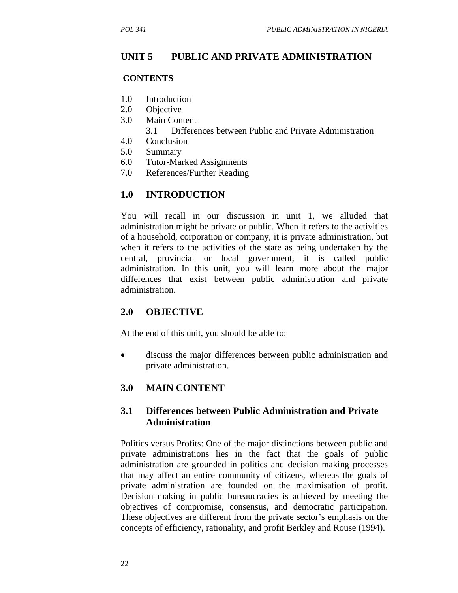## **UNIT 5 PUBLIC AND PRIVATE ADMINISTRATION**

## **CONTENTS**

- 1.0 Introduction
- 2.0 Objective
- 3.0 Main Content
	- 3.1 Differences between Public and Private Administration
- 4.0 Conclusion
- 5.0 Summary
- 6.0 Tutor-Marked Assignments
- 7.0 References/Further Reading

## **1.0 INTRODUCTION**

You will recall in our discussion in unit 1, we alluded that administration might be private or public. When it refers to the activities of a household, corporation or company, it is private administration, but when it refers to the activities of the state as being undertaken by the central, provincial or local government, it is called public administration. In this unit, you will learn more about the major differences that exist between public administration and private administration.

## **2.0 OBJECTIVE**

At the end of this unit, you should be able to:

• discuss the major differences between public administration and private administration.

## **3.0 MAIN CONTENT**

## **3.1 Differences between Public Administration and Private Administration**

Politics versus Profits: One of the major distinctions between public and private administrations lies in the fact that the goals of public administration are grounded in politics and decision making processes that may affect an entire community of citizens, whereas the goals of private administration are founded on the maximisation of profit. Decision making in public bureaucracies is achieved by meeting the objectives of compromise, consensus, and democratic participation. These objectives are different from the private sector's emphasis on the concepts of efficiency, rationality, and profit Berkley and Rouse (1994).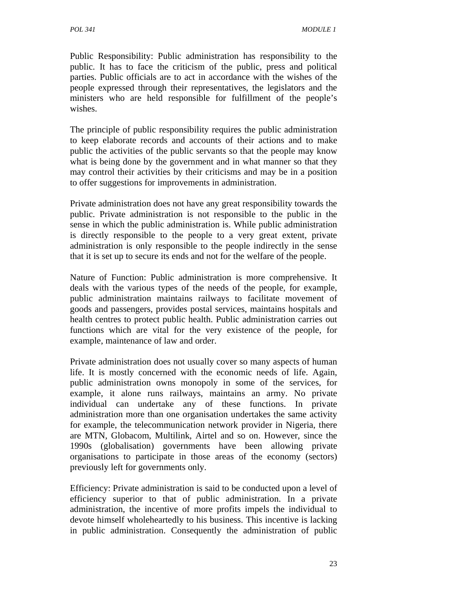Public Responsibility: Public administration has responsibility to the public. It has to face the criticism of the public, press and political parties. Public officials are to act in accordance with the wishes of the people expressed through their representatives, the legislators and the ministers who are held responsible for fulfillment of the people's wishes.

The principle of public responsibility requires the public administration to keep elaborate records and accounts of their actions and to make public the activities of the public servants so that the people may know what is being done by the government and in what manner so that they may control their activities by their criticisms and may be in a position to offer suggestions for improvements in administration.

Private administration does not have any great responsibility towards the public. Private administration is not responsible to the public in the sense in which the public administration is. While public administration is directly responsible to the people to a very great extent, private administration is only responsible to the people indirectly in the sense that it is set up to secure its ends and not for the welfare of the people.

Nature of Function: Public administration is more comprehensive. It deals with the various types of the needs of the people, for example, public administration maintains railways to facilitate movement of goods and passengers, provides postal services, maintains hospitals and health centres to protect public health. Public administration carries out functions which are vital for the very existence of the people, for example, maintenance of law and order.

Private administration does not usually cover so many aspects of human life. It is mostly concerned with the economic needs of life. Again, public administration owns monopoly in some of the services, for example, it alone runs railways, maintains an army. No private individual can undertake any of these functions. In private administration more than one organisation undertakes the same activity for example, the telecommunication network provider in Nigeria, there are MTN, Globacom, Multilink, Airtel and so on. However, since the 1990s (globalisation) governments have been allowing private organisations to participate in those areas of the economy (sectors) previously left for governments only.

Efficiency: Private administration is said to be conducted upon a level of efficiency superior to that of public administration. In a private administration, the incentive of more profits impels the individual to devote himself wholeheartedly to his business. This incentive is lacking in public administration. Consequently the administration of public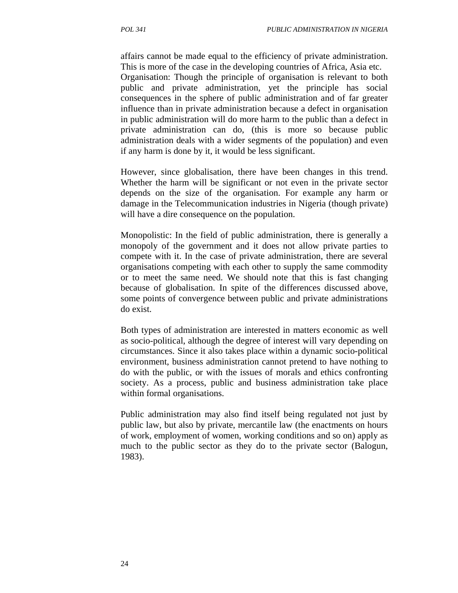affairs cannot be made equal to the efficiency of private administration. This is more of the case in the developing countries of Africa, Asia etc.

Organisation: Though the principle of organisation is relevant to both public and private administration, yet the principle has social consequences in the sphere of public administration and of far greater influence than in private administration because a defect in organisation in public administration will do more harm to the public than a defect in private administration can do, (this is more so because public administration deals with a wider segments of the population) and even if any harm is done by it, it would be less significant.

However, since globalisation, there have been changes in this trend. Whether the harm will be significant or not even in the private sector depends on the size of the organisation. For example any harm or damage in the Telecommunication industries in Nigeria (though private) will have a dire consequence on the population.

Monopolistic: In the field of public administration, there is generally a monopoly of the government and it does not allow private parties to compete with it. In the case of private administration, there are several organisations competing with each other to supply the same commodity or to meet the same need. We should note that this is fast changing because of globalisation. In spite of the differences discussed above, some points of convergence between public and private administrations do exist.

Both types of administration are interested in matters economic as well as socio-political, although the degree of interest will vary depending on circumstances. Since it also takes place within a dynamic socio-political environment, business administration cannot pretend to have nothing to do with the public, or with the issues of morals and ethics confronting society. As a process, public and business administration take place within formal organisations.

Public administration may also find itself being regulated not just by public law, but also by private, mercantile law (the enactments on hours of work, employment of women, working conditions and so on) apply as much to the public sector as they do to the private sector (Balogun, 1983).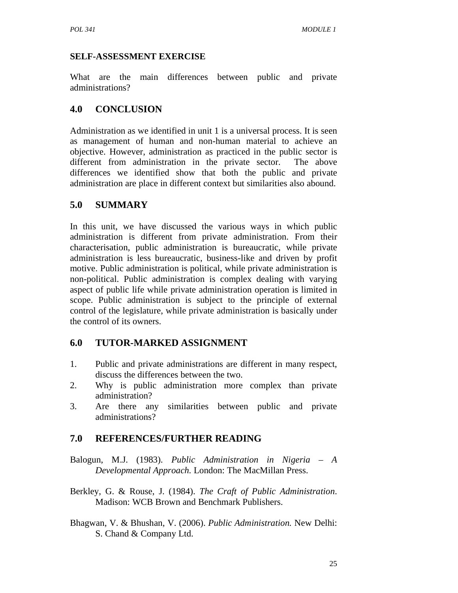### **SELF-ASSESSMENT EXERCISE**

What are the main differences between public and private administrations?

# **4.0 CONCLUSION**

Administration as we identified in unit 1 is a universal process. It is seen as management of human and non-human material to achieve an objective. However, administration as practiced in the public sector is different from administration in the private sector. The above differences we identified show that both the public and private administration are place in different context but similarities also abound.

# **5.0 SUMMARY**

In this unit, we have discussed the various ways in which public administration is different from private administration. From their characterisation, public administration is bureaucratic, while private administration is less bureaucratic, business-like and driven by profit motive. Public administration is political, while private administration is non-political. Public administration is complex dealing with varying aspect of public life while private administration operation is limited in scope. Public administration is subject to the principle of external control of the legislature, while private administration is basically under the control of its owners.

# **6.0 TUTOR-MARKED ASSIGNMENT**

- 1. Public and private administrations are different in many respect, discuss the differences between the two.
- 2. Why is public administration more complex than private administration?
- 3. Are there any similarities between public and private administrations?

# **7.0 REFERENCES/FURTHER READING**

- Balogun, M.J. (1983). *Public Administration in Nigeria A Developmental Approach.* London: The MacMillan Press.
- Berkley, G. & Rouse, J. (1984). *The Craft of Public Administration*. Madison: WCB Brown and Benchmark Publishers.
- Bhagwan, V. & Bhushan, V. (2006). *Public Administration.* New Delhi: S. Chand & Company Ltd.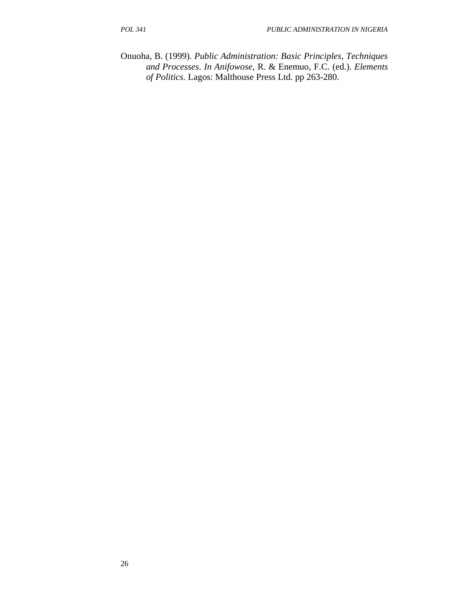Onuoha, B. (1999). *Public Administration: Basic Principles, Techniques and Processes*. *In Anifowose*, R. & Enemuo, F.C. (ed.). *Elements of Politics.* Lagos: Malthouse Press Ltd. pp 263-280.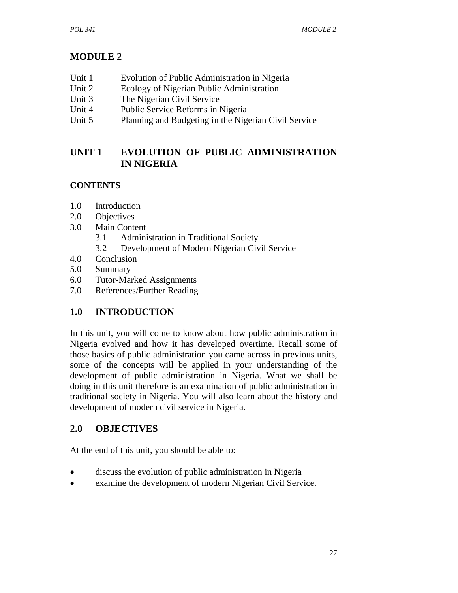# **MODULE 2**

- Unit 1 Evolution of Public Administration in Nigeria
- Unit 2 Ecology of Nigerian Public Administration
- Unit 3 The Nigerian Civil Service
- Unit 4 Public Service Reforms in Nigeria
- Unit 5 Planning and Budgeting in the Nigerian Civil Service

# **UNIT 1 EVOLUTION OF PUBLIC ADMINISTRATION IN NIGERIA**

# **CONTENTS**

- 1.0 Introduction
- 2.0 Objectives
- 3.0 Main Content
	- 3.1 Administration in Traditional Society
	- 3.2 Development of Modern Nigerian Civil Service
- 4.0 Conclusion
- 5.0 Summary
- 6.0 Tutor-Marked Assignments
- 7.0 References/Further Reading

# **1.0 INTRODUCTION**

In this unit, you will come to know about how public administration in Nigeria evolved and how it has developed overtime. Recall some of those basics of public administration you came across in previous units, some of the concepts will be applied in your understanding of the development of public administration in Nigeria. What we shall be doing in this unit therefore is an examination of public administration in traditional society in Nigeria. You will also learn about the history and development of modern civil service in Nigeria.

## **2.0 OBJECTIVES**

At the end of this unit, you should be able to:

- discuss the evolution of public administration in Nigeria
- examine the development of modern Nigerian Civil Service.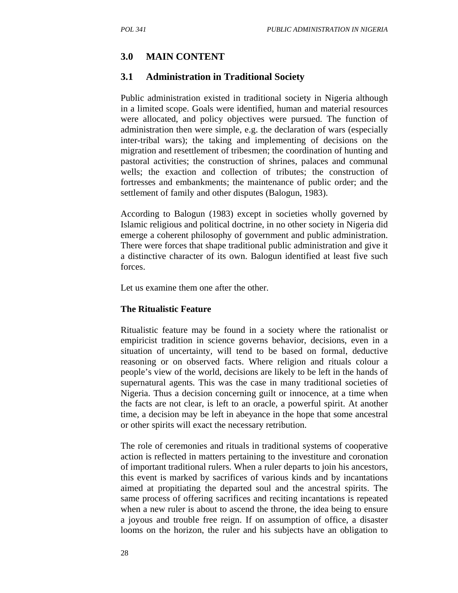# **3.0 MAIN CONTENT**

### **3.1 Administration in Traditional Society**

Public administration existed in traditional society in Nigeria although in a limited scope. Goals were identified, human and material resources were allocated, and policy objectives were pursued. The function of administration then were simple, e.g. the declaration of wars (especially inter-tribal wars); the taking and implementing of decisions on the migration and resettlement of tribesmen; the coordination of hunting and pastoral activities; the construction of shrines, palaces and communal wells; the exaction and collection of tributes; the construction of fortresses and embankments; the maintenance of public order; and the settlement of family and other disputes (Balogun, 1983).

According to Balogun (1983) except in societies wholly governed by Islamic religious and political doctrine, in no other society in Nigeria did emerge a coherent philosophy of government and public administration. There were forces that shape traditional public administration and give it a distinctive character of its own. Balogun identified at least five such forces.

Let us examine them one after the other.

#### **The Ritualistic Feature**

Ritualistic feature may be found in a society where the rationalist or empiricist tradition in science governs behavior, decisions, even in a situation of uncertainty, will tend to be based on formal, deductive reasoning or on observed facts. Where religion and rituals colour a people's view of the world, decisions are likely to be left in the hands of supernatural agents. This was the case in many traditional societies of Nigeria. Thus a decision concerning guilt or innocence, at a time when the facts are not clear, is left to an oracle, a powerful spirit. At another time, a decision may be left in abeyance in the hope that some ancestral or other spirits will exact the necessary retribution.

The role of ceremonies and rituals in traditional systems of cooperative action is reflected in matters pertaining to the investiture and coronation of important traditional rulers. When a ruler departs to join his ancestors, this event is marked by sacrifices of various kinds and by incantations aimed at propitiating the departed soul and the ancestral spirits. The same process of offering sacrifices and reciting incantations is repeated when a new ruler is about to ascend the throne, the idea being to ensure a joyous and trouble free reign. If on assumption of office, a disaster looms on the horizon, the ruler and his subjects have an obligation to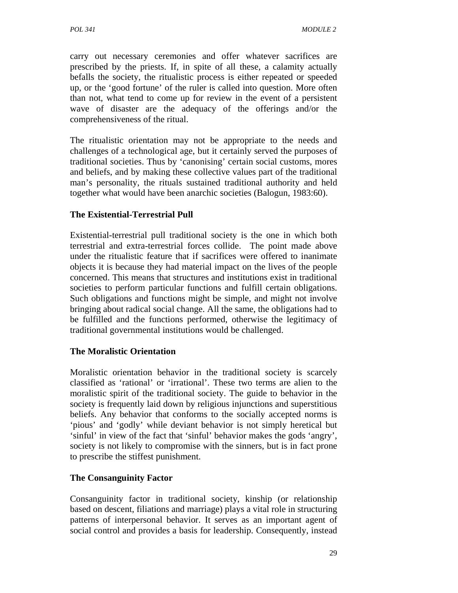carry out necessary ceremonies and offer whatever sacrifices are prescribed by the priests. If, in spite of all these, a calamity actually befalls the society, the ritualistic process is either repeated or speeded up, or the 'good fortune' of the ruler is called into question. More often than not, what tend to come up for review in the event of a persistent wave of disaster are the adequacy of the offerings and/or the comprehensiveness of the ritual.

The ritualistic orientation may not be appropriate to the needs and challenges of a technological age, but it certainly served the purposes of traditional societies. Thus by 'canonising' certain social customs, mores and beliefs, and by making these collective values part of the traditional man's personality, the rituals sustained traditional authority and held together what would have been anarchic societies (Balogun, 1983:60).

### **The Existential-Terrestrial Pull**

Existential-terrestrial pull traditional society is the one in which both terrestrial and extra-terrestrial forces collide. The point made above under the ritualistic feature that if sacrifices were offered to inanimate objects it is because they had material impact on the lives of the people concerned. This means that structures and institutions exist in traditional societies to perform particular functions and fulfill certain obligations. Such obligations and functions might be simple, and might not involve bringing about radical social change. All the same, the obligations had to be fulfilled and the functions performed, otherwise the legitimacy of traditional governmental institutions would be challenged.

### **The Moralistic Orientation**

Moralistic orientation behavior in the traditional society is scarcely classified as 'rational' or 'irrational'. These two terms are alien to the moralistic spirit of the traditional society. The guide to behavior in the society is frequently laid down by religious injunctions and superstitious beliefs. Any behavior that conforms to the socially accepted norms is 'pious' and 'godly' while deviant behavior is not simply heretical but 'sinful' in view of the fact that 'sinful' behavior makes the gods 'angry', society is not likely to compromise with the sinners, but is in fact prone to prescribe the stiffest punishment.

### **The Consanguinity Factor**

Consanguinity factor in traditional society, kinship (or relationship based on descent, filiations and marriage) plays a vital role in structuring patterns of interpersonal behavior. It serves as an important agent of social control and provides a basis for leadership. Consequently, instead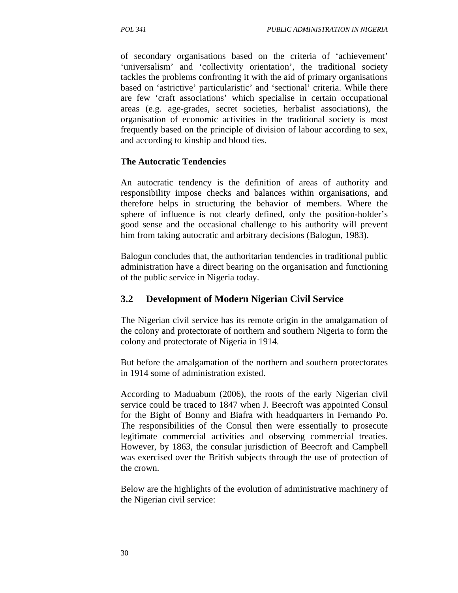of secondary organisations based on the criteria of 'achievement' 'universalism' and 'collectivity orientation', the traditional society tackles the problems confronting it with the aid of primary organisations based on 'astrictive' particularistic' and 'sectional' criteria. While there are few 'craft associations' which specialise in certain occupational areas (e.g. age-grades, secret societies, herbalist associations), the organisation of economic activities in the traditional society is most frequently based on the principle of division of labour according to sex, and according to kinship and blood ties.

#### **The Autocratic Tendencies**

An autocratic tendency is the definition of areas of authority and responsibility impose checks and balances within organisations, and therefore helps in structuring the behavior of members. Where the sphere of influence is not clearly defined, only the position-holder's good sense and the occasional challenge to his authority will prevent him from taking autocratic and arbitrary decisions (Balogun, 1983).

Balogun concludes that, the authoritarian tendencies in traditional public administration have a direct bearing on the organisation and functioning of the public service in Nigeria today.

### **3.2 Development of Modern Nigerian Civil Service**

The Nigerian civil service has its remote origin in the amalgamation of the colony and protectorate of northern and southern Nigeria to form the colony and protectorate of Nigeria in 1914.

But before the amalgamation of the northern and southern protectorates in 1914 some of administration existed.

According to Maduabum (2006), the roots of the early Nigerian civil service could be traced to 1847 when J. Beecroft was appointed Consul for the Bight of Bonny and Biafra with headquarters in Fernando Po. The responsibilities of the Consul then were essentially to prosecute legitimate commercial activities and observing commercial treaties. However, by 1863, the consular jurisdiction of Beecroft and Campbell was exercised over the British subjects through the use of protection of the crown.

Below are the highlights of the evolution of administrative machinery of the Nigerian civil service: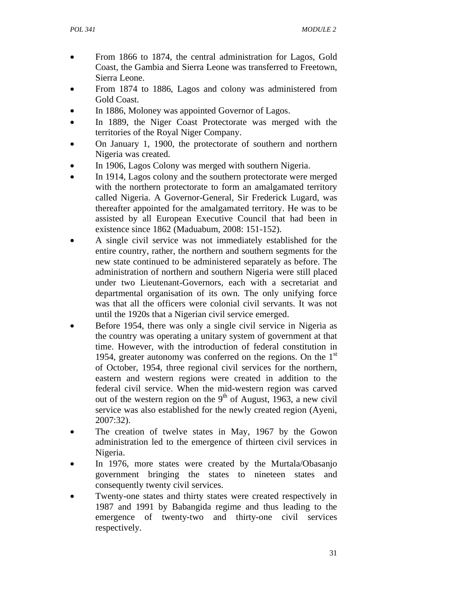- From 1866 to 1874, the central administration for Lagos, Gold Coast, the Gambia and Sierra Leone was transferred to Freetown, Sierra Leone.
- From 1874 to 1886, Lagos and colony was administered from Gold Coast.
- In 1886, Moloney was appointed Governor of Lagos.
- In 1889, the Niger Coast Protectorate was merged with the territories of the Royal Niger Company.
- On January 1, 1900, the protectorate of southern and northern Nigeria was created.
- In 1906, Lagos Colony was merged with southern Nigeria.
- In 1914, Lagos colony and the southern protectorate were merged with the northern protectorate to form an amalgamated territory called Nigeria. A Governor-General, Sir Frederick Lugard, was thereafter appointed for the amalgamated territory. He was to be assisted by all European Executive Council that had been in existence since 1862 (Maduabum, 2008: 151-152).
- A single civil service was not immediately established for the entire country, rather, the northern and southern segments for the new state continued to be administered separately as before. The administration of northern and southern Nigeria were still placed under two Lieutenant-Governors, each with a secretariat and departmental organisation of its own. The only unifying force was that all the officers were colonial civil servants. It was not until the 1920s that a Nigerian civil service emerged.
- Before 1954, there was only a single civil service in Nigeria as the country was operating a unitary system of government at that time. However, with the introduction of federal constitution in 1954, greater autonomy was conferred on the regions. On the  $1<sup>st</sup>$ of October, 1954, three regional civil services for the northern, eastern and western regions were created in addition to the federal civil service. When the mid-western region was carved out of the western region on the  $9<sup>th</sup>$  of August, 1963, a new civil service was also established for the newly created region (Ayeni, 2007:32).
- The creation of twelve states in May, 1967 by the Gowon administration led to the emergence of thirteen civil services in Nigeria.
- In 1976, more states were created by the Murtala/Obasanjo government bringing the states to nineteen states and consequently twenty civil services.
- Twenty-one states and thirty states were created respectively in 1987 and 1991 by Babangida regime and thus leading to the emergence of twenty-two and thirty-one civil services respectively.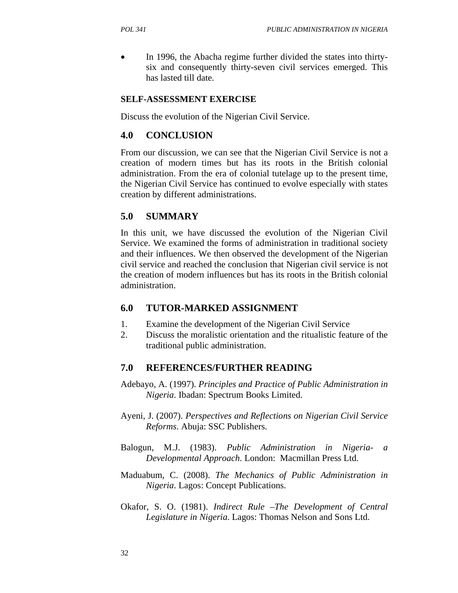In 1996, the Abacha regime further divided the states into thirtysix and consequently thirty-seven civil services emerged. This has lasted till date.

### **SELF-ASSESSMENT EXERCISE**

Discuss the evolution of the Nigerian Civil Service.

### **4.0 CONCLUSION**

From our discussion, we can see that the Nigerian Civil Service is not a creation of modern times but has its roots in the British colonial administration. From the era of colonial tutelage up to the present time, the Nigerian Civil Service has continued to evolve especially with states creation by different administrations.

## **5.0 SUMMARY**

In this unit, we have discussed the evolution of the Nigerian Civil Service. We examined the forms of administration in traditional society and their influences. We then observed the development of the Nigerian civil service and reached the conclusion that Nigerian civil service is not the creation of modern influences but has its roots in the British colonial administration.

### **6.0 TUTOR-MARKED ASSIGNMENT**

- 1. Examine the development of the Nigerian Civil Service
- 2. Discuss the moralistic orientation and the ritualistic feature of the traditional public administration.

## **7.0 REFERENCES/FURTHER READING**

- Adebayo, A. (1997). *Principles and Practice of Public Administration in Nigeria*. Ibadan: Spectrum Books Limited.
- Ayeni, J. (2007). *Perspectives and Reflections on Nigerian Civil Service Reforms*. Abuja: SSC Publishers.
- Balogun, M.J. (1983). *Public Administration in Nigeria- a Developmental Approach*. London: Macmillan Press Ltd.
- Maduabum, C. (2008). *The Mechanics of Public Administration in Nigeria*. Lagos: Concept Publications.
- Okafor, S. O. (1981). *Indirect Rule –The Development of Central Legislature in Nigeria*. Lagos: Thomas Nelson and Sons Ltd.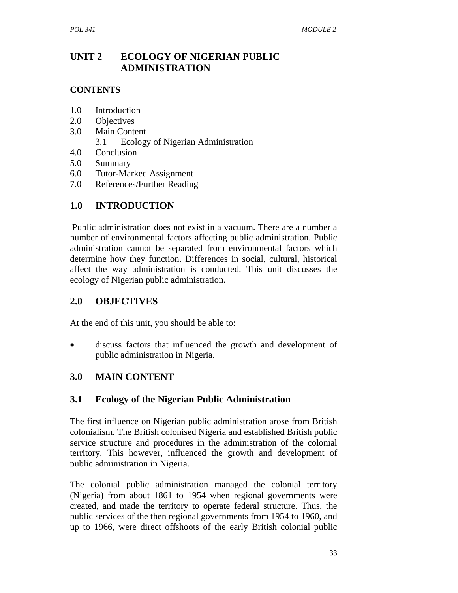# **UNIT 2 ECOLOGY OF NIGERIAN PUBLIC ADMINISTRATION**

### **CONTENTS**

- 1.0 Introduction
- 2.0 Objectives
- 3.0 Main Content
	- 3.1 Ecology of Nigerian Administration
- 4.0 Conclusion
- 5.0 Summary
- 6.0 Tutor-Marked Assignment
- 7.0 References/Further Reading

# **1.0 INTRODUCTION**

 Public administration does not exist in a vacuum. There are a number a number of environmental factors affecting public administration. Public administration cannot be separated from environmental factors which determine how they function. Differences in social, cultural, historical affect the way administration is conducted. This unit discusses the ecology of Nigerian public administration.

## **2.0 OBJECTIVES**

At the end of this unit, you should be able to:

discuss factors that influenced the growth and development of public administration in Nigeria.

# **3.0 MAIN CONTENT**

## **3.1 Ecology of the Nigerian Public Administration**

The first influence on Nigerian public administration arose from British colonialism. The British colonised Nigeria and established British public service structure and procedures in the administration of the colonial territory. This however, influenced the growth and development of public administration in Nigeria.

The colonial public administration managed the colonial territory (Nigeria) from about 1861 to 1954 when regional governments were created, and made the territory to operate federal structure. Thus, the public services of the then regional governments from 1954 to 1960, and up to 1966, were direct offshoots of the early British colonial public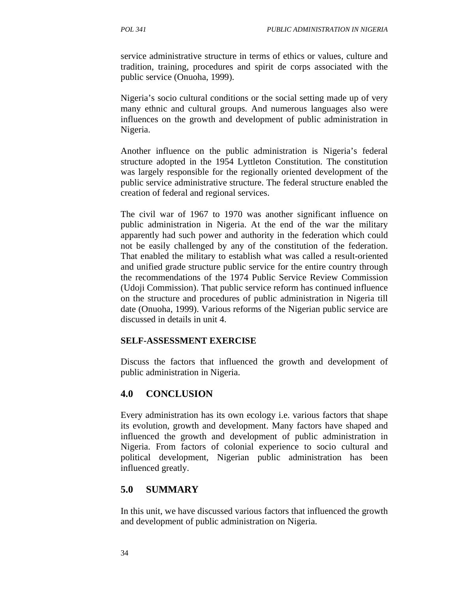service administrative structure in terms of ethics or values, culture and tradition, training, procedures and spirit de corps associated with the public service (Onuoha, 1999).

Nigeria's socio cultural conditions or the social setting made up of very many ethnic and cultural groups. And numerous languages also were influences on the growth and development of public administration in Nigeria.

Another influence on the public administration is Nigeria's federal structure adopted in the 1954 Lyttleton Constitution. The constitution was largely responsible for the regionally oriented development of the public service administrative structure. The federal structure enabled the creation of federal and regional services.

The civil war of 1967 to 1970 was another significant influence on public administration in Nigeria. At the end of the war the military apparently had such power and authority in the federation which could not be easily challenged by any of the constitution of the federation. That enabled the military to establish what was called a result-oriented and unified grade structure public service for the entire country through the recommendations of the 1974 Public Service Review Commission (Udoji Commission). That public service reform has continued influence on the structure and procedures of public administration in Nigeria till date (Onuoha, 1999). Various reforms of the Nigerian public service are discussed in details in unit 4.

#### **SELF-ASSESSMENT EXERCISE**

Discuss the factors that influenced the growth and development of public administration in Nigeria.

#### **4.0 CONCLUSION**

Every administration has its own ecology i.e. various factors that shape its evolution, growth and development. Many factors have shaped and influenced the growth and development of public administration in Nigeria. From factors of colonial experience to socio cultural and political development, Nigerian public administration has been influenced greatly.

### **5.0 SUMMARY**

In this unit, we have discussed various factors that influenced the growth and development of public administration on Nigeria.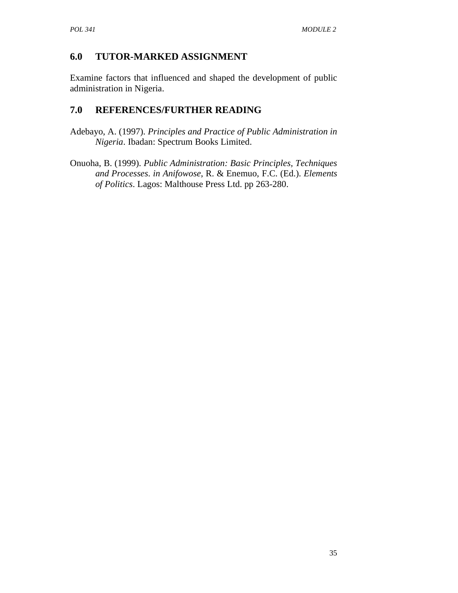# **6.0 TUTOR-MARKED ASSIGNMENT**

Examine factors that influenced and shaped the development of public administration in Nigeria.

# **7.0 REFERENCES/FURTHER READING**

- Adebayo, A. (1997). *Principles and Practice of Public Administration in Nigeria*. Ibadan: Spectrum Books Limited.
- Onuoha, B. (1999). *Public Administration: Basic Principles, Techniques and Processes*. *in Anifowose*, R. & Enemuo, F.C. (Ed.). *Elements of Politics*. Lagos: Malthouse Press Ltd. pp 263-280.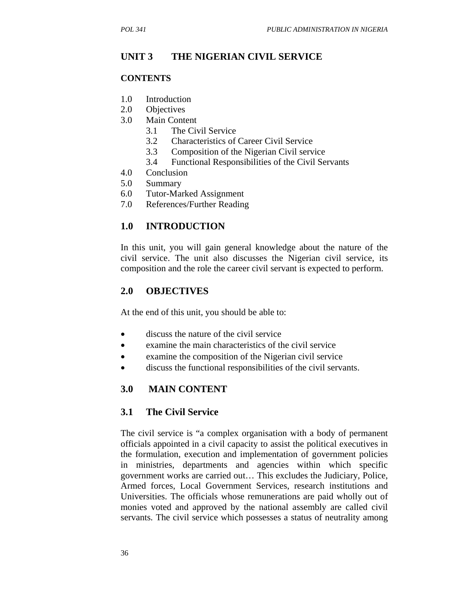### **UNIT 3 THE NIGERIAN CIVIL SERVICE**

#### **CONTENTS**

- 1.0 Introduction
- 2.0 Objectives
- 3.0 Main Content
	- 3.1 The Civil Service
	- 3.2 Characteristics of Career Civil Service
	- 3.3 Composition of the Nigerian Civil service
	- 3.4 Functional Responsibilities of the Civil Servants
- 4.0 Conclusion
- 5.0 Summary
- 6.0 Tutor-Marked Assignment
- 7.0 References/Further Reading

### **1.0 INTRODUCTION**

In this unit, you will gain general knowledge about the nature of the civil service. The unit also discusses the Nigerian civil service, its composition and the role the career civil servant is expected to perform.

#### **2.0 OBJECTIVES**

At the end of this unit, you should be able to:

- discuss the nature of the civil service
- examine the main characteristics of the civil service
- examine the composition of the Nigerian civil service
- discuss the functional responsibilities of the civil servants.

### **3.0 MAIN CONTENT**

#### **3.1 The Civil Service**

The civil service is "a complex organisation with a body of permanent officials appointed in a civil capacity to assist the political executives in the formulation, execution and implementation of government policies in ministries, departments and agencies within which specific government works are carried out… This excludes the Judiciary, Police, Armed forces, Local Government Services, research institutions and Universities. The officials whose remunerations are paid wholly out of monies voted and approved by the national assembly are called civil servants. The civil service which possesses a status of neutrality among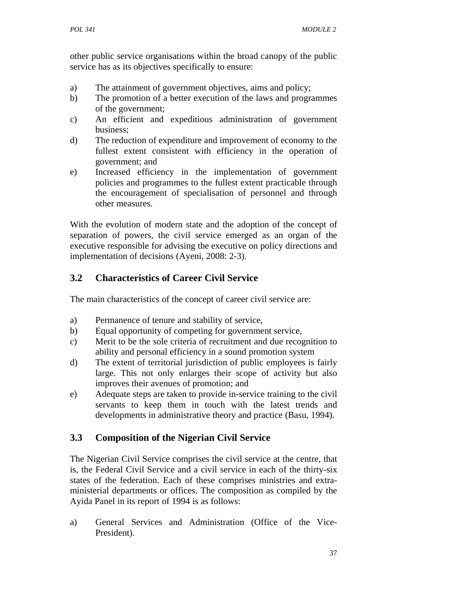other public service organisations within the broad canopy of the public service has as its objectives specifically to ensure:

- a) The attainment of government objectives, aims and policy;
- b) The promotion of a better execution of the laws and programmes of the government;
- c) An efficient and expeditious administration of government business;
- d) The reduction of expenditure and improvement of economy to the fullest extent consistent with efficiency in the operation of government; and
- e) Increased efficiency in the implementation of government policies and programmes to the fullest extent practicable through the encouragement of specialisation of personnel and through other measures.

With the evolution of modern state and the adoption of the concept of separation of powers, the civil service emerged as an organ of the executive responsible for advising the executive on policy directions and implementation of decisions (Ayeni, 2008: 2-3).

# **3.2 Characteristics of Career Civil Service**

The main characteristics of the concept of career civil service are:

- a) Permanence of tenure and stability of service,
- b) Equal opportunity of competing for government service,
- c) Merit to be the sole criteria of recruitment and due recognition to ability and personal efficiency in a sound promotion system
- d) The extent of territorial jurisdiction of public employees is fairly large. This not only enlarges their scope of activity but also improves their avenues of promotion; and
- e) Adequate steps are taken to provide in-service training to the civil servants to keep them in touch with the latest trends and developments in administrative theory and practice (Basu, 1994).

# **3.3 Composition of the Nigerian Civil Service**

The Nigerian Civil Service comprises the civil service at the centre, that is, the Federal Civil Service and a civil service in each of the thirty-six states of the federation. Each of these comprises ministries and extraministerial departments or offices. The composition as compiled by the Ayida Panel in its report of 1994 is as follows:

a) General Services and Administration (Office of the Vice-President).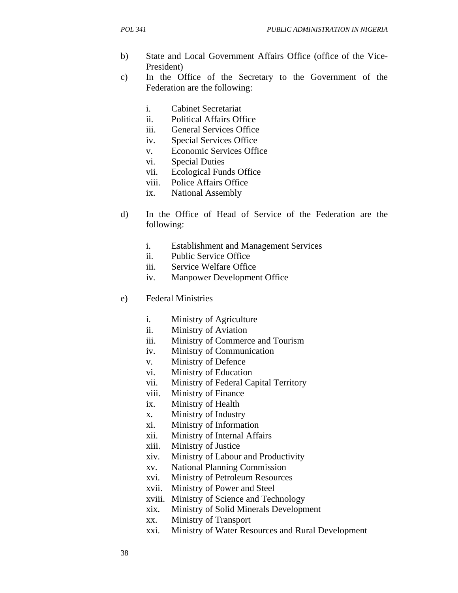- b) State and Local Government Affairs Office (office of the Vice-President)
- c) In the Office of the Secretary to the Government of the Federation are the following:
	- i. Cabinet Secretariat
	- ii. Political Affairs Office
	- iii. General Services Office
	- iv. Special Services Office
	- v. Economic Services Office
	- vi. Special Duties
	- vii. Ecological Funds Office
	- viii. Police Affairs Office
	- ix. National Assembly
- d) In the Office of Head of Service of the Federation are the following:
	- i. Establishment and Management Services
	- ii. Public Service Office
	- iii. Service Welfare Office
	- iv. Manpower Development Office
- e) Federal Ministries
	- i. Ministry of Agriculture
	- ii. Ministry of Aviation
	- iii. Ministry of Commerce and Tourism
	- iv. Ministry of Communication
	- v. Ministry of Defence
	- vi. Ministry of Education
	- vii. Ministry of Federal Capital Territory
	- viii. Ministry of Finance
	- ix. Ministry of Health
	- x. Ministry of Industry
	- xi. Ministry of Information
	- xii. Ministry of Internal Affairs
	- xiii. Ministry of Justice
	- xiv. Ministry of Labour and Productivity
	- xv. National Planning Commission
	- xvi. Ministry of Petroleum Resources
	- xvii. Ministry of Power and Steel
	- xviii. Ministry of Science and Technology
	- xix. Ministry of Solid Minerals Development
	- xx. Ministry of Transport
	- xxi. Ministry of Water Resources and Rural Development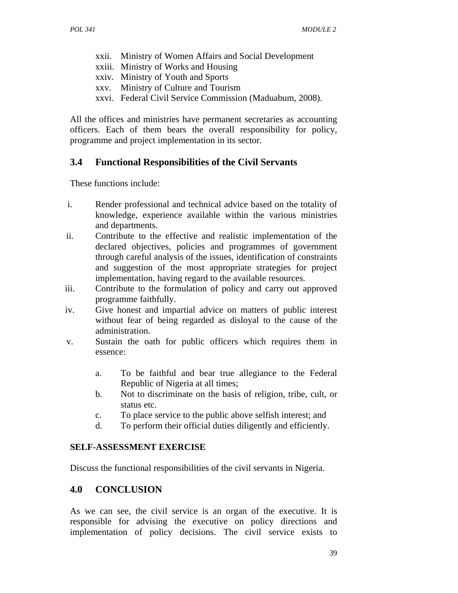- xxii. Ministry of Women Affairs and Social Development
- xxiii. Ministry of Works and Housing
- xxiv. Ministry of Youth and Sports
- xxv. Ministry of Culture and Tourism
- xxvi. Federal Civil Service Commission (Maduabum, 2008).

All the offices and ministries have permanent secretaries as accounting officers. Each of them bears the overall responsibility for policy, programme and project implementation in its sector.

## **3.4 Functional Responsibilities of the Civil Servants**

These functions include:

- i. Render professional and technical advice based on the totality of knowledge, experience available within the various ministries and departments.
- ii. Contribute to the effective and realistic implementation of the declared objectives, policies and programmes of government through careful analysis of the issues, identification of constraints and suggestion of the most appropriate strategies for project implementation, having regard to the available resources.
- iii. Contribute to the formulation of policy and carry out approved programme faithfully.
- iv. Give honest and impartial advice on matters of public interest without fear of being regarded as disloyal to the cause of the administration.
- v. Sustain the oath for public officers which requires them in essence:
	- a. To be faithful and bear true allegiance to the Federal Republic of Nigeria at all times;
	- b. Not to discriminate on the basis of religion, tribe, cult, or status etc.
	- c. To place service to the public above selfish interest; and
	- d. To perform their official duties diligently and efficiently.

### **SELF-ASSESSMENT EXERCISE**

Discuss the functional responsibilities of the civil servants in Nigeria.

### **4.0 CONCLUSION**

As we can see, the civil service is an organ of the executive. It is responsible for advising the executive on policy directions and implementation of policy decisions. The civil service exists to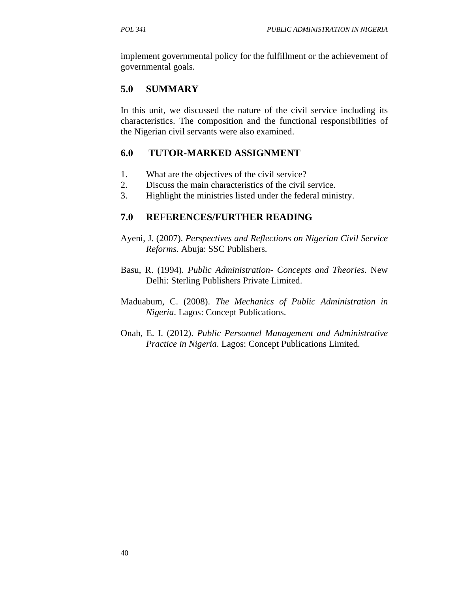implement governmental policy for the fulfillment or the achievement of governmental goals.

## **5.0 SUMMARY**

In this unit, we discussed the nature of the civil service including its characteristics. The composition and the functional responsibilities of the Nigerian civil servants were also examined.

## **6.0 TUTOR-MARKED ASSIGNMENT**

- 1. What are the objectives of the civil service?
- 2. Discuss the main characteristics of the civil service.
- 3. Highlight the ministries listed under the federal ministry.

## **7.0 REFERENCES/FURTHER READING**

- Ayeni, J. (2007). *Perspectives and Reflections on Nigerian Civil Service Reforms*. Abuja: SSC Publishers.
- Basu, R. (1994). *Public Administration- Concepts and Theories*. New Delhi: Sterling Publishers Private Limited.
- Maduabum, C. (2008). *The Mechanics of Public Administration in Nigeria*. Lagos: Concept Publications.
- Onah, E. I. (2012). *Public Personnel Management and Administrative Practice in Nigeria*. Lagos: Concept Publications Limited.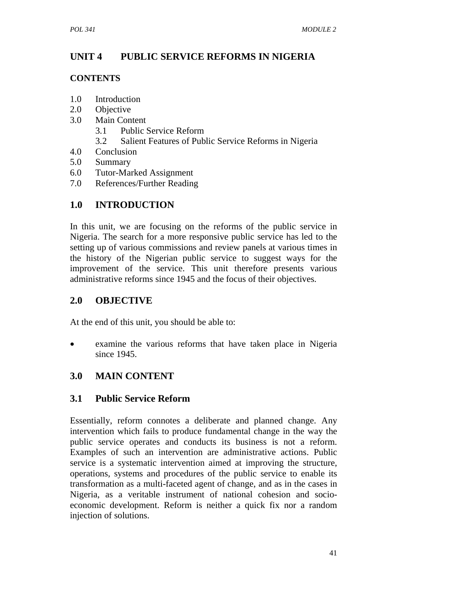# **UNIT 4 PUBLIC SERVICE REFORMS IN NIGERIA**

## **CONTENTS**

- 1.0 Introduction
- 2.0 Objective
- 3.0 Main Content
	- 3.1 Public Service Reform
	- 3.2 Salient Features of Public Service Reforms in Nigeria
- 4.0 Conclusion
- 5.0 Summary
- 6.0 Tutor-Marked Assignment
- 7.0 References/Further Reading

# **1.0 INTRODUCTION**

In this unit, we are focusing on the reforms of the public service in Nigeria. The search for a more responsive public service has led to the setting up of various commissions and review panels at various times in the history of the Nigerian public service to suggest ways for the improvement of the service. This unit therefore presents various administrative reforms since 1945 and the focus of their objectives.

# **2.0 OBJECTIVE**

At the end of this unit, you should be able to:

examine the various reforms that have taken place in Nigeria since 1945.

# **3.0 MAIN CONTENT**

# **3.1 Public Service Reform**

Essentially, reform connotes a deliberate and planned change. Any intervention which fails to produce fundamental change in the way the public service operates and conducts its business is not a reform. Examples of such an intervention are administrative actions. Public service is a systematic intervention aimed at improving the structure, operations, systems and procedures of the public service to enable its transformation as a multi-faceted agent of change, and as in the cases in Nigeria, as a veritable instrument of national cohesion and socioeconomic development. Reform is neither a quick fix nor a random injection of solutions.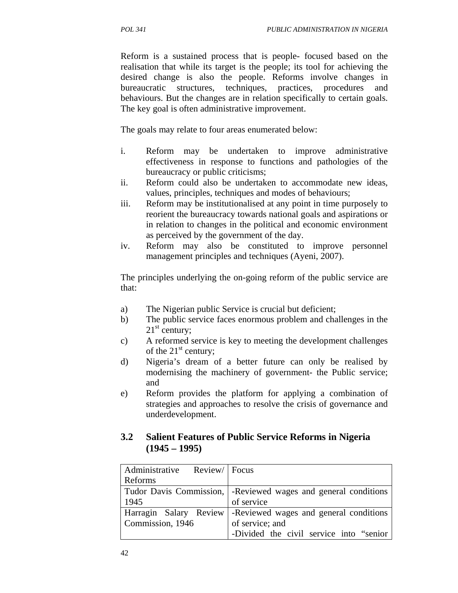Reform is a sustained process that is people- focused based on the realisation that while its target is the people; its tool for achieving the desired change is also the people. Reforms involve changes in bureaucratic structures, techniques, practices, procedures and behaviours. But the changes are in relation specifically to certain goals. The key goal is often administrative improvement.

The goals may relate to four areas enumerated below:

- i. Reform may be undertaken to improve administrative effectiveness in response to functions and pathologies of the bureaucracy or public criticisms;
- ii. Reform could also be undertaken to accommodate new ideas, values, principles, techniques and modes of behaviours;
- iii. Reform may be institutionalised at any point in time purposely to reorient the bureaucracy towards national goals and aspirations or in relation to changes in the political and economic environment as perceived by the government of the day.
- iv. Reform may also be constituted to improve personnel management principles and techniques (Ayeni, 2007).

The principles underlying the on-going reform of the public service are that:

- a) The Nigerian public Service is crucial but deficient;
- b) The public service faces enormous problem and challenges in the  $21^{\text{st}}$  century;
- c) A reformed service is key to meeting the development challenges of the  $21<sup>st</sup>$  century;
- d) Nigeria's dream of a better future can only be realised by modernising the machinery of government- the Public service; and
- e) Reform provides the platform for applying a combination of strategies and approaches to resolve the crisis of governance and underdevelopment.

## **3.2 Salient Features of Public Service Reforms in Nigeria (1945 – 1995)**

| Administrative Review   Focus |                                                                  |
|-------------------------------|------------------------------------------------------------------|
| Reforms                       |                                                                  |
|                               | Tudor Davis Commission,   -Reviewed wages and general conditions |
| 1945                          | of service                                                       |
| Harragin Salary Review        | -Reviewed wages and general conditions                           |
| Commission, 1946              | of service; and                                                  |
|                               | -Divided the civil service into "senior"                         |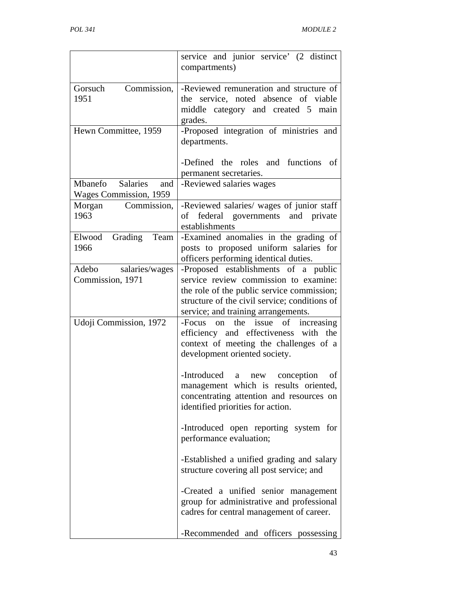|                                                             | service and junior service' (2 distinct<br>compartments)                                                                                                                                                            |
|-------------------------------------------------------------|---------------------------------------------------------------------------------------------------------------------------------------------------------------------------------------------------------------------|
| Gorsuch<br>Commission,<br>1951                              | -Reviewed remuneration and structure of<br>the service, noted absence of viable<br>middle category and created 5 main<br>grades.                                                                                    |
| Hewn Committee, 1959                                        | -Proposed integration of ministries and<br>departments.<br>-Defined the roles and functions<br>οf                                                                                                                   |
|                                                             | permanent secretaries.                                                                                                                                                                                              |
| <b>Salaries</b><br>Mbanefo<br>and<br>Wages Commission, 1959 | -Reviewed salaries wages                                                                                                                                                                                            |
| Morgan<br>Commission,<br>1963                               | -Reviewed salaries/ wages of junior staff<br>of federal governments and private<br>establishments                                                                                                                   |
| Grading<br>Team<br>Elwood<br>1966                           | -Examined anomalies in the grading of<br>posts to proposed uniform salaries for<br>officers performing identical duties.                                                                                            |
| Adebo<br>salaries/wages<br>Commission, 1971                 | -Proposed establishments of a public<br>service review commission to examine:<br>the role of the public service commission;<br>structure of the civil service; conditions of<br>service; and training arrangements. |
| Udoji Commission, 1972                                      | -Focus on the issue of increasing<br>efficiency and effectiveness with the<br>context of meeting the challenges of a<br>development oriented society.                                                               |
|                                                             | -Introduced<br>conception<br>a<br>new<br>of<br>management which is results oriented,<br>concentrating attention and resources on<br>identified priorities for action.                                               |
|                                                             | -Introduced open reporting system for<br>performance evaluation;                                                                                                                                                    |
|                                                             | -Established a unified grading and salary<br>structure covering all post service; and                                                                                                                               |
|                                                             | -Created a unified senior management<br>group for administrative and professional<br>cadres for central management of career.                                                                                       |
|                                                             | -Recommended and officers possessing                                                                                                                                                                                |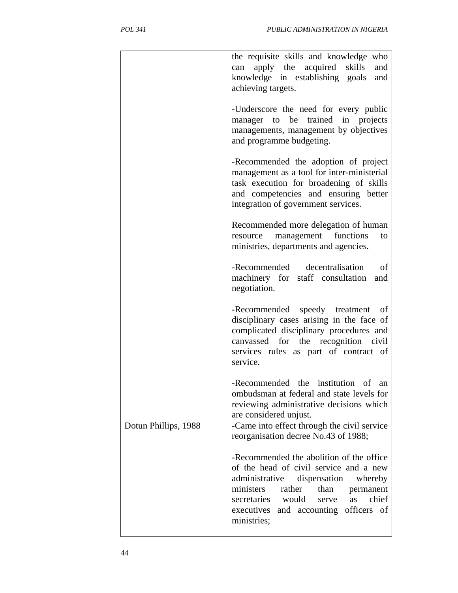|                      | the requisite skills and knowledge who<br>apply the acquired<br>skills<br>and<br>can<br>knowledge in establishing goals<br>and<br>achieving targets.                                                                                                                                |
|----------------------|-------------------------------------------------------------------------------------------------------------------------------------------------------------------------------------------------------------------------------------------------------------------------------------|
|                      | -Underscore the need for every public<br>manager to be trained in projects<br>managements, management by objectives<br>and programme budgeting.                                                                                                                                     |
|                      | -Recommended the adoption of project<br>management as a tool for inter-ministerial<br>task execution for broadening of skills<br>and competencies and ensuring better<br>integration of government services.                                                                        |
|                      | Recommended more delegation of human<br>management functions<br>resource<br>to<br>ministries, departments and agencies.                                                                                                                                                             |
|                      | -Recommended<br>decentralisation<br>of<br>machinery for staff consultation<br>and<br>negotiation.                                                                                                                                                                                   |
|                      | -Recommended speedy treatment<br>- of<br>disciplinary cases arising in the face of<br>complicated disciplinary procedures and<br>canvassed for the recognition civil<br>services rules as part of contract of<br>service.                                                           |
|                      | -Recommended the institution of an<br>ombudsman at federal and state levels for<br>reviewing administrative decisions which<br>are considered unjust.                                                                                                                               |
| Dotun Phillips, 1988 | -Came into effect through the civil service<br>reorganisation decree No.43 of 1988;                                                                                                                                                                                                 |
|                      | -Recommended the abolition of the office<br>of the head of civil service and a new<br>administrative<br>dispensation<br>whereby<br>ministers<br>rather<br>than<br>permanent<br>secretaries would<br>chief<br>as<br>serve<br>officers of<br>executives and accounting<br>ministries; |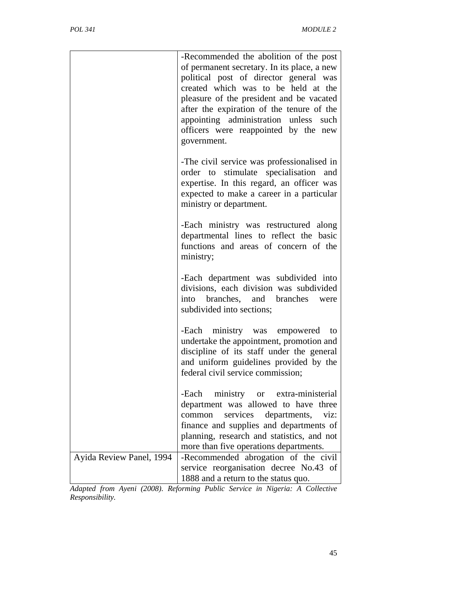|                          | -Recommended the abolition of the post<br>of permanent secretary. In its place, a new<br>political post of director general was<br>created which was to be held at the<br>pleasure of the president and be vacated<br>after the expiration of the tenure of the<br>appointing administration unless such<br>officers were reappointed by the new<br>government. |
|--------------------------|-----------------------------------------------------------------------------------------------------------------------------------------------------------------------------------------------------------------------------------------------------------------------------------------------------------------------------------------------------------------|
|                          | -The civil service was professionalised in<br>order to stimulate specialisation and<br>expertise. In this regard, an officer was<br>expected to make a career in a particular<br>ministry or department.                                                                                                                                                        |
|                          | -Each ministry was restructured along<br>departmental lines to reflect the basic<br>functions and areas of concern of the<br>ministry;                                                                                                                                                                                                                          |
|                          | -Each department was subdivided into<br>divisions, each division was subdivided<br>branches, and branches<br>into<br>were<br>subdivided into sections;                                                                                                                                                                                                          |
|                          | -Each ministry was empowered<br>to<br>undertake the appointment, promotion and<br>discipline of its staff under the general<br>and uniform guidelines provided by the<br>federal civil service commission;                                                                                                                                                      |
|                          | ministry or extra-ministerial<br>-Each<br>department was allowed to have three<br>services<br>departments,<br>common<br>viz:<br>finance and supplies and departments of<br>planning, research and statistics, and not<br>more than five operations departments.                                                                                                 |
| Ayida Review Panel, 1994 | -Recommended abrogation of the civil<br>service reorganisation decree No.43 of<br>1888 and a return to the status quo.                                                                                                                                                                                                                                          |

*Adapted from Ayeni (2008). Reforming Public Service in Nigeria: A Collective Responsibility.*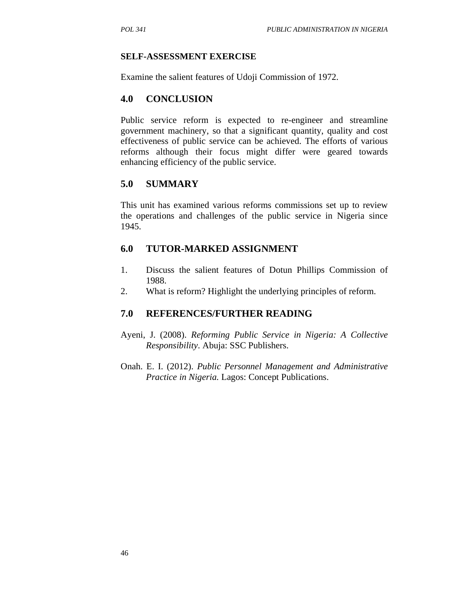#### **SELF-ASSESSMENT EXERCISE**

Examine the salient features of Udoji Commission of 1972.

#### **4.0 CONCLUSION**

Public service reform is expected to re-engineer and streamline government machinery, so that a significant quantity, quality and cost effectiveness of public service can be achieved. The efforts of various reforms although their focus might differ were geared towards enhancing efficiency of the public service.

#### **5.0 SUMMARY**

This unit has examined various reforms commissions set up to review the operations and challenges of the public service in Nigeria since 1945.

### **6.0 TUTOR-MARKED ASSIGNMENT**

- 1. Discuss the salient features of Dotun Phillips Commission of 1988.
- 2. What is reform? Highlight the underlying principles of reform.

### **7.0 REFERENCES/FURTHER READING**

- Ayeni, J. (2008). *Reforming Public Service in Nigeria: A Collective Responsibility*. Abuja: SSC Publishers.
- Onah. E. I. (2012). *Public Personnel Management and Administrative Practice in Nigeria.* Lagos: Concept Publications.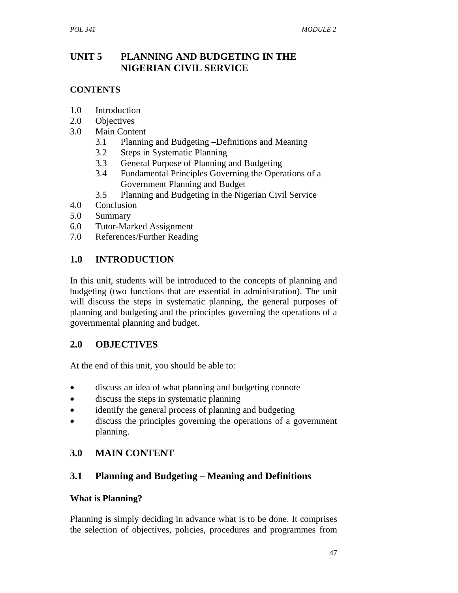# **UNIT 5 PLANNING AND BUDGETING IN THE NIGERIAN CIVIL SERVICE**

## **CONTENTS**

- 1.0 Introduction
- 2.0 Objectives
- 3.0 Main Content
	- 3.1 Planning and Budgeting –Definitions and Meaning
	- 3.2 Steps in Systematic Planning
	- 3.3 General Purpose of Planning and Budgeting
	- 3.4 Fundamental Principles Governing the Operations of a Government Planning and Budget
	- 3.5 Planning and Budgeting in the Nigerian Civil Service
- 4.0 Conclusion
- 5.0 Summary
- 6.0 Tutor-Marked Assignment
- 7.0 References/Further Reading

# **1.0 INTRODUCTION**

In this unit, students will be introduced to the concepts of planning and budgeting (two functions that are essential in administration). The unit will discuss the steps in systematic planning, the general purposes of planning and budgeting and the principles governing the operations of a governmental planning and budget.

## **2.0 OBJECTIVES**

At the end of this unit, you should be able to:

- discuss an idea of what planning and budgeting connote
- discuss the steps in systematic planning
- identify the general process of planning and budgeting
- discuss the principles governing the operations of a government planning.

# **3.0 MAIN CONTENT**

# **3.1 Planning and Budgeting – Meaning and Definitions**

### **What is Planning?**

Planning is simply deciding in advance what is to be done. It comprises the selection of objectives, policies, procedures and programmes from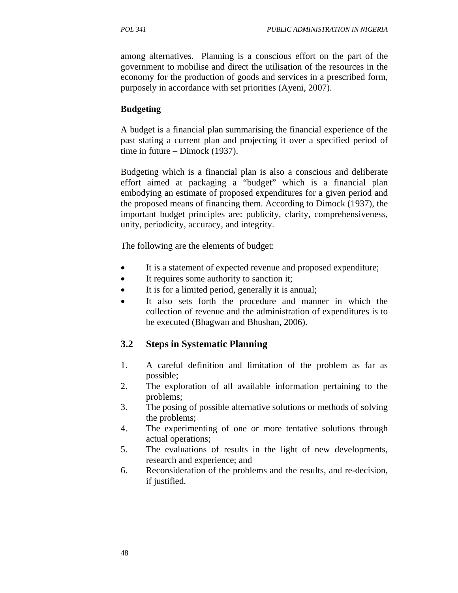among alternatives. Planning is a conscious effort on the part of the government to mobilise and direct the utilisation of the resources in the economy for the production of goods and services in a prescribed form, purposely in accordance with set priorities (Ayeni, 2007).

#### **Budgeting**

A budget is a financial plan summarising the financial experience of the past stating a current plan and projecting it over a specified period of time in future – Dimock (1937).

Budgeting which is a financial plan is also a conscious and deliberate effort aimed at packaging a "budget" which is a financial plan embodying an estimate of proposed expenditures for a given period and the proposed means of financing them. According to Dimock (1937), the important budget principles are: publicity, clarity, comprehensiveness, unity, periodicity, accuracy, and integrity.

The following are the elements of budget:

- It is a statement of expected revenue and proposed expenditure;
- It requires some authority to sanction it;
- It is for a limited period, generally it is annual;
- It also sets forth the procedure and manner in which the collection of revenue and the administration of expenditures is to be executed (Bhagwan and Bhushan, 2006).

### **3.2 Steps in Systematic Planning**

- 1. A careful definition and limitation of the problem as far as possible;
- 2. The exploration of all available information pertaining to the problems;
- 3. The posing of possible alternative solutions or methods of solving the problems;
- 4. The experimenting of one or more tentative solutions through actual operations;
- 5. The evaluations of results in the light of new developments, research and experience; and
- 6. Reconsideration of the problems and the results, and re-decision, if justified.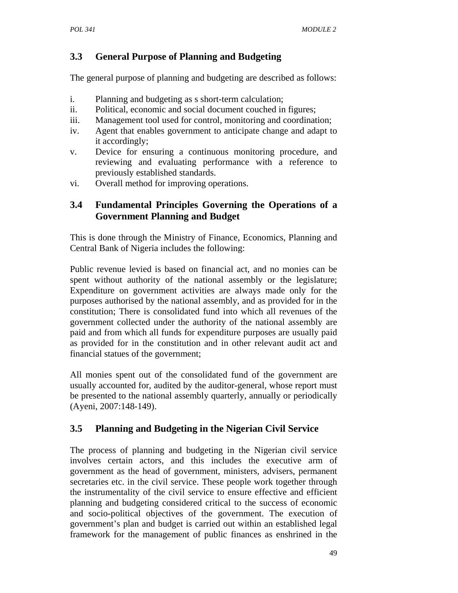# **3.3 General Purpose of Planning and Budgeting**

The general purpose of planning and budgeting are described as follows:

- i. Planning and budgeting as s short-term calculation;
- ii. Political, economic and social document couched in figures;
- iii. Management tool used for control, monitoring and coordination;
- iv. Agent that enables government to anticipate change and adapt to it accordingly;
- v. Device for ensuring a continuous monitoring procedure, and reviewing and evaluating performance with a reference to previously established standards.
- vi. Overall method for improving operations.

# **3.4 Fundamental Principles Governing the Operations of a Government Planning and Budget**

This is done through the Ministry of Finance, Economics, Planning and Central Bank of Nigeria includes the following:

Public revenue levied is based on financial act, and no monies can be spent without authority of the national assembly or the legislature; Expenditure on government activities are always made only for the purposes authorised by the national assembly, and as provided for in the constitution; There is consolidated fund into which all revenues of the government collected under the authority of the national assembly are paid and from which all funds for expenditure purposes are usually paid as provided for in the constitution and in other relevant audit act and financial statues of the government;

All monies spent out of the consolidated fund of the government are usually accounted for, audited by the auditor-general, whose report must be presented to the national assembly quarterly, annually or periodically (Ayeni, 2007:148-149).

# **3.5 Planning and Budgeting in the Nigerian Civil Service**

The process of planning and budgeting in the Nigerian civil service involves certain actors, and this includes the executive arm of government as the head of government, ministers, advisers, permanent secretaries etc. in the civil service. These people work together through the instrumentality of the civil service to ensure effective and efficient planning and budgeting considered critical to the success of economic and socio-political objectives of the government. The execution of government's plan and budget is carried out within an established legal framework for the management of public finances as enshrined in the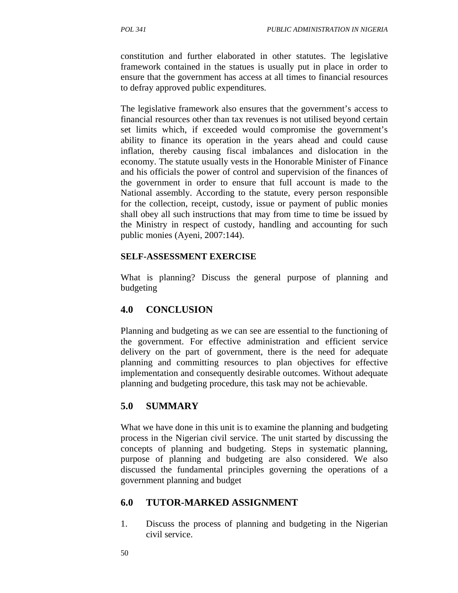constitution and further elaborated in other statutes. The legislative framework contained in the statues is usually put in place in order to ensure that the government has access at all times to financial resources to defray approved public expenditures.

The legislative framework also ensures that the government's access to financial resources other than tax revenues is not utilised beyond certain set limits which, if exceeded would compromise the government's ability to finance its operation in the years ahead and could cause inflation, thereby causing fiscal imbalances and dislocation in the economy. The statute usually vests in the Honorable Minister of Finance and his officials the power of control and supervision of the finances of the government in order to ensure that full account is made to the National assembly. According to the statute, every person responsible for the collection, receipt, custody, issue or payment of public monies shall obey all such instructions that may from time to time be issued by the Ministry in respect of custody, handling and accounting for such public monies (Ayeni, 2007:144).

#### **SELF-ASSESSMENT EXERCISE**

What is planning? Discuss the general purpose of planning and budgeting

## **4.0 CONCLUSION**

Planning and budgeting as we can see are essential to the functioning of the government. For effective administration and efficient service delivery on the part of government, there is the need for adequate planning and committing resources to plan objectives for effective implementation and consequently desirable outcomes. Without adequate planning and budgeting procedure, this task may not be achievable.

## **5.0 SUMMARY**

What we have done in this unit is to examine the planning and budgeting process in the Nigerian civil service. The unit started by discussing the concepts of planning and budgeting. Steps in systematic planning, purpose of planning and budgeting are also considered. We also discussed the fundamental principles governing the operations of a government planning and budget

## **6.0 TUTOR-MARKED ASSIGNMENT**

1. Discuss the process of planning and budgeting in the Nigerian civil service.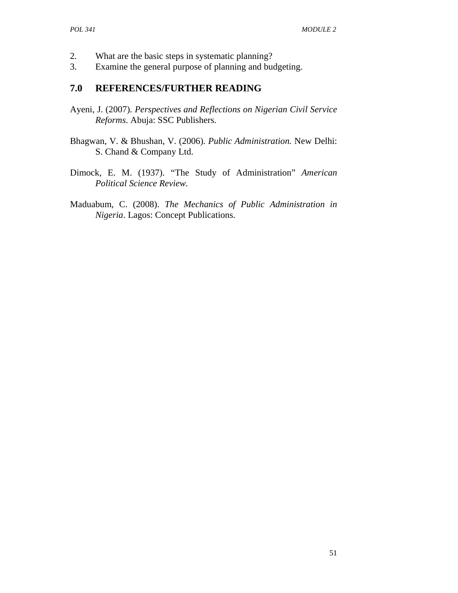- 2. What are the basic steps in systematic planning?
- 3. Examine the general purpose of planning and budgeting.

### **7.0 REFERENCES/FURTHER READING**

- Ayeni, J. (2007)*. Perspectives and Reflections on Nigerian Civil Service Reforms*. Abuja: SSC Publishers.
- Bhagwan, V. & Bhushan, V. (2006). *Public Administration.* New Delhi: S. Chand & Company Ltd.
- Dimock, E. M. (1937). "The Study of Administration" *American Political Science Review.*
- Maduabum, C. (2008). *The Mechanics of Public Administration in Nigeria*. Lagos: Concept Publications.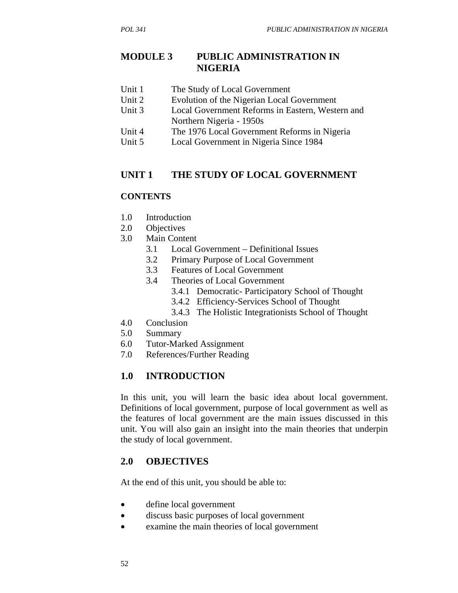## **MODULE 3 PUBLIC ADMINISTRATION IN NIGERIA**

- Unit 1 The Study of Local Government
- Unit 2 Evolution of the Nigerian Local Government
- Unit 3 Local Government Reforms in Eastern, Western and Northern Nigeria - 1950s
- Unit 4 The 1976 Local Government Reforms in Nigeria
- Unit 5 Local Government in Nigeria Since 1984

### **UNIT 1 THE STUDY OF LOCAL GOVERNMENT**

#### **CONTENTS**

- 1.0 Introduction
- 2.0 Objectives
- 3.0 Main Content
	- 3.1 Local Government Definitional Issues
	- 3.2 Primary Purpose of Local Government
	- 3.3 Features of Local Government
	- 3.4 Theories of Local Government
		- 3.4.1 Democratic- Participatory School of Thought
		- 3.4.2 Efficiency-Services School of Thought
		- 3.4.3 The Holistic Integrationists School of Thought
- 4.0 Conclusion
- 5.0 Summary
- 6.0 Tutor-Marked Assignment
- 7.0 References/Further Reading

## **1.0 INTRODUCTION**

In this unit, you will learn the basic idea about local government. Definitions of local government, purpose of local government as well as the features of local government are the main issues discussed in this unit. You will also gain an insight into the main theories that underpin the study of local government.

### **2.0 OBJECTIVES**

At the end of this unit, you should be able to:

- define local government
- discuss basic purposes of local government
- examine the main theories of local government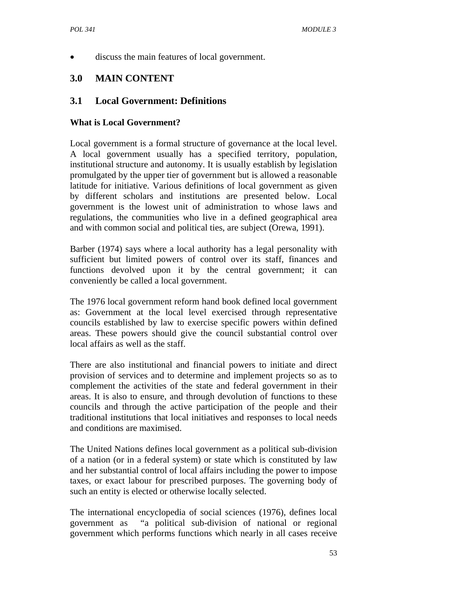• discuss the main features of local government.

# **3.0 MAIN CONTENT**

## **3.1 Local Government: Definitions**

### **What is Local Government?**

Local government is a formal structure of governance at the local level. A local government usually has a specified territory, population, institutional structure and autonomy. It is usually establish by legislation promulgated by the upper tier of government but is allowed a reasonable latitude for initiative. Various definitions of local government as given by different scholars and institutions are presented below. Local government is the lowest unit of administration to whose laws and regulations, the communities who live in a defined geographical area and with common social and political ties, are subject (Orewa, 1991).

Barber (1974) says where a local authority has a legal personality with sufficient but limited powers of control over its staff, finances and functions devolved upon it by the central government; it can conveniently be called a local government.

The 1976 local government reform hand book defined local government as: Government at the local level exercised through representative councils established by law to exercise specific powers within defined areas. These powers should give the council substantial control over local affairs as well as the staff.

There are also institutional and financial powers to initiate and direct provision of services and to determine and implement projects so as to complement the activities of the state and federal government in their areas. It is also to ensure, and through devolution of functions to these councils and through the active participation of the people and their traditional institutions that local initiatives and responses to local needs and conditions are maximised.

The United Nations defines local government as a political sub-division of a nation (or in a federal system) or state which is constituted by law and her substantial control of local affairs including the power to impose taxes, or exact labour for prescribed purposes. The governing body of such an entity is elected or otherwise locally selected.

The international encyclopedia of social sciences (1976), defines local government as "a political sub-division of national or regional government which performs functions which nearly in all cases receive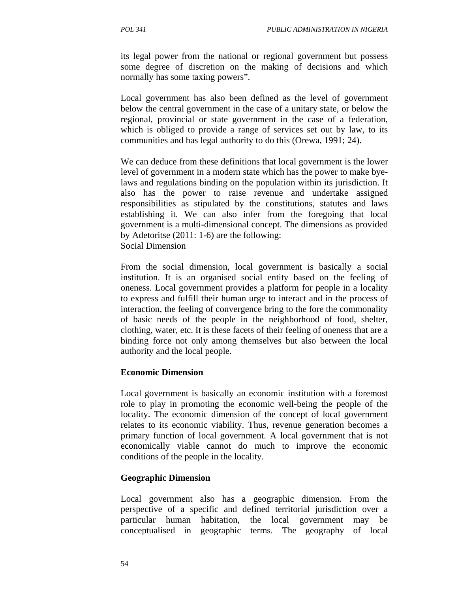its legal power from the national or regional government but possess some degree of discretion on the making of decisions and which normally has some taxing powers".

Local government has also been defined as the level of government below the central government in the case of a unitary state, or below the regional, provincial or state government in the case of a federation, which is obliged to provide a range of services set out by law, to its communities and has legal authority to do this (Orewa, 1991; 24).

We can deduce from these definitions that local government is the lower level of government in a modern state which has the power to make byelaws and regulations binding on the population within its jurisdiction. It also has the power to raise revenue and undertake assigned responsibilities as stipulated by the constitutions, statutes and laws establishing it. We can also infer from the foregoing that local government is a multi-dimensional concept. The dimensions as provided by Adetoritse (2011: 1-6) are the following: Social Dimension

From the social dimension, local government is basically a social institution. It is an organised social entity based on the feeling of oneness. Local government provides a platform for people in a locality to express and fulfill their human urge to interact and in the process of interaction, the feeling of convergence bring to the fore the commonality of basic needs of the people in the neighborhood of food, shelter, clothing, water, etc. It is these facets of their feeling of oneness that are a binding force not only among themselves but also between the local authority and the local people.

#### **Economic Dimension**

Local government is basically an economic institution with a foremost role to play in promoting the economic well-being the people of the locality. The economic dimension of the concept of local government relates to its economic viability. Thus, revenue generation becomes a primary function of local government. A local government that is not economically viable cannot do much to improve the economic conditions of the people in the locality.

### **Geographic Dimension**

Local government also has a geographic dimension. From the perspective of a specific and defined territorial jurisdiction over a particular human habitation, the local government may be conceptualised in geographic terms. The geography of local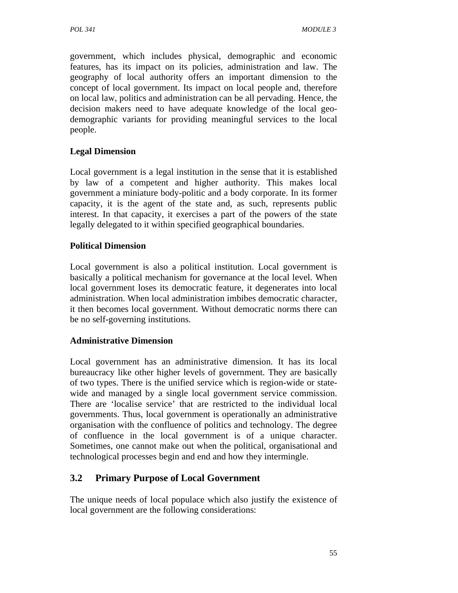government, which includes physical, demographic and economic features, has its impact on its policies, administration and law. The geography of local authority offers an important dimension to the concept of local government. Its impact on local people and, therefore on local law, politics and administration can be all pervading. Hence, the decision makers need to have adequate knowledge of the local geodemographic variants for providing meaningful services to the local people.

### **Legal Dimension**

Local government is a legal institution in the sense that it is established by law of a competent and higher authority. This makes local government a miniature body-politic and a body corporate. In its former capacity, it is the agent of the state and, as such, represents public interest. In that capacity, it exercises a part of the powers of the state legally delegated to it within specified geographical boundaries.

### **Political Dimension**

Local government is also a political institution. Local government is basically a political mechanism for governance at the local level. When local government loses its democratic feature, it degenerates into local administration. When local administration imbibes democratic character, it then becomes local government. Without democratic norms there can be no self-governing institutions.

### **Administrative Dimension**

Local government has an administrative dimension. It has its local bureaucracy like other higher levels of government. They are basically of two types. There is the unified service which is region-wide or statewide and managed by a single local government service commission. There are 'localise service' that are restricted to the individual local governments. Thus, local government is operationally an administrative organisation with the confluence of politics and technology. The degree of confluence in the local government is of a unique character. Sometimes, one cannot make out when the political, organisational and technological processes begin and end and how they intermingle.

# **3.2 Primary Purpose of Local Government**

The unique needs of local populace which also justify the existence of local government are the following considerations: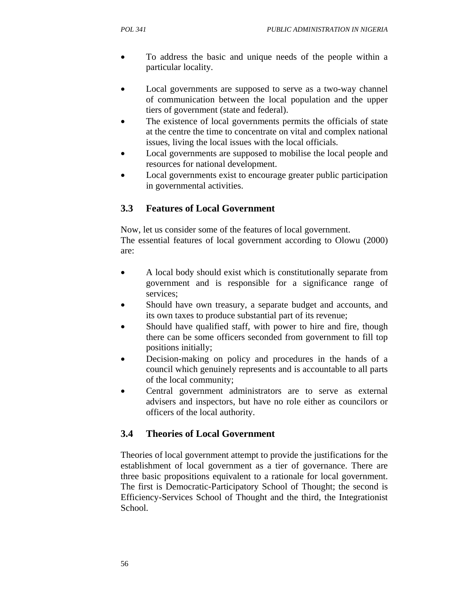- To address the basic and unique needs of the people within a particular locality.
- Local governments are supposed to serve as a two-way channel of communication between the local population and the upper tiers of government (state and federal).
- The existence of local governments permits the officials of state at the centre the time to concentrate on vital and complex national issues, living the local issues with the local officials.
- Local governments are supposed to mobilise the local people and resources for national development.
- Local governments exist to encourage greater public participation in governmental activities.

# **3.3 Features of Local Government**

Now, let us consider some of the features of local government.

The essential features of local government according to Olowu (2000) are:

- A local body should exist which is constitutionally separate from government and is responsible for a significance range of services;
- Should have own treasury, a separate budget and accounts, and its own taxes to produce substantial part of its revenue;
- Should have qualified staff, with power to hire and fire, though there can be some officers seconded from government to fill top positions initially;
- Decision-making on policy and procedures in the hands of a council which genuinely represents and is accountable to all parts of the local community;
- Central government administrators are to serve as external advisers and inspectors, but have no role either as councilors or officers of the local authority.

# **3.4 Theories of Local Government**

Theories of local government attempt to provide the justifications for the establishment of local government as a tier of governance. There are three basic propositions equivalent to a rationale for local government. The first is Democratic-Participatory School of Thought; the second is Efficiency-Services School of Thought and the third, the Integrationist School.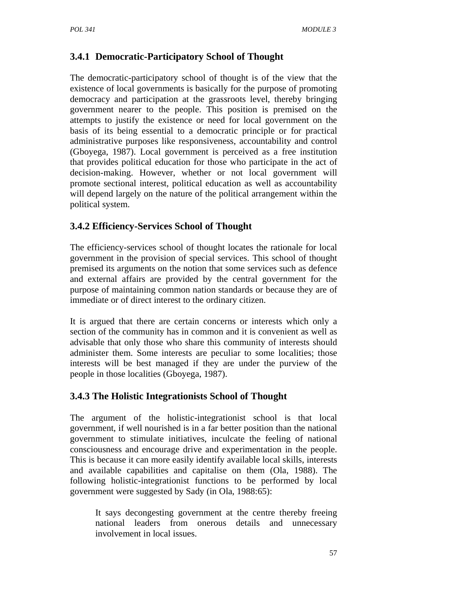# **3.4.1 Democratic-Participatory School of Thought**

The democratic-participatory school of thought is of the view that the existence of local governments is basically for the purpose of promoting democracy and participation at the grassroots level, thereby bringing government nearer to the people. This position is premised on the attempts to justify the existence or need for local government on the basis of its being essential to a democratic principle or for practical administrative purposes like responsiveness, accountability and control (Gboyega, 1987). Local government is perceived as a free institution that provides political education for those who participate in the act of decision-making. However, whether or not local government will promote sectional interest, political education as well as accountability will depend largely on the nature of the political arrangement within the political system.

# **3.4.2 Efficiency-Services School of Thought**

The efficiency-services school of thought locates the rationale for local government in the provision of special services. This school of thought premised its arguments on the notion that some services such as defence and external affairs are provided by the central government for the purpose of maintaining common nation standards or because they are of immediate or of direct interest to the ordinary citizen.

It is argued that there are certain concerns or interests which only a section of the community has in common and it is convenient as well as advisable that only those who share this community of interests should administer them. Some interests are peculiar to some localities; those interests will be best managed if they are under the purview of the people in those localities (Gboyega, 1987).

# **3.4.3 The Holistic Integrationists School of Thought**

The argument of the holistic-integrationist school is that local government, if well nourished is in a far better position than the national government to stimulate initiatives, inculcate the feeling of national consciousness and encourage drive and experimentation in the people. This is because it can more easily identify available local skills, interests and available capabilities and capitalise on them (Ola, 1988). The following holistic-integrationist functions to be performed by local government were suggested by Sady (in Ola, 1988:65):

It says decongesting government at the centre thereby freeing national leaders from onerous details and unnecessary involvement in local issues.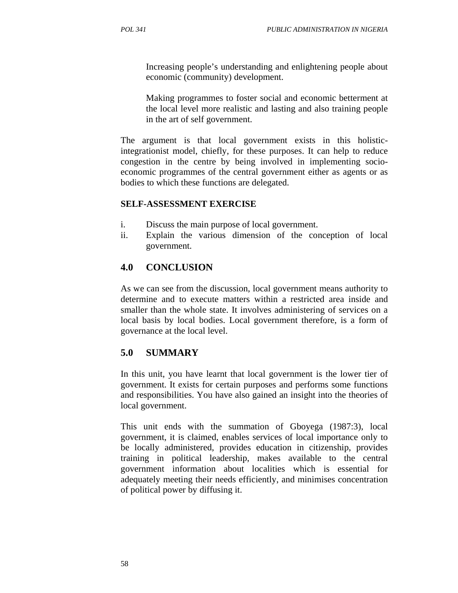Increasing people's understanding and enlightening people about economic (community) development.

Making programmes to foster social and economic betterment at the local level more realistic and lasting and also training people in the art of self government.

The argument is that local government exists in this holisticintegrationist model, chiefly, for these purposes. It can help to reduce congestion in the centre by being involved in implementing socioeconomic programmes of the central government either as agents or as bodies to which these functions are delegated.

### **SELF-ASSESSMENT EXERCISE**

- i. Discuss the main purpose of local government.
- ii. Explain the various dimension of the conception of local government.

## **4.0 CONCLUSION**

As we can see from the discussion, local government means authority to determine and to execute matters within a restricted area inside and smaller than the whole state. It involves administering of services on a local basis by local bodies. Local government therefore, is a form of governance at the local level.

## **5.0 SUMMARY**

In this unit, you have learnt that local government is the lower tier of government. It exists for certain purposes and performs some functions and responsibilities. You have also gained an insight into the theories of local government.

This unit ends with the summation of Gboyega (1987:3), local government, it is claimed, enables services of local importance only to be locally administered, provides education in citizenship, provides training in political leadership, makes available to the central government information about localities which is essential for adequately meeting their needs efficiently, and minimises concentration of political power by diffusing it.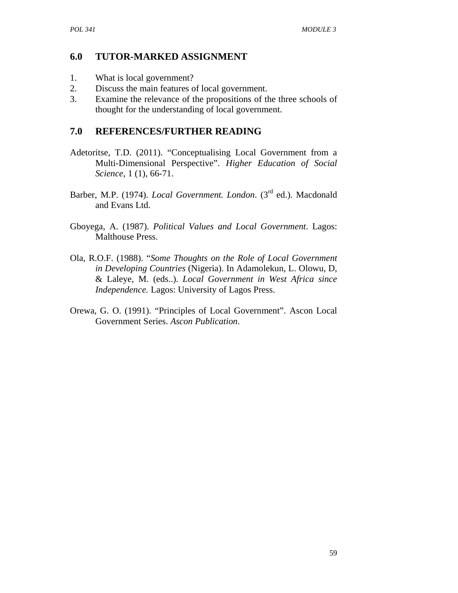## **6.0 TUTOR-MARKED ASSIGNMENT**

- 1. What is local government?
- 2. Discuss the main features of local government.
- 3. Examine the relevance of the propositions of the three schools of thought for the understanding of local government.

## **7.0 REFERENCES/FURTHER READING**

- Adetoritse, T.D. (2011). "Conceptualising Local Government from a Multi-Dimensional Perspective". *Higher Education of Social Science*, 1 (1), 66-71.
- Barber, M.P. (1974). *Local Government. London*. (3rd ed.). Macdonald and Evans Ltd.
- Gboyega, A. (1987). *Political Values and Local Government*. Lagos: Malthouse Press.
- Ola, R.O.F. (1988). "*Some Thoughts on the Role of Local Government in Developing Countries* (Nigeria). In Adamolekun, L. Olowu, D, & Laleye, M. (eds..). *Local Government in West Africa since Independence.* Lagos: University of Lagos Press.
- Orewa, G. O. (1991). "Principles of Local Government". Ascon Local Government Series. *Ascon Publication*.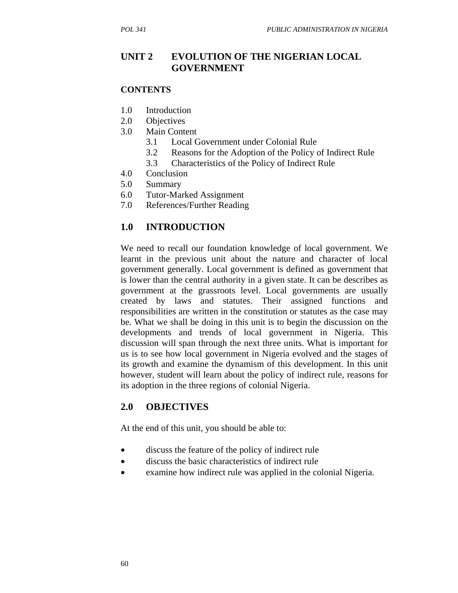# **UNIT 2 EVOLUTION OF THE NIGERIAN LOCAL GOVERNMENT**

#### **CONTENTS**

- 1.0 Introduction
- 2.0 Objectives
- 3.0 Main Content
	- 3.1 Local Government under Colonial Rule
	- 3.2 Reasons for the Adoption of the Policy of Indirect Rule
	- 3.3 Characteristics of the Policy of Indirect Rule
- 4.0 Conclusion
- 5.0 Summary
- 6.0 Tutor-Marked Assignment
- 7.0 References/Further Reading

## **1.0 INTRODUCTION**

We need to recall our foundation knowledge of local government. We learnt in the previous unit about the nature and character of local government generally. Local government is defined as government that is lower than the central authority in a given state. It can be describes as government at the grassroots level. Local governments are usually created by laws and statutes. Their assigned functions and responsibilities are written in the constitution or statutes as the case may be. What we shall be doing in this unit is to begin the discussion on the developments and trends of local government in Nigeria. This discussion will span through the next three units. What is important for us is to see how local government in Nigeria evolved and the stages of its growth and examine the dynamism of this development. In this unit however, student will learn about the policy of indirect rule, reasons for its adoption in the three regions of colonial Nigeria.

## **2.0 OBJECTIVES**

At the end of this unit, you should be able to:

- discuss the feature of the policy of indirect rule
- discuss the basic characteristics of indirect rule
- examine how indirect rule was applied in the colonial Nigeria.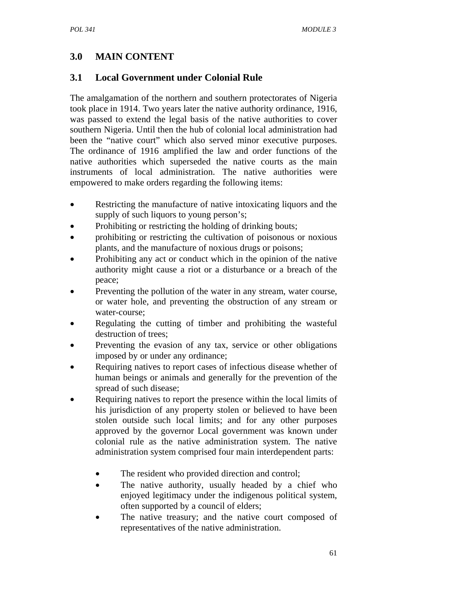# **3.0 MAIN CONTENT**

# **3.1 Local Government under Colonial Rule**

The amalgamation of the northern and southern protectorates of Nigeria took place in 1914. Two years later the native authority ordinance, 1916, was passed to extend the legal basis of the native authorities to cover southern Nigeria. Until then the hub of colonial local administration had been the "native court" which also served minor executive purposes. The ordinance of 1916 amplified the law and order functions of the native authorities which superseded the native courts as the main instruments of local administration. The native authorities were empowered to make orders regarding the following items:

- Restricting the manufacture of native intoxicating liquors and the supply of such liquors to young person's;
- Prohibiting or restricting the holding of drinking bouts;
- prohibiting or restricting the cultivation of poisonous or noxious plants, and the manufacture of noxious drugs or poisons;
- Prohibiting any act or conduct which in the opinion of the native authority might cause a riot or a disturbance or a breach of the peace;
- Preventing the pollution of the water in any stream, water course, or water hole, and preventing the obstruction of any stream or water-course;
- Regulating the cutting of timber and prohibiting the wasteful destruction of trees;
- Preventing the evasion of any tax, service or other obligations imposed by or under any ordinance;
- Requiring natives to report cases of infectious disease whether of human beings or animals and generally for the prevention of the spread of such disease;
- Requiring natives to report the presence within the local limits of his jurisdiction of any property stolen or believed to have been stolen outside such local limits; and for any other purposes approved by the governor Local government was known under colonial rule as the native administration system. The native administration system comprised four main interdependent parts:
	- The resident who provided direction and control;
	- The native authority, usually headed by a chief who enjoyed legitimacy under the indigenous political system, often supported by a council of elders;
	- The native treasury; and the native court composed of representatives of the native administration.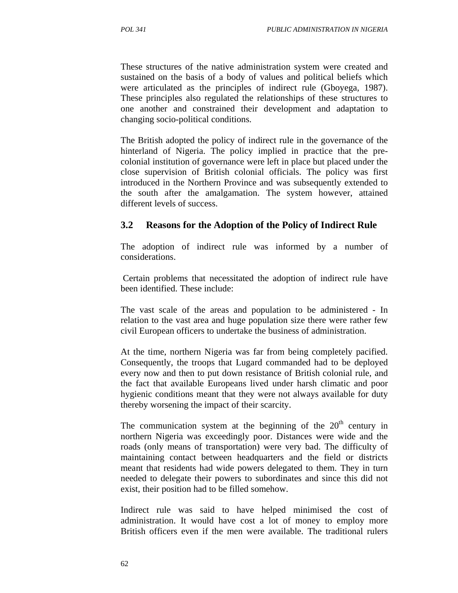These structures of the native administration system were created and sustained on the basis of a body of values and political beliefs which were articulated as the principles of indirect rule (Gboyega, 1987). These principles also regulated the relationships of these structures to one another and constrained their development and adaptation to changing socio-political conditions.

The British adopted the policy of indirect rule in the governance of the hinterland of Nigeria. The policy implied in practice that the precolonial institution of governance were left in place but placed under the close supervision of British colonial officials. The policy was first introduced in the Northern Province and was subsequently extended to the south after the amalgamation. The system however, attained different levels of success.

### **3.2 Reasons for the Adoption of the Policy of Indirect Rule**

The adoption of indirect rule was informed by a number of considerations.

 Certain problems that necessitated the adoption of indirect rule have been identified. These include:

The vast scale of the areas and population to be administered - In relation to the vast area and huge population size there were rather few civil European officers to undertake the business of administration.

At the time, northern Nigeria was far from being completely pacified. Consequently, the troops that Lugard commanded had to be deployed every now and then to put down resistance of British colonial rule, and the fact that available Europeans lived under harsh climatic and poor hygienic conditions meant that they were not always available for duty thereby worsening the impact of their scarcity.

The communication system at the beginning of the  $20<sup>th</sup>$  century in northern Nigeria was exceedingly poor. Distances were wide and the roads (only means of transportation) were very bad. The difficulty of maintaining contact between headquarters and the field or districts meant that residents had wide powers delegated to them. They in turn needed to delegate their powers to subordinates and since this did not exist, their position had to be filled somehow.

Indirect rule was said to have helped minimised the cost of administration. It would have cost a lot of money to employ more British officers even if the men were available. The traditional rulers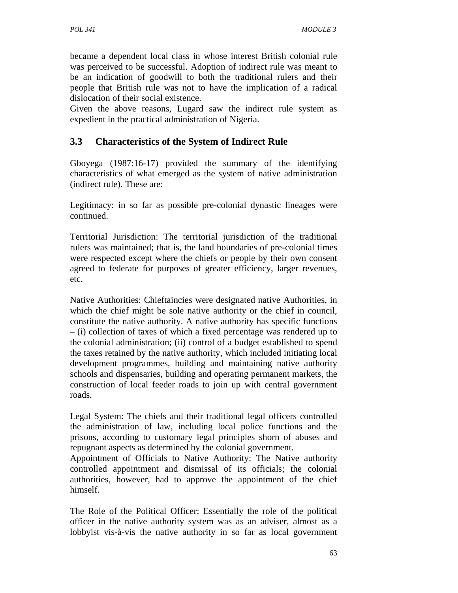became a dependent local class in whose interest British colonial rule was perceived to be successful. Adoption of indirect rule was meant to be an indication of goodwill to both the traditional rulers and their people that British rule was not to have the implication of a radical dislocation of their social existence.

Given the above reasons, Lugard saw the indirect rule system as expedient in the practical administration of Nigeria.

# **3.3 Characteristics of the System of Indirect Rule**

Gboyega (1987:16-17) provided the summary of the identifying characteristics of what emerged as the system of native administration (indirect rule). These are:

Legitimacy: in so far as possible pre-colonial dynastic lineages were continued.

Territorial Jurisdiction: The territorial jurisdiction of the traditional rulers was maintained; that is, the land boundaries of pre-colonial times were respected except where the chiefs or people by their own consent agreed to federate for purposes of greater efficiency, larger revenues, etc.

Native Authorities: Chieftaincies were designated native Authorities, in which the chief might be sole native authority or the chief in council, constitute the native authority. A native authority has specific functions – (i) collection of taxes of which a fixed percentage was rendered up to the colonial administration; (ii) control of a budget established to spend the taxes retained by the native authority, which included initiating local development programmes, building and maintaining native authority schools and dispensaries, building and operating permanent markets, the construction of local feeder roads to join up with central government roads.

Legal System: The chiefs and their traditional legal officers controlled the administration of law, including local police functions and the prisons, according to customary legal principles shorn of abuses and repugnant aspects as determined by the colonial government.

Appointment of Officials to Native Authority: The Native authority controlled appointment and dismissal of its officials; the colonial authorities, however, had to approve the appointment of the chief himself.

The Role of the Political Officer: Essentially the role of the political officer in the native authority system was as an adviser, almost as a lobbyist vis-à-vis the native authority in so far as local government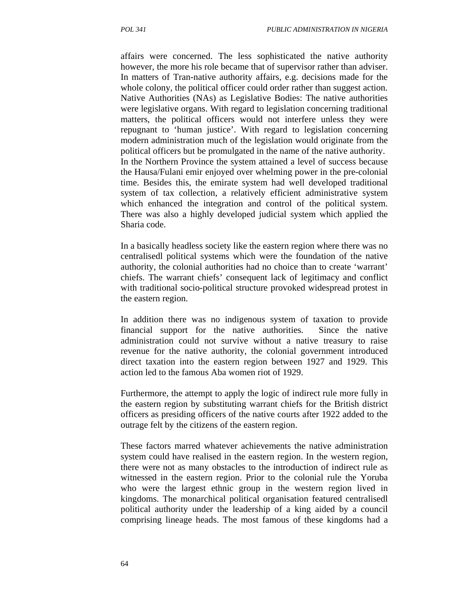affairs were concerned. The less sophisticated the native authority however, the more his role became that of supervisor rather than adviser. In matters of Tran-native authority affairs, e.g. decisions made for the whole colony, the political officer could order rather than suggest action. Native Authorities (NAs) as Legislative Bodies: The native authorities were legislative organs. With regard to legislation concerning traditional matters, the political officers would not interfere unless they were repugnant to 'human justice'. With regard to legislation concerning modern administration much of the legislation would originate from the political officers but be promulgated in the name of the native authority. In the Northern Province the system attained a level of success because the Hausa/Fulani emir enjoyed over whelming power in the pre-colonial time. Besides this, the emirate system had well developed traditional system of tax collection, a relatively efficient administrative system which enhanced the integration and control of the political system. There was also a highly developed judicial system which applied the Sharia code.

In a basically headless society like the eastern region where there was no centralisedl political systems which were the foundation of the native authority, the colonial authorities had no choice than to create 'warrant' chiefs. The warrant chiefs' consequent lack of legitimacy and conflict with traditional socio-political structure provoked widespread protest in the eastern region.

In addition there was no indigenous system of taxation to provide financial support for the native authorities. Since the native administration could not survive without a native treasury to raise revenue for the native authority, the colonial government introduced direct taxation into the eastern region between 1927 and 1929. This action led to the famous Aba women riot of 1929.

Furthermore, the attempt to apply the logic of indirect rule more fully in the eastern region by substituting warrant chiefs for the British district officers as presiding officers of the native courts after 1922 added to the outrage felt by the citizens of the eastern region.

These factors marred whatever achievements the native administration system could have realised in the eastern region. In the western region, there were not as many obstacles to the introduction of indirect rule as witnessed in the eastern region. Prior to the colonial rule the Yoruba who were the largest ethnic group in the western region lived in kingdoms. The monarchical political organisation featured centralisedl political authority under the leadership of a king aided by a council comprising lineage heads. The most famous of these kingdoms had a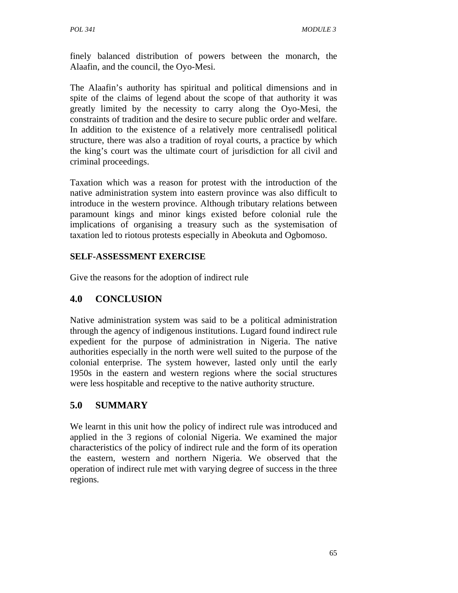finely balanced distribution of powers between the monarch, the Alaafin, and the council, the Oyo-Mesi.

The Alaafin's authority has spiritual and political dimensions and in spite of the claims of legend about the scope of that authority it was greatly limited by the necessity to carry along the Oyo-Mesi, the constraints of tradition and the desire to secure public order and welfare. In addition to the existence of a relatively more centralisedl political structure, there was also a tradition of royal courts, a practice by which the king's court was the ultimate court of jurisdiction for all civil and criminal proceedings.

Taxation which was a reason for protest with the introduction of the native administration system into eastern province was also difficult to introduce in the western province. Although tributary relations between paramount kings and minor kings existed before colonial rule the implications of organising a treasury such as the systemisation of taxation led to riotous protests especially in Abeokuta and Ogbomoso.

### **SELF-ASSESSMENT EXERCISE**

Give the reasons for the adoption of indirect rule

## **4.0 CONCLUSION**

Native administration system was said to be a political administration through the agency of indigenous institutions. Lugard found indirect rule expedient for the purpose of administration in Nigeria. The native authorities especially in the north were well suited to the purpose of the colonial enterprise. The system however, lasted only until the early 1950s in the eastern and western regions where the social structures were less hospitable and receptive to the native authority structure.

## **5.0 SUMMARY**

We learnt in this unit how the policy of indirect rule was introduced and applied in the 3 regions of colonial Nigeria. We examined the major characteristics of the policy of indirect rule and the form of its operation the eastern, western and northern Nigeria. We observed that the operation of indirect rule met with varying degree of success in the three regions.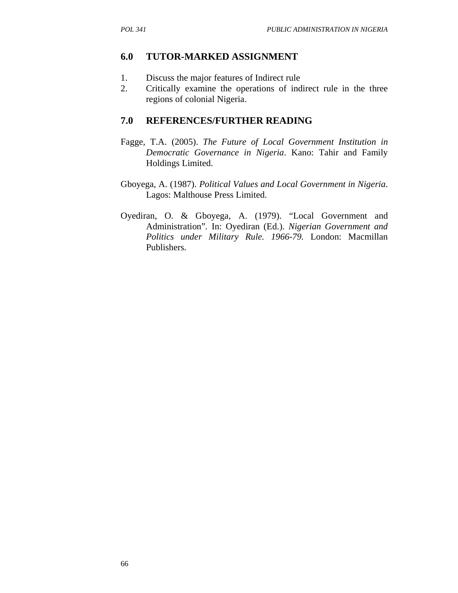## **6.0 TUTOR-MARKED ASSIGNMENT**

- 1. Discuss the major features of Indirect rule
- 2. Critically examine the operations of indirect rule in the three regions of colonial Nigeria.

## **7.0 REFERENCES/FURTHER READING**

- Fagge, T.A. (2005). *The Future of Local Government Institution in Democratic Governance in Nigeria*. Kano: Tahir and Family Holdings Limited.
- Gboyega, A. (1987). *Political Values and Local Government in Nigeria*. Lagos: Malthouse Press Limited.
- Oyediran, O. & Gboyega, A. (1979). "Local Government and Administration"*.* In: Oyediran (Ed.). *Nigerian Government and Politics under Military Rule. 1966-79.* London: Macmillan Publishers.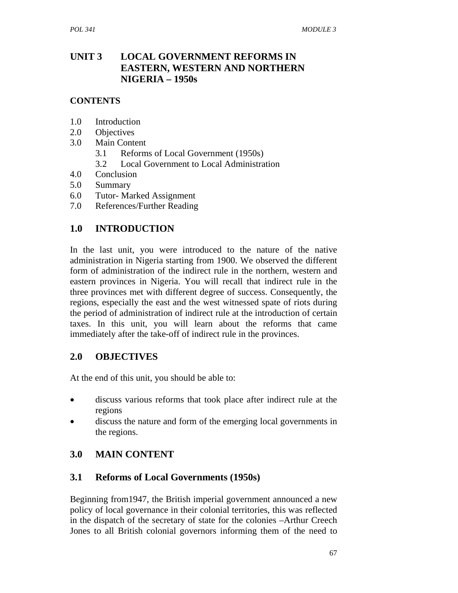## **UNIT 3 LOCAL GOVERNMENT REFORMS IN EASTERN, WESTERN AND NORTHERN NIGERIA – 1950s**

### **CONTENTS**

- 1.0 Introduction
- 2.0 Objectives
- 3.0 Main Content
	- 3.1 Reforms of Local Government (1950s)
	- 3.2 Local Government to Local Administration
- 4.0 Conclusion
- 5.0 Summary
- 6.0 Tutor- Marked Assignment
- 7.0 References/Further Reading

### **1.0 INTRODUCTION**

In the last unit, you were introduced to the nature of the native administration in Nigeria starting from 1900. We observed the different form of administration of the indirect rule in the northern, western and eastern provinces in Nigeria. You will recall that indirect rule in the three provinces met with different degree of success. Consequently, the regions, especially the east and the west witnessed spate of riots during the period of administration of indirect rule at the introduction of certain taxes. In this unit, you will learn about the reforms that came immediately after the take-off of indirect rule in the provinces.

### **2.0 OBJECTIVES**

At the end of this unit, you should be able to:

- discuss various reforms that took place after indirect rule at the regions
- discuss the nature and form of the emerging local governments in the regions.

## **3.0 MAIN CONTENT**

### **3.1 Reforms of Local Governments (1950s)**

Beginning from1947, the British imperial government announced a new policy of local governance in their colonial territories, this was reflected in the dispatch of the secretary of state for the colonies –Arthur Creech Jones to all British colonial governors informing them of the need to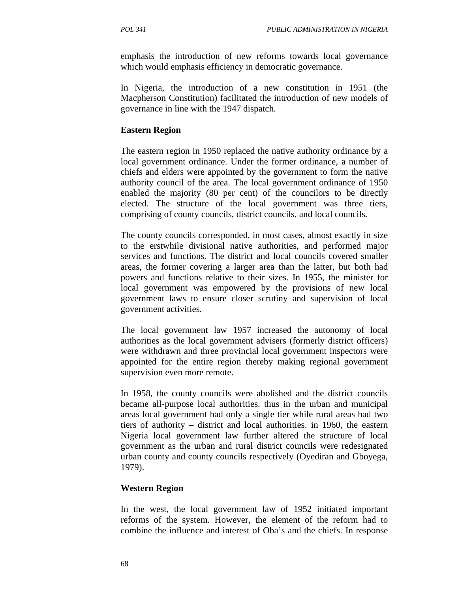emphasis the introduction of new reforms towards local governance which would emphasis efficiency in democratic governance.

In Nigeria, the introduction of a new constitution in 1951 (the Macpherson Constitution) facilitated the introduction of new models of governance in line with the 1947 dispatch.

### **Eastern Region**

The eastern region in 1950 replaced the native authority ordinance by a local government ordinance. Under the former ordinance, a number of chiefs and elders were appointed by the government to form the native authority council of the area. The local government ordinance of 1950 enabled the majority (80 per cent) of the councilors to be directly elected. The structure of the local government was three tiers, comprising of county councils, district councils, and local councils.

The county councils corresponded, in most cases, almost exactly in size to the erstwhile divisional native authorities, and performed major services and functions. The district and local councils covered smaller areas, the former covering a larger area than the latter, but both had powers and functions relative to their sizes. In 1955, the minister for local government was empowered by the provisions of new local government laws to ensure closer scrutiny and supervision of local government activities.

The local government law 1957 increased the autonomy of local authorities as the local government advisers (formerly district officers) were withdrawn and three provincial local government inspectors were appointed for the entire region thereby making regional government supervision even more remote.

In 1958, the county councils were abolished and the district councils became all-purpose local authorities. thus in the urban and municipal areas local government had only a single tier while rural areas had two tiers of authority – district and local authorities. in 1960, the eastern Nigeria local government law further altered the structure of local government as the urban and rural district councils were redesignated urban county and county councils respectively (Oyediran and Gboyega, 1979).

#### **Western Region**

In the west, the local government law of 1952 initiated important reforms of the system. However, the element of the reform had to combine the influence and interest of Oba's and the chiefs. In response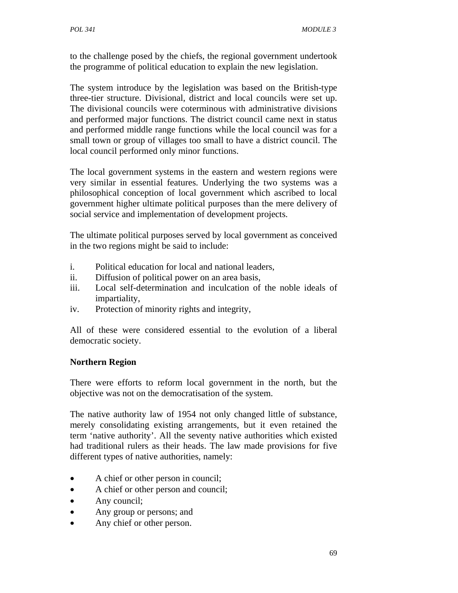to the challenge posed by the chiefs, the regional government undertook the programme of political education to explain the new legislation.

The system introduce by the legislation was based on the British-type three-tier structure. Divisional, district and local councils were set up. The divisional councils were coterminous with administrative divisions and performed major functions. The district council came next in status and performed middle range functions while the local council was for a small town or group of villages too small to have a district council. The local council performed only minor functions.

The local government systems in the eastern and western regions were very similar in essential features. Underlying the two systems was a philosophical conception of local government which ascribed to local government higher ultimate political purposes than the mere delivery of social service and implementation of development projects.

The ultimate political purposes served by local government as conceived in the two regions might be said to include:

- i. Political education for local and national leaders,
- ii. Diffusion of political power on an area basis,
- iii. Local self-determination and inculcation of the noble ideals of impartiality,
- iv. Protection of minority rights and integrity,

All of these were considered essential to the evolution of a liberal democratic society.

### **Northern Region**

There were efforts to reform local government in the north, but the objective was not on the democratisation of the system.

The native authority law of 1954 not only changed little of substance, merely consolidating existing arrangements, but it even retained the term 'native authority'. All the seventy native authorities which existed had traditional rulers as their heads. The law made provisions for five different types of native authorities, namely:

- A chief or other person in council;
- A chief or other person and council;
- Any council;
- Any group or persons; and
- Any chief or other person.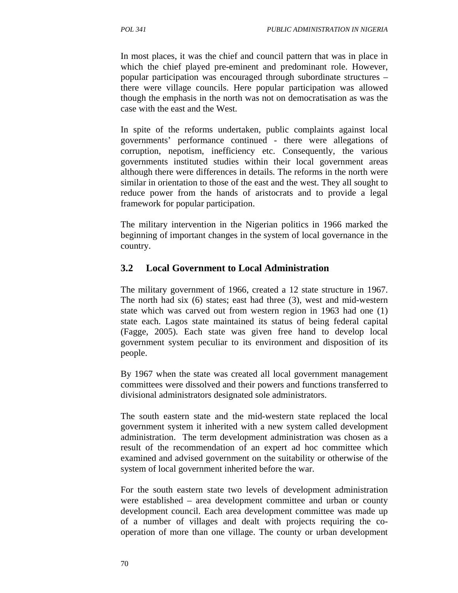In most places, it was the chief and council pattern that was in place in which the chief played pre-eminent and predominant role. However, popular participation was encouraged through subordinate structures – there were village councils. Here popular participation was allowed though the emphasis in the north was not on democratisation as was the case with the east and the West.

In spite of the reforms undertaken, public complaints against local governments' performance continued - there were allegations of corruption, nepotism, inefficiency etc. Consequently, the various governments instituted studies within their local government areas although there were differences in details. The reforms in the north were similar in orientation to those of the east and the west. They all sought to reduce power from the hands of aristocrats and to provide a legal framework for popular participation.

The military intervention in the Nigerian politics in 1966 marked the beginning of important changes in the system of local governance in the country.

## **3.2 Local Government to Local Administration**

The military government of 1966, created a 12 state structure in 1967. The north had six (6) states; east had three (3), west and mid-western state which was carved out from western region in 1963 had one (1) state each. Lagos state maintained its status of being federal capital (Fagge, 2005). Each state was given free hand to develop local government system peculiar to its environment and disposition of its people.

By 1967 when the state was created all local government management committees were dissolved and their powers and functions transferred to divisional administrators designated sole administrators.

The south eastern state and the mid-western state replaced the local government system it inherited with a new system called development administration. The term development administration was chosen as a result of the recommendation of an expert ad hoc committee which examined and advised government on the suitability or otherwise of the system of local government inherited before the war.

For the south eastern state two levels of development administration were established – area development committee and urban or county development council. Each area development committee was made up of a number of villages and dealt with projects requiring the cooperation of more than one village. The county or urban development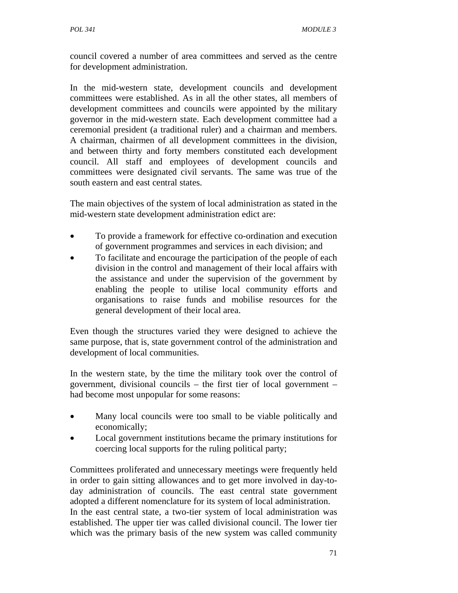council covered a number of area committees and served as the centre for development administration.

In the mid-western state, development councils and development committees were established. As in all the other states, all members of development committees and councils were appointed by the military governor in the mid-western state. Each development committee had a ceremonial president (a traditional ruler) and a chairman and members. A chairman, chairmen of all development committees in the division, and between thirty and forty members constituted each development council. All staff and employees of development councils and committees were designated civil servants. The same was true of the south eastern and east central states.

The main objectives of the system of local administration as stated in the mid-western state development administration edict are:

- To provide a framework for effective co-ordination and execution of government programmes and services in each division; and
- To facilitate and encourage the participation of the people of each division in the control and management of their local affairs with the assistance and under the supervision of the government by enabling the people to utilise local community efforts and organisations to raise funds and mobilise resources for the general development of their local area.

Even though the structures varied they were designed to achieve the same purpose, that is, state government control of the administration and development of local communities.

In the western state, by the time the military took over the control of government, divisional councils – the first tier of local government – had become most unpopular for some reasons:

- Many local councils were too small to be viable politically and economically;
- Local government institutions became the primary institutions for coercing local supports for the ruling political party;

Committees proliferated and unnecessary meetings were frequently held in order to gain sitting allowances and to get more involved in day-today administration of councils. The east central state government adopted a different nomenclature for its system of local administration. In the east central state, a two-tier system of local administration was established. The upper tier was called divisional council. The lower tier which was the primary basis of the new system was called community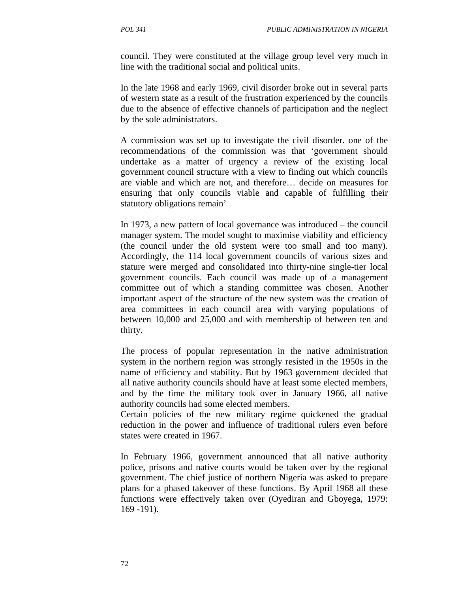council. They were constituted at the village group level very much in line with the traditional social and political units.

In the late 1968 and early 1969, civil disorder broke out in several parts of western state as a result of the frustration experienced by the councils due to the absence of effective channels of participation and the neglect by the sole administrators.

A commission was set up to investigate the civil disorder. one of the recommendations of the commission was that 'government should undertake as a matter of urgency a review of the existing local government council structure with a view to finding out which councils are viable and which are not, and therefore… decide on measures for ensuring that only councils viable and capable of fulfilling their statutory obligations remain'

In 1973, a new pattern of local governance was introduced – the council manager system. The model sought to maximise viability and efficiency (the council under the old system were too small and too many). Accordingly, the 114 local government councils of various sizes and stature were merged and consolidated into thirty-nine single-tier local government councils. Each council was made up of a management committee out of which a standing committee was chosen. Another important aspect of the structure of the new system was the creation of area committees in each council area with varying populations of between 10,000 and 25,000 and with membership of between ten and thirty.

The process of popular representation in the native administration system in the northern region was strongly resisted in the 1950s in the name of efficiency and stability. But by 1963 government decided that all native authority councils should have at least some elected members, and by the time the military took over in January 1966, all native authority councils had some elected members.

Certain policies of the new military regime quickened the gradual reduction in the power and influence of traditional rulers even before states were created in 1967.

In February 1966, government announced that all native authority police, prisons and native courts would be taken over by the regional government. The chief justice of northern Nigeria was asked to prepare plans for a phased takeover of these functions. By April 1968 all these functions were effectively taken over (Oyediran and Gboyega, 1979: 169 -191).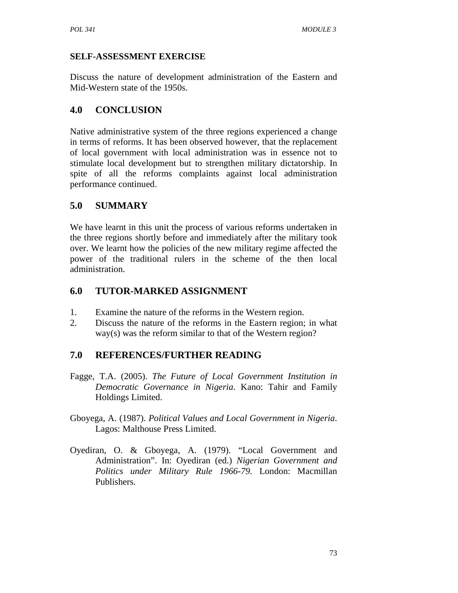### **SELF-ASSESSMENT EXERCISE**

Discuss the nature of development administration of the Eastern and Mid-Western state of the 1950s.

# **4.0 CONCLUSION**

Native administrative system of the three regions experienced a change in terms of reforms. It has been observed however, that the replacement of local government with local administration was in essence not to stimulate local development but to strengthen military dictatorship. In spite of all the reforms complaints against local administration performance continued.

# **5.0 SUMMARY**

We have learnt in this unit the process of various reforms undertaken in the three regions shortly before and immediately after the military took over. We learnt how the policies of the new military regime affected the power of the traditional rulers in the scheme of the then local administration.

## **6.0 TUTOR-MARKED ASSIGNMENT**

- 1. Examine the nature of the reforms in the Western region.
- 2. Discuss the nature of the reforms in the Eastern region; in what way(s) was the reform similar to that of the Western region?

# **7.0 REFERENCES/FURTHER READING**

- Fagge, T.A. (2005). *The Future of Local Government Institution in Democratic Governance in Nigeria*. Kano: Tahir and Family Holdings Limited.
- Gboyega, A. (1987). *Political Values and Local Government in Nigeria*. Lagos: Malthouse Press Limited.
- Oyediran, O. & Gboyega, A. (1979). "Local Government and Administration". In: Oyediran (ed.) *Nigerian Government and Politics under Military Rule 1966-79.* London: Macmillan Publishers.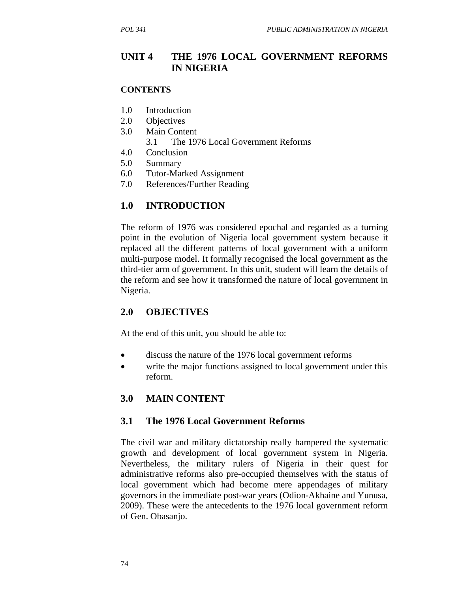### **UNIT 4 THE 1976 LOCAL GOVERNMENT REFORMS IN NIGERIA**

#### **CONTENTS**

- 1.0 Introduction
- 2.0 Objectives
- 3.0 Main Content
	- 3.1 The 1976 Local Government Reforms
- 4.0 Conclusion
- 5.0 Summary
- 6.0 Tutor-Marked Assignment
- 7.0 References/Further Reading

### **1.0 INTRODUCTION**

The reform of 1976 was considered epochal and regarded as a turning point in the evolution of Nigeria local government system because it replaced all the different patterns of local government with a uniform multi-purpose model. It formally recognised the local government as the third-tier arm of government. In this unit, student will learn the details of the reform and see how it transformed the nature of local government in Nigeria.

### **2.0 OBJECTIVES**

At the end of this unit, you should be able to:

- discuss the nature of the 1976 local government reforms
- write the major functions assigned to local government under this reform.

### **3.0 MAIN CONTENT**

#### **3.1 The 1976 Local Government Reforms**

The civil war and military dictatorship really hampered the systematic growth and development of local government system in Nigeria. Nevertheless, the military rulers of Nigeria in their quest for administrative reforms also pre-occupied themselves with the status of local government which had become mere appendages of military governors in the immediate post-war years (Odion-Akhaine and Yunusa, 2009). These were the antecedents to the 1976 local government reform of Gen. Obasanjo.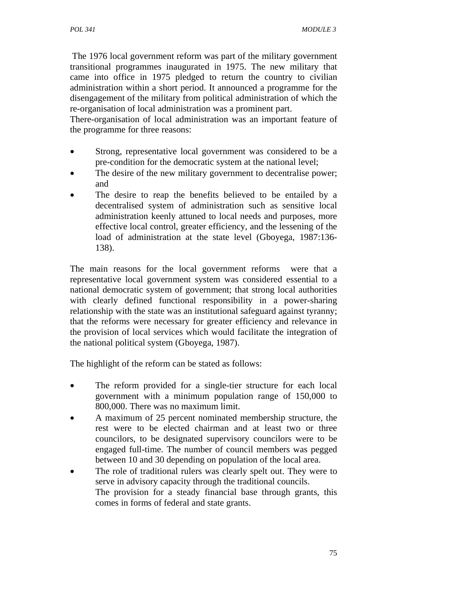The 1976 local government reform was part of the military government transitional programmes inaugurated in 1975. The new military that came into office in 1975 pledged to return the country to civilian administration within a short period. It announced a programme for the disengagement of the military from political administration of which the re-organisation of local administration was a prominent part.

There-organisation of local administration was an important feature of the programme for three reasons:

- Strong, representative local government was considered to be a pre-condition for the democratic system at the national level;
- The desire of the new military government to decentralise power; and
- The desire to reap the benefits believed to be entailed by a decentralised system of administration such as sensitive local administration keenly attuned to local needs and purposes, more effective local control, greater efficiency, and the lessening of the load of administration at the state level (Gboyega, 1987:136-138).

The main reasons for the local government reforms were that a representative local government system was considered essential to a national democratic system of government; that strong local authorities with clearly defined functional responsibility in a power-sharing relationship with the state was an institutional safeguard against tyranny; that the reforms were necessary for greater efficiency and relevance in the provision of local services which would facilitate the integration of the national political system (Gboyega, 1987).

The highlight of the reform can be stated as follows:

- The reform provided for a single-tier structure for each local government with a minimum population range of 150,000 to 800,000. There was no maximum limit.
- A maximum of 25 percent nominated membership structure, the rest were to be elected chairman and at least two or three councilors, to be designated supervisory councilors were to be engaged full-time. The number of council members was pegged between 10 and 30 depending on population of the local area.
- The role of traditional rulers was clearly spelt out. They were to serve in advisory capacity through the traditional councils. The provision for a steady financial base through grants, this comes in forms of federal and state grants.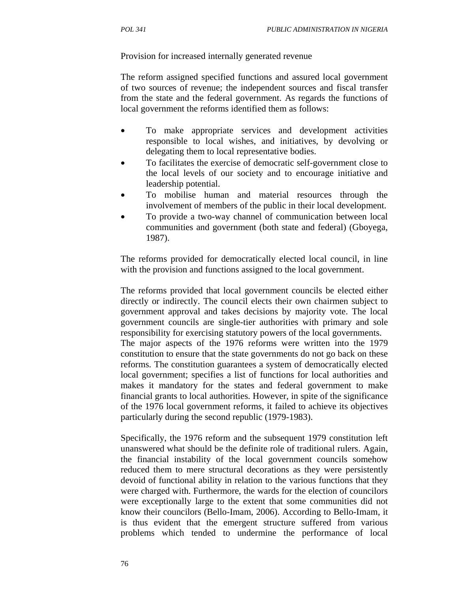Provision for increased internally generated revenue

The reform assigned specified functions and assured local government of two sources of revenue; the independent sources and fiscal transfer from the state and the federal government. As regards the functions of local government the reforms identified them as follows:

- To make appropriate services and development activities responsible to local wishes, and initiatives, by devolving or delegating them to local representative bodies.
- To facilitates the exercise of democratic self-government close to the local levels of our society and to encourage initiative and leadership potential.
- To mobilise human and material resources through the involvement of members of the public in their local development.
- To provide a two-way channel of communication between local communities and government (both state and federal) (Gboyega, 1987).

The reforms provided for democratically elected local council, in line with the provision and functions assigned to the local government.

The reforms provided that local government councils be elected either directly or indirectly. The council elects their own chairmen subject to government approval and takes decisions by majority vote. The local government councils are single-tier authorities with primary and sole responsibility for exercising statutory powers of the local governments. The major aspects of the 1976 reforms were written into the 1979 constitution to ensure that the state governments do not go back on these reforms. The constitution guarantees a system of democratically elected local government; specifies a list of functions for local authorities and makes it mandatory for the states and federal government to make financial grants to local authorities. However, in spite of the significance of the 1976 local government reforms, it failed to achieve its objectives particularly during the second republic (1979-1983).

Specifically, the 1976 reform and the subsequent 1979 constitution left unanswered what should be the definite role of traditional rulers. Again, the financial instability of the local government councils somehow reduced them to mere structural decorations as they were persistently devoid of functional ability in relation to the various functions that they were charged with. Furthermore, the wards for the election of councilors were exceptionally large to the extent that some communities did not know their councilors (Bello-Imam, 2006). According to Bello-Imam, it is thus evident that the emergent structure suffered from various problems which tended to undermine the performance of local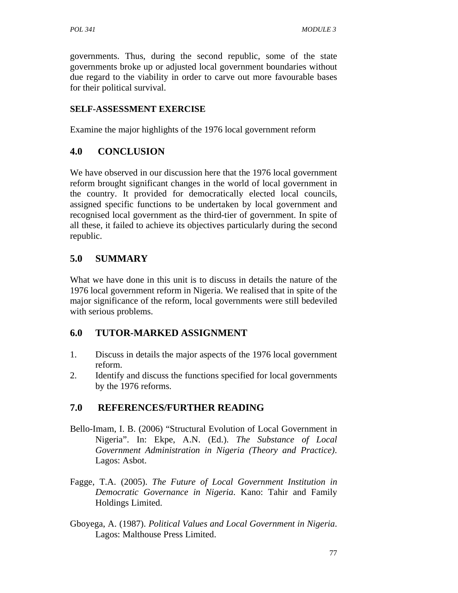governments. Thus, during the second republic, some of the state governments broke up or adjusted local government boundaries without due regard to the viability in order to carve out more favourable bases for their political survival.

### **SELF-ASSESSMENT EXERCISE**

Examine the major highlights of the 1976 local government reform

# **4.0 CONCLUSION**

We have observed in our discussion here that the 1976 local government reform brought significant changes in the world of local government in the country. It provided for democratically elected local councils, assigned specific functions to be undertaken by local government and recognised local government as the third-tier of government. In spite of all these, it failed to achieve its objectives particularly during the second republic.

# **5.0 SUMMARY**

What we have done in this unit is to discuss in details the nature of the 1976 local government reform in Nigeria. We realised that in spite of the major significance of the reform, local governments were still bedeviled with serious problems.

## **6.0 TUTOR-MARKED ASSIGNMENT**

- 1. Discuss in details the major aspects of the 1976 local government reform.
- 2. Identify and discuss the functions specified for local governments by the 1976 reforms.

# **7.0 REFERENCES/FURTHER READING**

- Bello-Imam, I. B. (2006) "Structural Evolution of Local Government in Nigeria". In: Ekpe, A.N. (Ed.). *The Substance of Local Government Administration in Nigeria (Theory and Practice)*. Lagos: Asbot.
- Fagge, T.A. (2005). *The Future of Local Government Institution in Democratic Governance in Nigeria*. Kano: Tahir and Family Holdings Limited.
- Gboyega, A. (1987). *Political Values and Local Government in Nigeria*. Lagos: Malthouse Press Limited.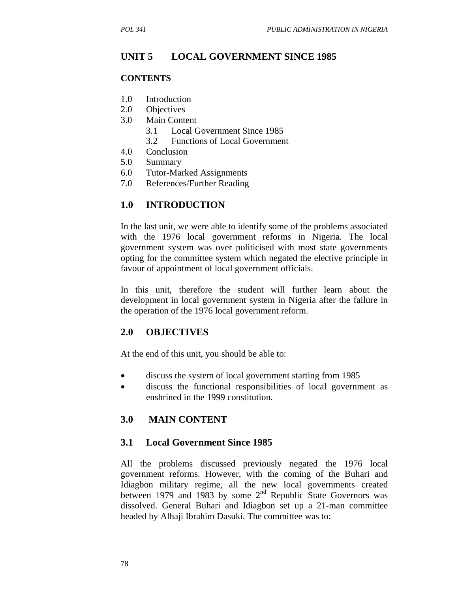### **UNIT 5 LOCAL GOVERNMENT SINCE 1985**

#### **CONTENTS**

- 1.0 Introduction
- 2.0 Objectives
- 3.0 Main Content
	- 3.1 Local Government Since 1985
	- 3.2 Functions of Local Government
- 4.0 Conclusion
- 5.0 Summary
- 6.0 Tutor-Marked Assignments
- 7.0 References/Further Reading

### **1.0 INTRODUCTION**

In the last unit, we were able to identify some of the problems associated with the 1976 local government reforms in Nigeria. The local government system was over politicised with most state governments opting for the committee system which negated the elective principle in favour of appointment of local government officials.

In this unit, therefore the student will further learn about the development in local government system in Nigeria after the failure in the operation of the 1976 local government reform.

### **2.0 OBJECTIVES**

At the end of this unit, you should be able to:

- discuss the system of local government starting from 1985
- discuss the functional responsibilities of local government as enshrined in the 1999 constitution.

#### **3.0 MAIN CONTENT**

#### **3.1 Local Government Since 1985**

All the problems discussed previously negated the 1976 local government reforms. However, with the coming of the Buhari and Idiagbon military regime, all the new local governments created between 1979 and 1983 by some  $2<sup>nd</sup>$  Republic State Governors was dissolved. General Buhari and Idiagbon set up a 21-man committee headed by Alhaji Ibrahim Dasuki. The committee was to: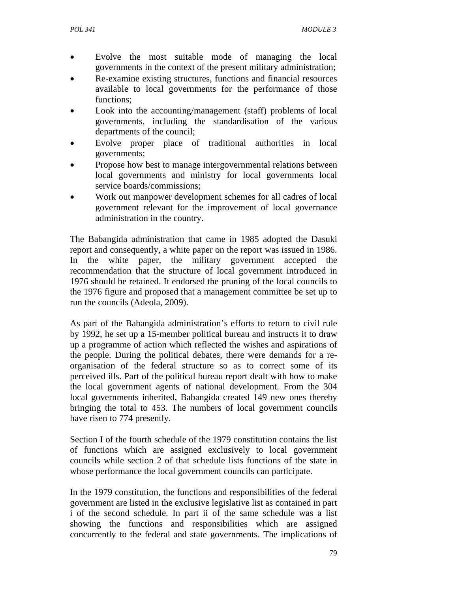- Evolve the most suitable mode of managing the local governments in the context of the present military administration;
- Re-examine existing structures, functions and financial resources available to local governments for the performance of those functions;
- Look into the accounting/management (staff) problems of local governments, including the standardisation of the various departments of the council;
- Evolve proper place of traditional authorities in local governments;
- Propose how best to manage intergovernmental relations between local governments and ministry for local governments local service boards/commissions;
- Work out manpower development schemes for all cadres of local government relevant for the improvement of local governance administration in the country.

The Babangida administration that came in 1985 adopted the Dasuki report and consequently, a white paper on the report was issued in 1986. In the white paper, the military government accepted the recommendation that the structure of local government introduced in 1976 should be retained. It endorsed the pruning of the local councils to the 1976 figure and proposed that a management committee be set up to run the councils (Adeola, 2009).

As part of the Babangida administration's efforts to return to civil rule by 1992, he set up a 15-member political bureau and instructs it to draw up a programme of action which reflected the wishes and aspirations of the people. During the political debates, there were demands for a reorganisation of the federal structure so as to correct some of its perceived ills. Part of the political bureau report dealt with how to make the local government agents of national development. From the 304 local governments inherited, Babangida created 149 new ones thereby bringing the total to 453. The numbers of local government councils have risen to 774 presently.

Section I of the fourth schedule of the 1979 constitution contains the list of functions which are assigned exclusively to local government councils while section 2 of that schedule lists functions of the state in whose performance the local government councils can participate.

In the 1979 constitution, the functions and responsibilities of the federal government are listed in the exclusive legislative list as contained in part i of the second schedule. In part ii of the same schedule was a list showing the functions and responsibilities which are assigned concurrently to the federal and state governments. The implications of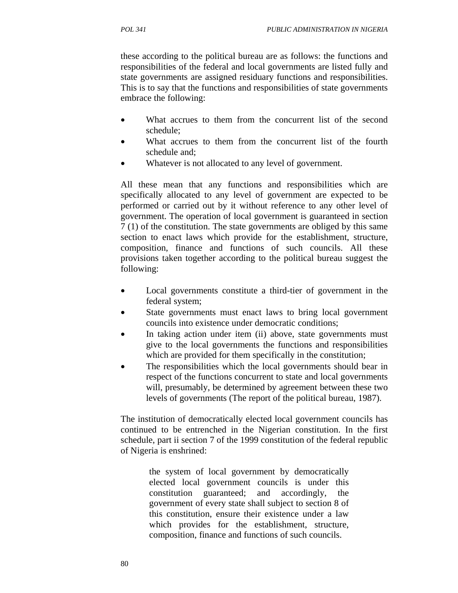these according to the political bureau are as follows: the functions and responsibilities of the federal and local governments are listed fully and state governments are assigned residuary functions and responsibilities. This is to say that the functions and responsibilities of state governments embrace the following:

- What accrues to them from the concurrent list of the second schedule;
- What accrues to them from the concurrent list of the fourth schedule and;
- Whatever is not allocated to any level of government.

All these mean that any functions and responsibilities which are specifically allocated to any level of government are expected to be performed or carried out by it without reference to any other level of government. The operation of local government is guaranteed in section 7 (1) of the constitution. The state governments are obliged by this same section to enact laws which provide for the establishment, structure, composition, finance and functions of such councils. All these provisions taken together according to the political bureau suggest the following:

- Local governments constitute a third-tier of government in the federal system;
- State governments must enact laws to bring local government councils into existence under democratic conditions;
- In taking action under item (ii) above, state governments must give to the local governments the functions and responsibilities which are provided for them specifically in the constitution;
- The responsibilities which the local governments should bear in respect of the functions concurrent to state and local governments will, presumably, be determined by agreement between these two levels of governments (The report of the political bureau, 1987).

The institution of democratically elected local government councils has continued to be entrenched in the Nigerian constitution. In the first schedule, part ii section 7 of the 1999 constitution of the federal republic of Nigeria is enshrined:

> the system of local government by democratically elected local government councils is under this constitution guaranteed; and accordingly, the government of every state shall subject to section 8 of this constitution, ensure their existence under a law which provides for the establishment, structure, composition, finance and functions of such councils.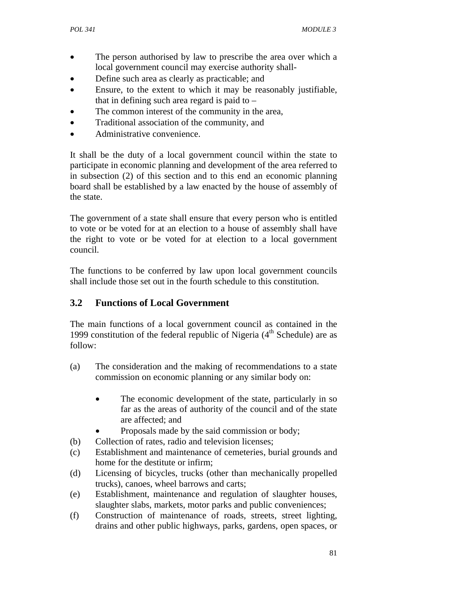- The person authorised by law to prescribe the area over which a local government council may exercise authority shall-
- Define such area as clearly as practicable; and
- Ensure, to the extent to which it may be reasonably justifiable, that in defining such area regard is paid to  $-$
- The common interest of the community in the area,
- Traditional association of the community, and
- Administrative convenience.

It shall be the duty of a local government council within the state to participate in economic planning and development of the area referred to in subsection (2) of this section and to this end an economic planning board shall be established by a law enacted by the house of assembly of the state.

The government of a state shall ensure that every person who is entitled to vote or be voted for at an election to a house of assembly shall have the right to vote or be voted for at election to a local government council.

The functions to be conferred by law upon local government councils shall include those set out in the fourth schedule to this constitution.

## **3.2 Functions of Local Government**

The main functions of a local government council as contained in the 1999 constitution of the federal republic of Nigeria  $(4<sup>th</sup>$  Schedule) are as follow:

- (a) The consideration and the making of recommendations to a state commission on economic planning or any similar body on:
	- The economic development of the state, particularly in so far as the areas of authority of the council and of the state are affected; and
		- Proposals made by the said commission or body;
- (b) Collection of rates, radio and television licenses;
- (c) Establishment and maintenance of cemeteries, burial grounds and home for the destitute or infirm;
- (d) Licensing of bicycles, trucks (other than mechanically propelled trucks), canoes, wheel barrows and carts;
- (e) Establishment, maintenance and regulation of slaughter houses, slaughter slabs, markets, motor parks and public conveniences;
- (f) Construction of maintenance of roads, streets, street lighting, drains and other public highways, parks, gardens, open spaces, or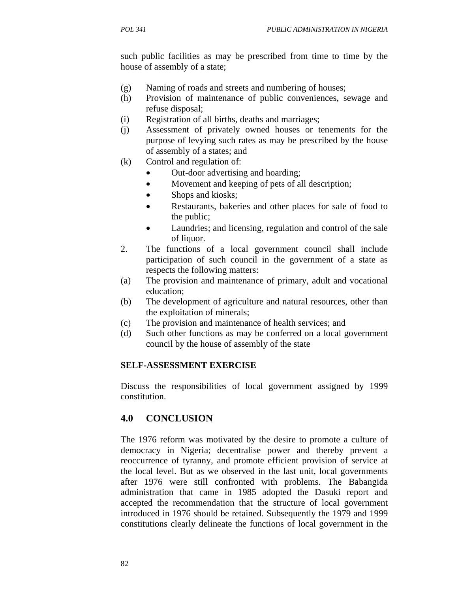such public facilities as may be prescribed from time to time by the house of assembly of a state;

- (g) Naming of roads and streets and numbering of houses;
- (h) Provision of maintenance of public conveniences, sewage and refuse disposal;
- (i) Registration of all births, deaths and marriages;
- (j) Assessment of privately owned houses or tenements for the purpose of levying such rates as may be prescribed by the house of assembly of a states; and
- (k) Control and regulation of:
	- Out-door advertising and hoarding;
	- Movement and keeping of pets of all description;
	- Shops and kiosks;
	- Restaurants, bakeries and other places for sale of food to the public;
	- Laundries; and licensing, regulation and control of the sale of liquor.
- 2. The functions of a local government council shall include participation of such council in the government of a state as respects the following matters:
- (a) The provision and maintenance of primary, adult and vocational education;
- (b) The development of agriculture and natural resources, other than the exploitation of minerals;
- (c) The provision and maintenance of health services; and
- (d) Such other functions as may be conferred on a local government council by the house of assembly of the state

#### **SELF-ASSESSMENT EXERCISE**

Discuss the responsibilities of local government assigned by 1999 constitution.

## **4.0 CONCLUSION**

The 1976 reform was motivated by the desire to promote a culture of democracy in Nigeria; decentralise power and thereby prevent a reoccurrence of tyranny, and promote efficient provision of service at the local level. But as we observed in the last unit, local governments after 1976 were still confronted with problems. The Babangida administration that came in 1985 adopted the Dasuki report and accepted the recommendation that the structure of local government introduced in 1976 should be retained. Subsequently the 1979 and 1999 constitutions clearly delineate the functions of local government in the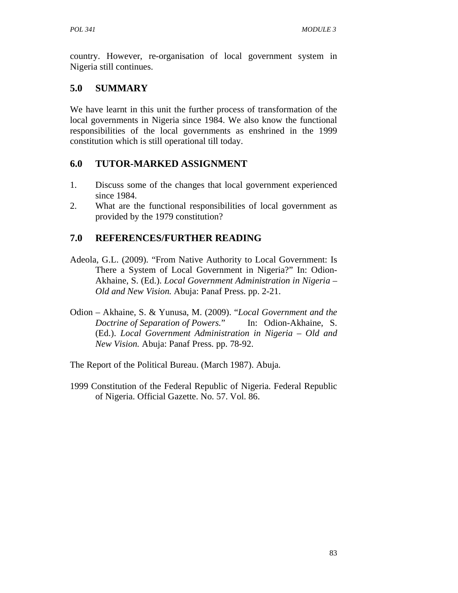country. However, re-organisation of local government system in Nigeria still continues.

# **5.0 SUMMARY**

We have learnt in this unit the further process of transformation of the local governments in Nigeria since 1984. We also know the functional responsibilities of the local governments as enshrined in the 1999 constitution which is still operational till today.

# **6.0 TUTOR-MARKED ASSIGNMENT**

- 1. Discuss some of the changes that local government experienced since 1984.
- 2. What are the functional responsibilities of local government as provided by the 1979 constitution?

# **7.0 REFERENCES/FURTHER READING**

- Adeola, G.L. (2009). "From Native Authority to Local Government: Is There a System of Local Government in Nigeria?" In: Odion-Akhaine, S. (Ed.). *Local Government Administration in Nigeria – Old and New Vision.* Abuja: Panaf Press. pp. 2-21.
- Odion Akhaine, S. & Yunusa, M. (2009). "*Local Government and the Doctrine of Separation of Powers.*" In: Odion-Akhaine, S. (Ed.). *Local Government Administration in Nigeria – Old and New Vision.* Abuja: Panaf Press. pp. 78-92.
- The Report of the Political Bureau. (March 1987). Abuja.
- 1999 Constitution of the Federal Republic of Nigeria. Federal Republic of Nigeria. Official Gazette. No. 57. Vol. 86.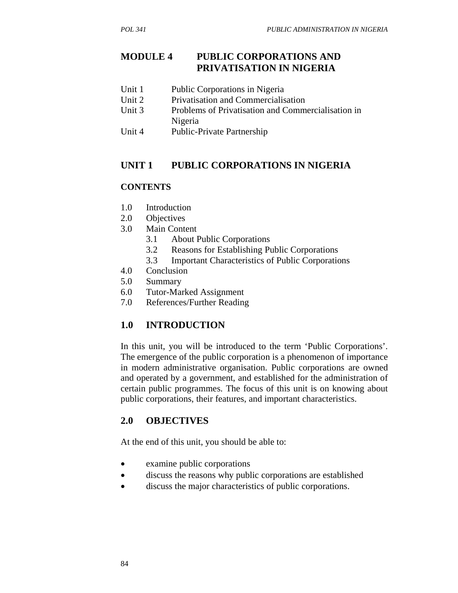## **MODULE 4 PUBLIC CORPORATIONS AND PRIVATISATION IN NIGERIA**

- Unit 1 Public Corporations in Nigeria
- Unit 2 Privatisation and Commercialisation
- Unit 3 Problems of Privatisation and Commercialisation in Nigeria
- Unit 4 Public-Private Partnership

## **UNIT 1 PUBLIC CORPORATIONS IN NIGERIA**

#### **CONTENTS**

- 1.0 Introduction
- 2.0 Objectives
- 3.0 Main Content
	- 3.1 About Public Corporations
	- 3.2 Reasons for Establishing Public Corporations
	- 3.3 Important Characteristics of Public Corporations
- 4.0 Conclusion
- 5.0 Summary
- 6.0 Tutor-Marked Assignment
- 7.0 References/Further Reading

## **1.0 INTRODUCTION**

In this unit, you will be introduced to the term 'Public Corporations'. The emergence of the public corporation is a phenomenon of importance in modern administrative organisation. Public corporations are owned and operated by a government, and established for the administration of certain public programmes. The focus of this unit is on knowing about public corporations, their features, and important characteristics.

## **2.0 OBJECTIVES**

At the end of this unit, you should be able to:

- examine public corporations
- discuss the reasons why public corporations are established
- discuss the major characteristics of public corporations.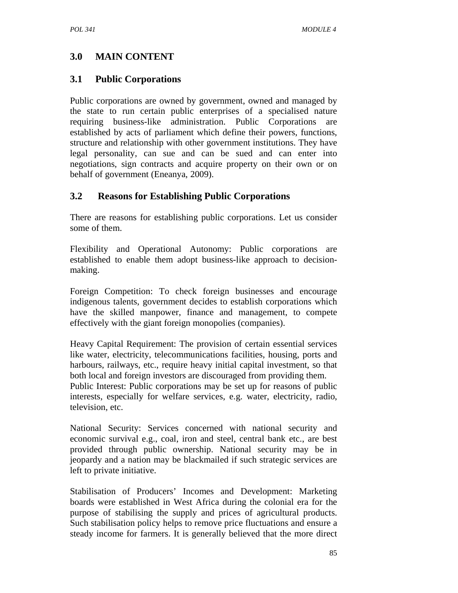# **3.0 MAIN CONTENT**

## **3.1 Public Corporations**

Public corporations are owned by government, owned and managed by the state to run certain public enterprises of a specialised nature requiring business-like administration. Public Corporations are established by acts of parliament which define their powers, functions, structure and relationship with other government institutions. They have legal personality, can sue and can be sued and can enter into negotiations, sign contracts and acquire property on their own or on behalf of government (Eneanya, 2009).

# **3.2 Reasons for Establishing Public Corporations**

There are reasons for establishing public corporations. Let us consider some of them.

Flexibility and Operational Autonomy: Public corporations are established to enable them adopt business-like approach to decisionmaking.

Foreign Competition: To check foreign businesses and encourage indigenous talents, government decides to establish corporations which have the skilled manpower, finance and management, to compete effectively with the giant foreign monopolies (companies).

Heavy Capital Requirement: The provision of certain essential services like water, electricity, telecommunications facilities, housing, ports and harbours, railways, etc., require heavy initial capital investment, so that both local and foreign investors are discouraged from providing them. Public Interest: Public corporations may be set up for reasons of public interests, especially for welfare services, e.g. water, electricity, radio, television, etc.

National Security: Services concerned with national security and economic survival e.g., coal, iron and steel, central bank etc., are best provided through public ownership. National security may be in jeopardy and a nation may be blackmailed if such strategic services are left to private initiative.

Stabilisation of Producers' Incomes and Development: Marketing boards were established in West Africa during the colonial era for the purpose of stabilising the supply and prices of agricultural products. Such stabilisation policy helps to remove price fluctuations and ensure a steady income for farmers. It is generally believed that the more direct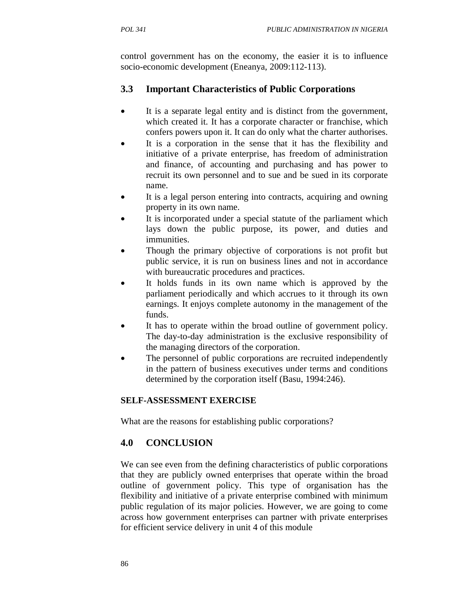control government has on the economy, the easier it is to influence socio-economic development (Eneanya, 2009:112-113).

# **3.3 Important Characteristics of Public Corporations**

- It is a separate legal entity and is distinct from the government, which created it. It has a corporate character or franchise, which confers powers upon it. It can do only what the charter authorises.
- It is a corporation in the sense that it has the flexibility and initiative of a private enterprise, has freedom of administration and finance, of accounting and purchasing and has power to recruit its own personnel and to sue and be sued in its corporate name.
- It is a legal person entering into contracts, acquiring and owning property in its own name.
- It is incorporated under a special statute of the parliament which lays down the public purpose, its power, and duties and immunities.
- Though the primary objective of corporations is not profit but public service, it is run on business lines and not in accordance with bureaucratic procedures and practices.
- It holds funds in its own name which is approved by the parliament periodically and which accrues to it through its own earnings. It enjoys complete autonomy in the management of the funds.
- It has to operate within the broad outline of government policy. The day-to-day administration is the exclusive responsibility of the managing directors of the corporation.
- The personnel of public corporations are recruited independently in the pattern of business executives under terms and conditions determined by the corporation itself (Basu, 1994:246).

## **SELF-ASSESSMENT EXERCISE**

What are the reasons for establishing public corporations?

# **4.0 CONCLUSION**

We can see even from the defining characteristics of public corporations that they are publicly owned enterprises that operate within the broad outline of government policy. This type of organisation has the flexibility and initiative of a private enterprise combined with minimum public regulation of its major policies. However, we are going to come across how government enterprises can partner with private enterprises for efficient service delivery in unit 4 of this module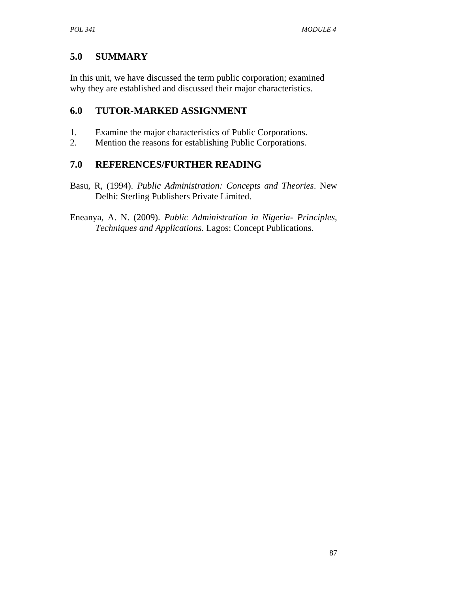# **5.0 SUMMARY**

In this unit, we have discussed the term public corporation; examined why they are established and discussed their major characteristics.

# **6.0 TUTOR-MARKED ASSIGNMENT**

- 1. Examine the major characteristics of Public Corporations.
- 2. Mention the reasons for establishing Public Corporations.

# **7.0 REFERENCES/FURTHER READING**

Basu, R, (1994). *Public Administration: Concepts and Theories*. New Delhi: Sterling Publishers Private Limited.

Eneanya, A. N. (2009). *Public Administration in Nigeria- Principles, Techniques and Applications*. Lagos: Concept Publications.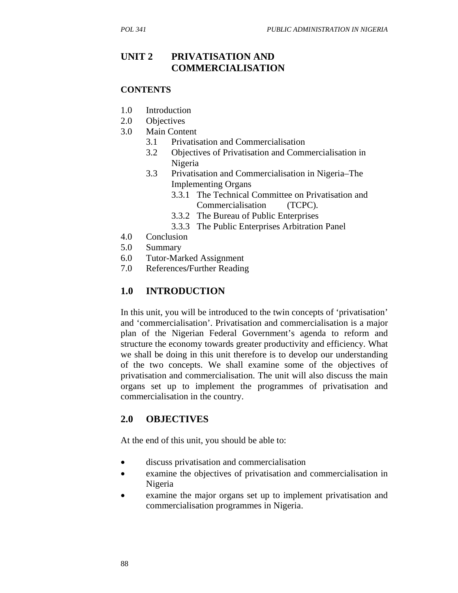### **UNIT 2 PRIVATISATION AND COMMERCIALISATION**

#### **CONTENTS**

- 1.0 Introduction
- 2.0 Objectives
- 3.0 Main Content
	- 3.1 Privatisation and Commercialisation
	- 3.2 Objectives of Privatisation and Commercialisation in Nigeria
	- 3.3 Privatisation and Commercialisation in Nigeria–The Implementing Organs
		- 3.3.1 The Technical Committee on Privatisation and Commercialisation (TCPC).
		- 3.3.2 The Bureau of Public Enterprises
		- 3.3.3 The Public Enterprises Arbitration Panel
- 4.0 Conclusion
- 5.0 Summary
- 6.0 Tutor-Marked Assignment
- 7.0 References**/**Further Reading

## **1.0 INTRODUCTION**

In this unit, you will be introduced to the twin concepts of 'privatisation' and 'commercialisation'. Privatisation and commercialisation is a major plan of the Nigerian Federal Government's agenda to reform and structure the economy towards greater productivity and efficiency. What we shall be doing in this unit therefore is to develop our understanding of the two concepts. We shall examine some of the objectives of privatisation and commercialisation. The unit will also discuss the main organs set up to implement the programmes of privatisation and commercialisation in the country.

### **2.0 OBJECTIVES**

At the end of this unit, you should be able to:

- discuss privatisation and commercialisation
- examine the objectives of privatisation and commercialisation in Nigeria
- examine the major organs set up to implement privatisation and commercialisation programmes in Nigeria.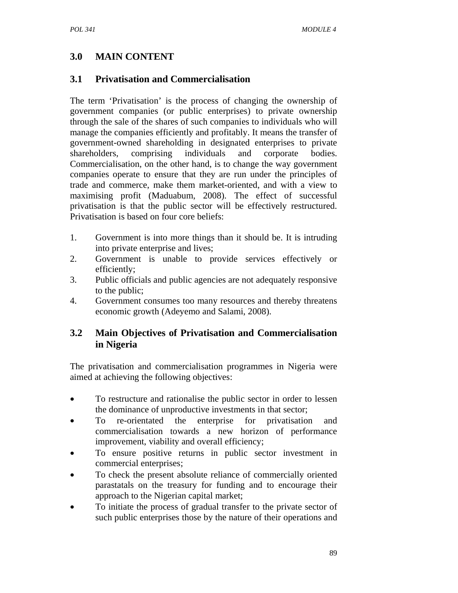# **3.0 MAIN CONTENT**

# **3.1 Privatisation and Commercialisation**

The term 'Privatisation' is the process of changing the ownership of government companies (or public enterprises) to private ownership through the sale of the shares of such companies to individuals who will manage the companies efficiently and profitably. It means the transfer of government-owned shareholding in designated enterprises to private shareholders, comprising individuals and corporate bodies. Commercialisation, on the other hand, is to change the way government companies operate to ensure that they are run under the principles of trade and commerce, make them market-oriented, and with a view to maximising profit (Maduabum, 2008). The effect of successful privatisation is that the public sector will be effectively restructured. Privatisation is based on four core beliefs:

- 1. Government is into more things than it should be. It is intruding into private enterprise and lives;
- 2. Government is unable to provide services effectively or efficiently;
- 3. Public officials and public agencies are not adequately responsive to the public;
- 4. Government consumes too many resources and thereby threatens economic growth (Adeyemo and Salami, 2008).

## **3.2 Main Objectives of Privatisation and Commercialisation in Nigeria**

The privatisation and commercialisation programmes in Nigeria were aimed at achieving the following objectives:

- To restructure and rationalise the public sector in order to lessen the dominance of unproductive investments in that sector;
- To re-orientated the enterprise for privatisation and commercialisation towards a new horizon of performance improvement, viability and overall efficiency;
- To ensure positive returns in public sector investment in commercial enterprises;
- To check the present absolute reliance of commercially oriented parastatals on the treasury for funding and to encourage their approach to the Nigerian capital market;
- To initiate the process of gradual transfer to the private sector of such public enterprises those by the nature of their operations and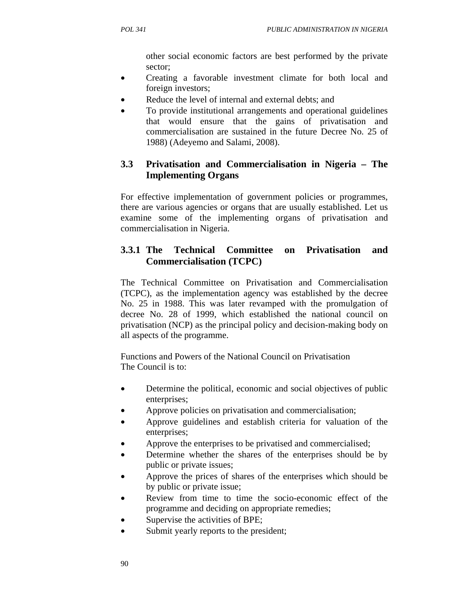other social economic factors are best performed by the private sector;

- Creating a favorable investment climate for both local and foreign investors;
- Reduce the level of internal and external debts; and
- To provide institutional arrangements and operational guidelines that would ensure that the gains of privatisation and commercialisation are sustained in the future Decree No. 25 of 1988) (Adeyemo and Salami, 2008).

# **3.3 Privatisation and Commercialisation in Nigeria – The Implementing Organs**

For effective implementation of government policies or programmes, there are various agencies or organs that are usually established. Let us examine some of the implementing organs of privatisation and commercialisation in Nigeria.

# **3.3.1 The Technical Committee on Privatisation and Commercialisation (TCPC)**

The Technical Committee on Privatisation and Commercialisation (TCPC), as the implementation agency was established by the decree No. 25 in 1988. This was later revamped with the promulgation of decree No. 28 of 1999, which established the national council on privatisation (NCP) as the principal policy and decision-making body on all aspects of the programme.

Functions and Powers of the National Council on Privatisation The Council is to:

- Determine the political, economic and social objectives of public enterprises;
- Approve policies on privatisation and commercialisation;
- Approve guidelines and establish criteria for valuation of the enterprises;
- Approve the enterprises to be privatised and commercialised;
- Determine whether the shares of the enterprises should be by public or private issues;
- Approve the prices of shares of the enterprises which should be by public or private issue;
- Review from time to time the socio-economic effect of the programme and deciding on appropriate remedies;
- Supervise the activities of BPE;
- Submit yearly reports to the president;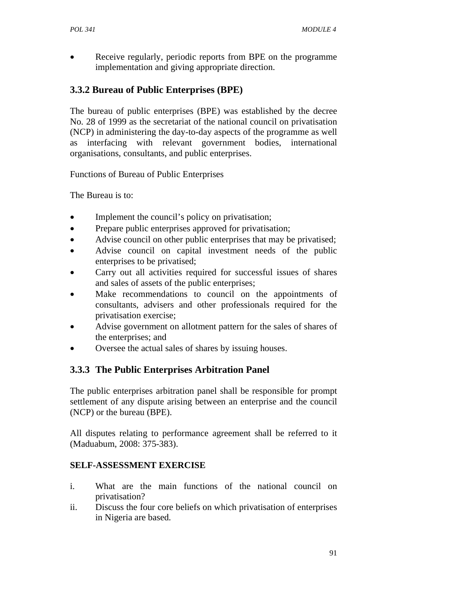• Receive regularly, periodic reports from BPE on the programme implementation and giving appropriate direction.

# **3.3.2 Bureau of Public Enterprises (BPE)**

The bureau of public enterprises (BPE) was established by the decree No. 28 of 1999 as the secretariat of the national council on privatisation (NCP) in administering the day-to-day aspects of the programme as well as interfacing with relevant government bodies, international organisations, consultants, and public enterprises.

Functions of Bureau of Public Enterprises

The Bureau is to:

- Implement the council's policy on privatisation;
- Prepare public enterprises approved for privatisation;
- Advise council on other public enterprises that may be privatised;
- Advise council on capital investment needs of the public enterprises to be privatised;
- Carry out all activities required for successful issues of shares and sales of assets of the public enterprises;
- Make recommendations to council on the appointments of consultants, advisers and other professionals required for the privatisation exercise;
- Advise government on allotment pattern for the sales of shares of the enterprises; and
- Oversee the actual sales of shares by issuing houses.

# **3.3.3 The Public Enterprises Arbitration Panel**

The public enterprises arbitration panel shall be responsible for prompt settlement of any dispute arising between an enterprise and the council (NCP) or the bureau (BPE).

All disputes relating to performance agreement shall be referred to it (Maduabum, 2008: 375-383).

## **SELF-ASSESSMENT EXERCISE**

- i. What are the main functions of the national council on privatisation?
- ii. Discuss the four core beliefs on which privatisation of enterprises in Nigeria are based.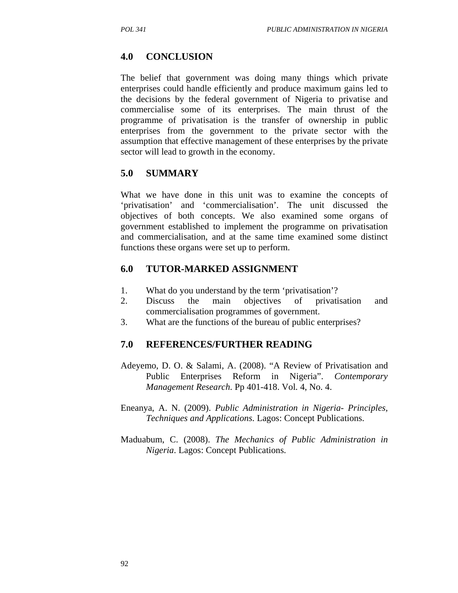## **4.0 CONCLUSION**

The belief that government was doing many things which private enterprises could handle efficiently and produce maximum gains led to the decisions by the federal government of Nigeria to privatise and commercialise some of its enterprises. The main thrust of the programme of privatisation is the transfer of ownership in public enterprises from the government to the private sector with the assumption that effective management of these enterprises by the private sector will lead to growth in the economy.

## **5.0 SUMMARY**

What we have done in this unit was to examine the concepts of 'privatisation' and 'commercialisation'. The unit discussed the objectives of both concepts. We also examined some organs of government established to implement the programme on privatisation and commercialisation, and at the same time examined some distinct functions these organs were set up to perform.

# **6.0 TUTOR-MARKED ASSIGNMENT**

- 1. What do you understand by the term 'privatisation'?
- 2. Discuss the main objectives of privatisation and commercialisation programmes of government.
- 3. What are the functions of the bureau of public enterprises?

## **7.0 REFERENCES/FURTHER READING**

- Adeyemo, D. O. & Salami, A. (2008). "A Review of Privatisation and Public Enterprises Reform in Nigeria". *Contemporary Management Research*. Pp 401-418. Vol. 4, No. 4.
- Eneanya, A. N. (2009). *Public Administration in Nigeria- Principles, Techniques and Applications*. Lagos: Concept Publications.
- Maduabum, C. (2008). *The Mechanics of Public Administration in Nigeria*. Lagos: Concept Publications.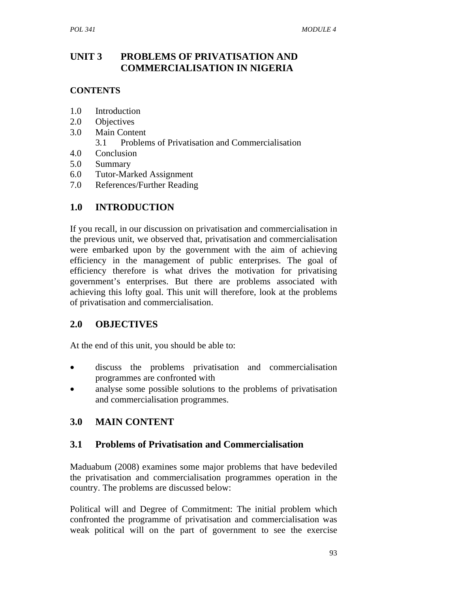# **UNIT 3 PROBLEMS OF PRIVATISATION AND COMMERCIALISATION IN NIGERIA**

### **CONTENTS**

- 1.0 Introduction
- 2.0 Objectives
- 3.0 Main Content
	- 3.1 Problems of Privatisation and Commercialisation
- 4.0 Conclusion
- 5.0 Summary
- 6.0 Tutor-Marked Assignment
- 7.0 References/Further Reading

# **1.0 INTRODUCTION**

If you recall, in our discussion on privatisation and commercialisation in the previous unit, we observed that, privatisation and commercialisation were embarked upon by the government with the aim of achieving efficiency in the management of public enterprises. The goal of efficiency therefore is what drives the motivation for privatising government's enterprises. But there are problems associated with achieving this lofty goal. This unit will therefore, look at the problems of privatisation and commercialisation.

# **2.0 OBJECTIVES**

At the end of this unit, you should be able to:

- discuss the problems privatisation and commercialisation programmes are confronted with
- analyse some possible solutions to the problems of privatisation and commercialisation programmes.

# **3.0 MAIN CONTENT**

## **3.1 Problems of Privatisation and Commercialisation**

Maduabum (2008) examines some major problems that have bedeviled the privatisation and commercialisation programmes operation in the country. The problems are discussed below:

Political will and Degree of Commitment: The initial problem which confronted the programme of privatisation and commercialisation was weak political will on the part of government to see the exercise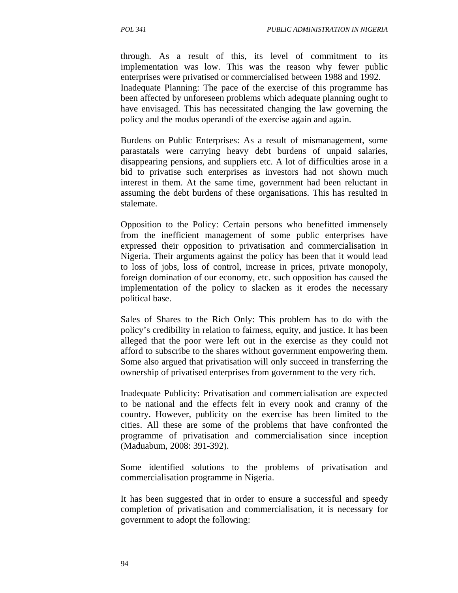through. As a result of this, its level of commitment to its implementation was low. This was the reason why fewer public enterprises were privatised or commercialised between 1988 and 1992. Inadequate Planning: The pace of the exercise of this programme has been affected by unforeseen problems which adequate planning ought to have envisaged. This has necessitated changing the law governing the policy and the modus operandi of the exercise again and again.

Burdens on Public Enterprises: As a result of mismanagement, some parastatals were carrying heavy debt burdens of unpaid salaries, disappearing pensions, and suppliers etc. A lot of difficulties arose in a bid to privatise such enterprises as investors had not shown much interest in them. At the same time, government had been reluctant in assuming the debt burdens of these organisations. This has resulted in stalemate.

Opposition to the Policy: Certain persons who benefitted immensely from the inefficient management of some public enterprises have expressed their opposition to privatisation and commercialisation in Nigeria. Their arguments against the policy has been that it would lead to loss of jobs, loss of control, increase in prices, private monopoly, foreign domination of our economy, etc. such opposition has caused the implementation of the policy to slacken as it erodes the necessary political base.

Sales of Shares to the Rich Only: This problem has to do with the policy's credibility in relation to fairness, equity, and justice. It has been alleged that the poor were left out in the exercise as they could not afford to subscribe to the shares without government empowering them. Some also argued that privatisation will only succeed in transferring the ownership of privatised enterprises from government to the very rich.

Inadequate Publicity: Privatisation and commercialisation are expected to be national and the effects felt in every nook and cranny of the country. However, publicity on the exercise has been limited to the cities. All these are some of the problems that have confronted the programme of privatisation and commercialisation since inception (Maduabum, 2008: 391-392).

Some identified solutions to the problems of privatisation and commercialisation programme in Nigeria.

It has been suggested that in order to ensure a successful and speedy completion of privatisation and commercialisation, it is necessary for government to adopt the following: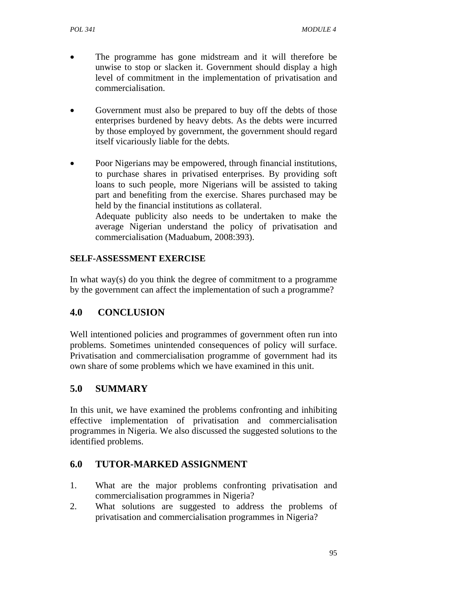- The programme has gone midstream and it will therefore be unwise to stop or slacken it. Government should display a high level of commitment in the implementation of privatisation and commercialisation.
- Government must also be prepared to buy off the debts of those enterprises burdened by heavy debts. As the debts were incurred by those employed by government, the government should regard itself vicariously liable for the debts.
- Poor Nigerians may be empowered, through financial institutions, to purchase shares in privatised enterprises. By providing soft loans to such people, more Nigerians will be assisted to taking part and benefiting from the exercise. Shares purchased may be held by the financial institutions as collateral. Adequate publicity also needs to be undertaken to make the average Nigerian understand the policy of privatisation and commercialisation (Maduabum, 2008:393).

### **SELF-ASSESSMENT EXERCISE**

In what way(s) do you think the degree of commitment to a programme by the government can affect the implementation of such a programme?

# **4.0 CONCLUSION**

Well intentioned policies and programmes of government often run into problems. Sometimes unintended consequences of policy will surface. Privatisation and commercialisation programme of government had its own share of some problems which we have examined in this unit.

# **5.0 SUMMARY**

In this unit, we have examined the problems confronting and inhibiting effective implementation of privatisation and commercialisation programmes in Nigeria. We also discussed the suggested solutions to the identified problems.

## **6.0 TUTOR-MARKED ASSIGNMENT**

- 1. What are the major problems confronting privatisation and commercialisation programmes in Nigeria?
- 2. What solutions are suggested to address the problems of privatisation and commercialisation programmes in Nigeria?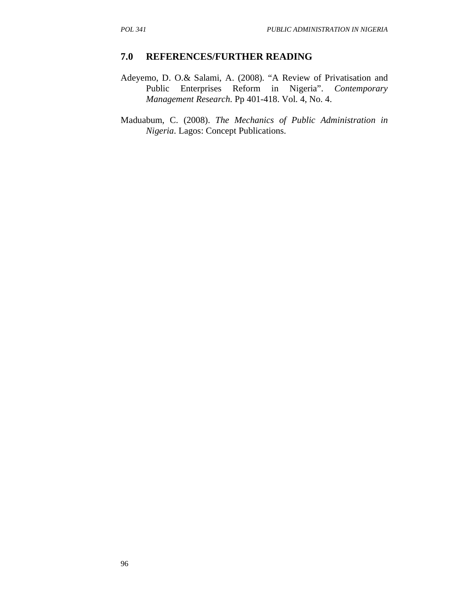- Adeyemo, D. O.& Salami, A. (2008). "A Review of Privatisation and Public Enterprises Reform in Nigeria". *Contemporary Management Research*. Pp 401-418. Vol. 4, No. 4.
- Maduabum, C. (2008). *The Mechanics of Public Administration in Nigeria*. Lagos: Concept Publications.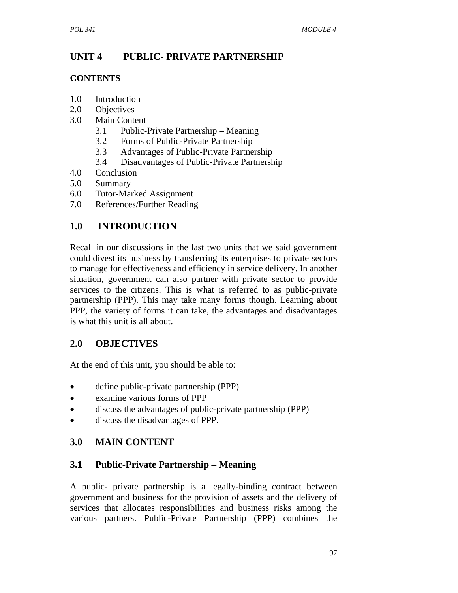# **UNIT 4 PUBLIC- PRIVATE PARTNERSHIP**

## **CONTENTS**

- 1.0 Introduction
- 2.0 Objectives
- 3.0 Main Content
	- 3.1 Public-Private Partnership Meaning
	- 3.2 Forms of Public-Private Partnership
	- 3.3 Advantages of Public-Private Partnership
	- 3.4 Disadvantages of Public-Private Partnership
- 4.0 Conclusion
- 5.0 Summary
- 6.0 Tutor-Marked Assignment
- 7.0 References/Further Reading

# **1.0 INTRODUCTION**

Recall in our discussions in the last two units that we said government could divest its business by transferring its enterprises to private sectors to manage for effectiveness and efficiency in service delivery. In another situation, government can also partner with private sector to provide services to the citizens. This is what is referred to as public-private partnership (PPP). This may take many forms though. Learning about PPP, the variety of forms it can take, the advantages and disadvantages is what this unit is all about.

# **2.0 OBJECTIVES**

At the end of this unit, you should be able to:

- define public-private partnership (PPP)
- examine various forms of PPP
- discuss the advantages of public-private partnership (PPP)
- discuss the disadvantages of PPP.

# **3.0 MAIN CONTENT**

# **3.1 Public-Private Partnership – Meaning**

A public- private partnership is a legally-binding contract between government and business for the provision of assets and the delivery of services that allocates responsibilities and business risks among the various partners. Public-Private Partnership (PPP) combines the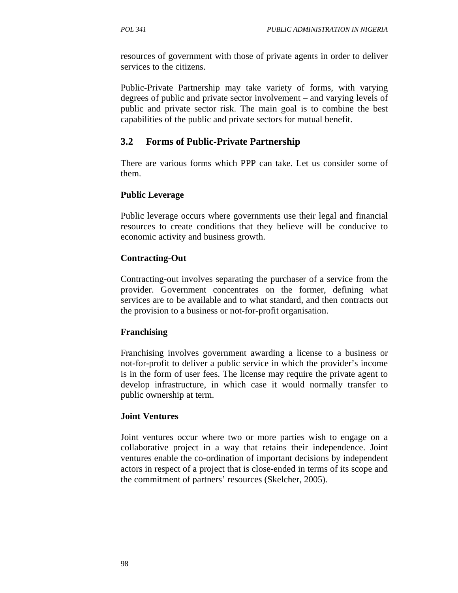resources of government with those of private agents in order to deliver services to the citizens.

Public-Private Partnership may take variety of forms, with varying degrees of public and private sector involvement – and varying levels of public and private sector risk. The main goal is to combine the best capabilities of the public and private sectors for mutual benefit.

## **3.2 Forms of Public-Private Partnership**

There are various forms which PPP can take. Let us consider some of them.

#### **Public Leverage**

Public leverage occurs where governments use their legal and financial resources to create conditions that they believe will be conducive to economic activity and business growth.

### **Contracting-Out**

Contracting-out involves separating the purchaser of a service from the provider. Government concentrates on the former, defining what services are to be available and to what standard, and then contracts out the provision to a business or not-for-profit organisation.

#### **Franchising**

Franchising involves government awarding a license to a business or not-for-profit to deliver a public service in which the provider's income is in the form of user fees. The license may require the private agent to develop infrastructure, in which case it would normally transfer to public ownership at term.

#### **Joint Ventures**

Joint ventures occur where two or more parties wish to engage on a collaborative project in a way that retains their independence. Joint ventures enable the co-ordination of important decisions by independent actors in respect of a project that is close-ended in terms of its scope and the commitment of partners' resources (Skelcher, 2005).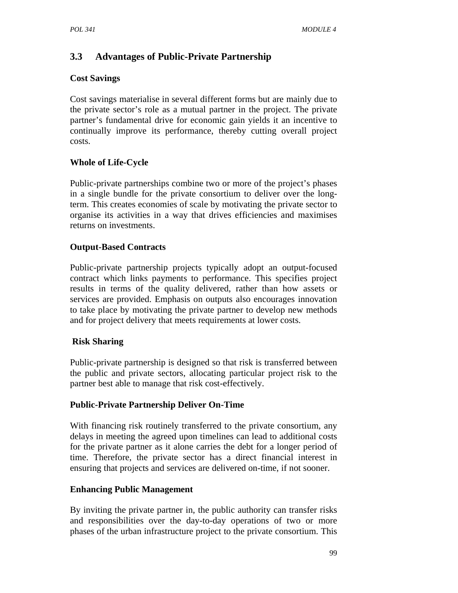# **3.3 Advantages of Public-Private Partnership**

#### **Cost Savings**

Cost savings materialise in several different forms but are mainly due to the private sector's role as a mutual partner in the project. The private partner's fundamental drive for economic gain yields it an incentive to continually improve its performance, thereby cutting overall project costs.

## **Whole of Life-Cycle**

Public-private partnerships combine two or more of the project's phases in a single bundle for the private consortium to deliver over the longterm. This creates economies of scale by motivating the private sector to organise its activities in a way that drives efficiencies and maximises returns on investments.

## **Output-Based Contracts**

Public-private partnership projects typically adopt an output-focused contract which links payments to performance. This specifies project results in terms of the quality delivered, rather than how assets or services are provided. Emphasis on outputs also encourages innovation to take place by motivating the private partner to develop new methods and for project delivery that meets requirements at lower costs.

## **Risk Sharing**

Public-private partnership is designed so that risk is transferred between the public and private sectors, allocating particular project risk to the partner best able to manage that risk cost-effectively.

## **Public-Private Partnership Deliver On-Time**

With financing risk routinely transferred to the private consortium, any delays in meeting the agreed upon timelines can lead to additional costs for the private partner as it alone carries the debt for a longer period of time. Therefore, the private sector has a direct financial interest in ensuring that projects and services are delivered on-time, if not sooner.

## **Enhancing Public Management**

By inviting the private partner in, the public authority can transfer risks and responsibilities over the day-to-day operations of two or more phases of the urban infrastructure project to the private consortium. This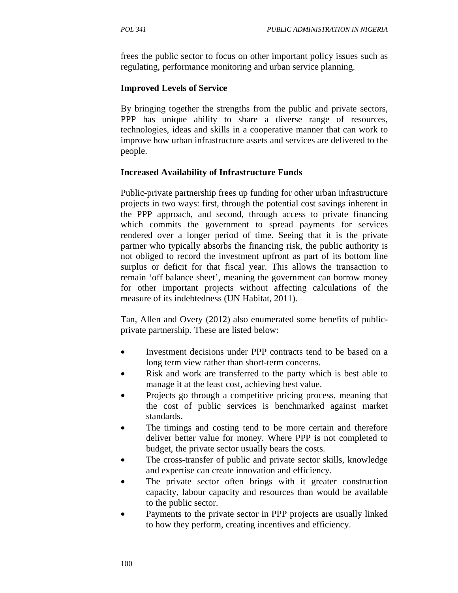frees the public sector to focus on other important policy issues such as regulating, performance monitoring and urban service planning.

#### **Improved Levels of Service**

By bringing together the strengths from the public and private sectors, PPP has unique ability to share a diverse range of resources, technologies, ideas and skills in a cooperative manner that can work to improve how urban infrastructure assets and services are delivered to the people.

#### **Increased Availability of Infrastructure Funds**

Public-private partnership frees up funding for other urban infrastructure projects in two ways: first, through the potential cost savings inherent in the PPP approach, and second, through access to private financing which commits the government to spread payments for services rendered over a longer period of time. Seeing that it is the private partner who typically absorbs the financing risk, the public authority is not obliged to record the investment upfront as part of its bottom line surplus or deficit for that fiscal year. This allows the transaction to remain 'off balance sheet', meaning the government can borrow money for other important projects without affecting calculations of the measure of its indebtedness (UN Habitat, 2011).

Tan, Allen and Overy (2012) also enumerated some benefits of publicprivate partnership. These are listed below:

- Investment decisions under PPP contracts tend to be based on a long term view rather than short-term concerns.
- Risk and work are transferred to the party which is best able to manage it at the least cost, achieving best value.
- Projects go through a competitive pricing process, meaning that the cost of public services is benchmarked against market standards.
- The timings and costing tend to be more certain and therefore deliver better value for money. Where PPP is not completed to budget, the private sector usually bears the costs.
- The cross-transfer of public and private sector skills, knowledge and expertise can create innovation and efficiency.
- The private sector often brings with it greater construction capacity, labour capacity and resources than would be available to the public sector.
- Payments to the private sector in PPP projects are usually linked to how they perform, creating incentives and efficiency.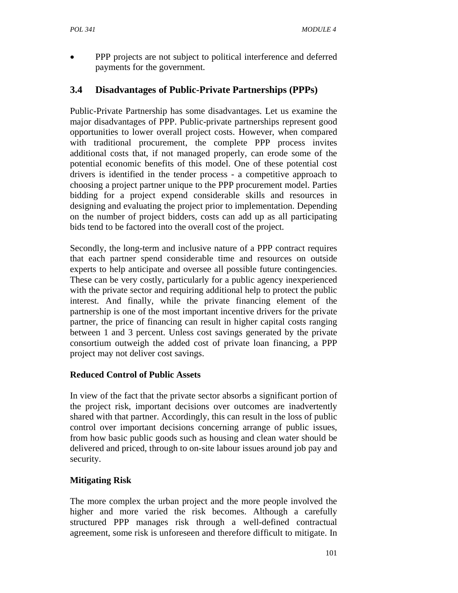• PPP projects are not subject to political interference and deferred payments for the government.

## **3.4 Disadvantages of Public-Private Partnerships (PPPs)**

Public-Private Partnership has some disadvantages. Let us examine the major disadvantages of PPP. Public-private partnerships represent good opportunities to lower overall project costs. However, when compared with traditional procurement, the complete PPP process invites additional costs that, if not managed properly, can erode some of the potential economic benefits of this model. One of these potential cost drivers is identified in the tender process - a competitive approach to choosing a project partner unique to the PPP procurement model. Parties bidding for a project expend considerable skills and resources in designing and evaluating the project prior to implementation. Depending on the number of project bidders, costs can add up as all participating bids tend to be factored into the overall cost of the project.

Secondly, the long-term and inclusive nature of a PPP contract requires that each partner spend considerable time and resources on outside experts to help anticipate and oversee all possible future contingencies. These can be very costly, particularly for a public agency inexperienced with the private sector and requiring additional help to protect the public interest. And finally, while the private financing element of the partnership is one of the most important incentive drivers for the private partner, the price of financing can result in higher capital costs ranging between 1 and 3 percent. Unless cost savings generated by the private consortium outweigh the added cost of private loan financing, a PPP project may not deliver cost savings.

## **Reduced Control of Public Assets**

In view of the fact that the private sector absorbs a significant portion of the project risk, important decisions over outcomes are inadvertently shared with that partner. Accordingly, this can result in the loss of public control over important decisions concerning arrange of public issues, from how basic public goods such as housing and clean water should be delivered and priced, through to on-site labour issues around job pay and security.

## **Mitigating Risk**

The more complex the urban project and the more people involved the higher and more varied the risk becomes. Although a carefully structured PPP manages risk through a well-defined contractual agreement, some risk is unforeseen and therefore difficult to mitigate. In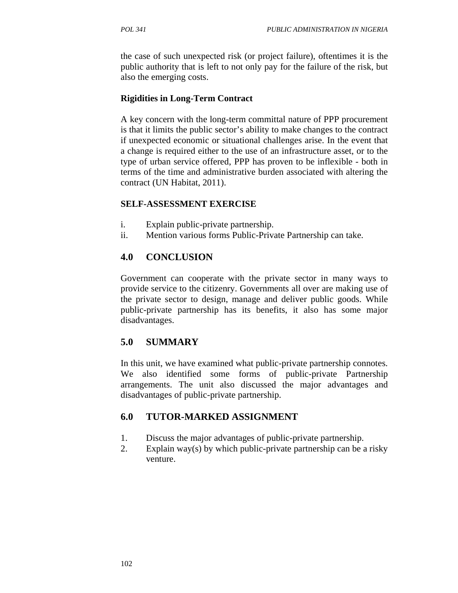the case of such unexpected risk (or project failure), oftentimes it is the public authority that is left to not only pay for the failure of the risk, but also the emerging costs.

### **Rigidities in Long-Term Contract**

A key concern with the long-term committal nature of PPP procurement is that it limits the public sector's ability to make changes to the contract if unexpected economic or situational challenges arise. In the event that a change is required either to the use of an infrastructure asset, or to the type of urban service offered, PPP has proven to be inflexible - both in terms of the time and administrative burden associated with altering the contract (UN Habitat, 2011).

### **SELF-ASSESSMENT EXERCISE**

- i. Explain public-private partnership.
- ii. Mention various forms Public-Private Partnership can take.

# **4.0 CONCLUSION**

Government can cooperate with the private sector in many ways to provide service to the citizenry. Governments all over are making use of the private sector to design, manage and deliver public goods. While public-private partnership has its benefits, it also has some major disadvantages.

# **5.0 SUMMARY**

In this unit, we have examined what public-private partnership connotes. We also identified some forms of public-private Partnership arrangements. The unit also discussed the major advantages and disadvantages of public-private partnership.

# **6.0 TUTOR-MARKED ASSIGNMENT**

- 1. Discuss the major advantages of public-private partnership.
- 2. Explain way(s) by which public-private partnership can be a risky venture.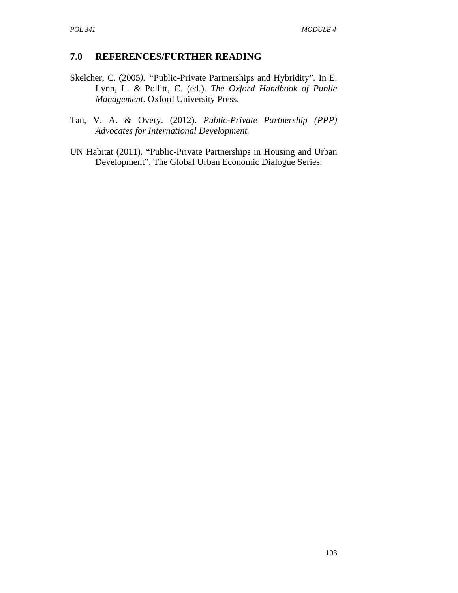- Skelcher, C. (2005*). "*Public-Private Partnerships and Hybridity"*.* In E. Lynn, L. *&* Pollitt, C. (ed.). *The Oxford Handbook of Public Management*. Oxford University Press.
- Tan, V. A. & Overy. (2012). *Public-Private Partnership (PPP) Advocates for International Development.*
- UN Habitat (2011). "Public-Private Partnerships in Housing and Urban Development". The Global Urban Economic Dialogue Series.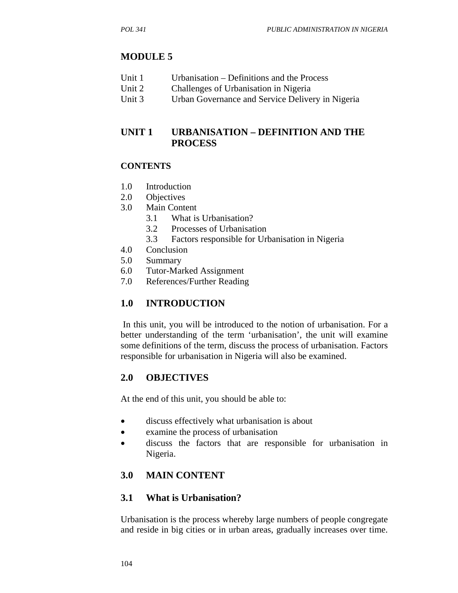## **MODULE 5**

| Unit 1<br>Urbanisation – Definitions and the Process |
|------------------------------------------------------|
|------------------------------------------------------|

- Unit 2 Challenges of Urbanisation in Nigeria
- Unit 3 Urban Governance and Service Delivery in Nigeria

## **UNIT 1 URBANISATION – DEFINITION AND THE PROCESS**

#### **CONTENTS**

- 1.0 Introduction
- 2.0 Objectives
- 3.0 Main Content
	- 3.1 What is Urbanisation?
	- 3.2 Processes of Urbanisation
	- 3.3 Factors responsible for Urbanisation in Nigeria
- 4.0 Conclusion
- 5.0 Summary
- 6.0 Tutor-Marked Assignment
- 7.0 References/Further Reading

## **1.0 INTRODUCTION**

 In this unit, you will be introduced to the notion of urbanisation. For a better understanding of the term 'urbanisation', the unit will examine some definitions of the term, discuss the process of urbanisation. Factors responsible for urbanisation in Nigeria will also be examined.

## **2.0 OBJECTIVES**

At the end of this unit, you should be able to:

- discuss effectively what urbanisation is about
- examine the process of urbanisation
- discuss the factors that are responsible for urbanisation in Nigeria.

# **3.0 MAIN CONTENT**

#### **3.1 What is Urbanisation?**

Urbanisation is the process whereby large numbers of people congregate and reside in big cities or in urban areas, gradually increases over time.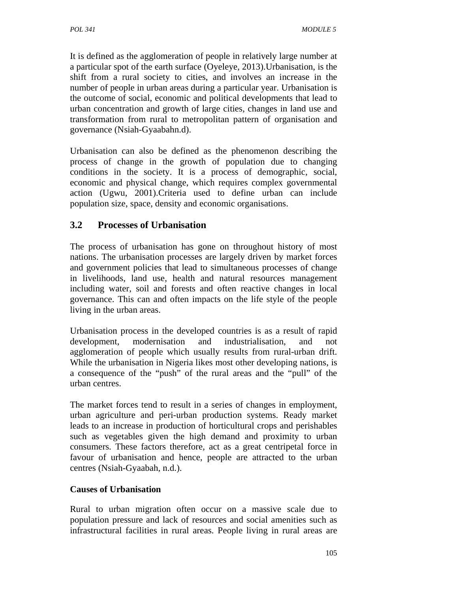It is defined as the agglomeration of people in relatively large number at a particular spot of the earth surface (Oyeleye, 2013).Urbanisation, is the shift from a rural society to cities, and involves an increase in the number of people in urban areas during a particular year. Urbanisation is the outcome of social, economic and political developments that lead to urban concentration and growth of large cities, changes in land use and transformation from rural to metropolitan pattern of organisation and governance (Nsiah-Gyaabahn.d).

Urbanisation can also be defined as the phenomenon describing the process of change in the growth of population due to changing conditions in the society. It is a process of demographic, social, economic and physical change, which requires complex governmental action (Ugwu, 2001).Criteria used to define urban can include population size, space, density and economic organisations.

## **3.2 Processes of Urbanisation**

The process of urbanisation has gone on throughout history of most nations. The urbanisation processes are largely driven by market forces and government policies that lead to simultaneous processes of change in livelihoods, land use, health and natural resources management including water, soil and forests and often reactive changes in local governance. This can and often impacts on the life style of the people living in the urban areas.

Urbanisation process in the developed countries is as a result of rapid development, modernisation and industrialisation, and not agglomeration of people which usually results from rural-urban drift. While the urbanisation in Nigeria likes most other developing nations, is a consequence of the "push" of the rural areas and the "pull" of the urban centres.

The market forces tend to result in a series of changes in employment, urban agriculture and peri-urban production systems. Ready market leads to an increase in production of horticultural crops and perishables such as vegetables given the high demand and proximity to urban consumers. These factors therefore, act as a great centripetal force in favour of urbanisation and hence, people are attracted to the urban centres (Nsiah-Gyaabah, n.d.).

#### **Causes of Urbanisation**

Rural to urban migration often occur on a massive scale due to population pressure and lack of resources and social amenities such as infrastructural facilities in rural areas. People living in rural areas are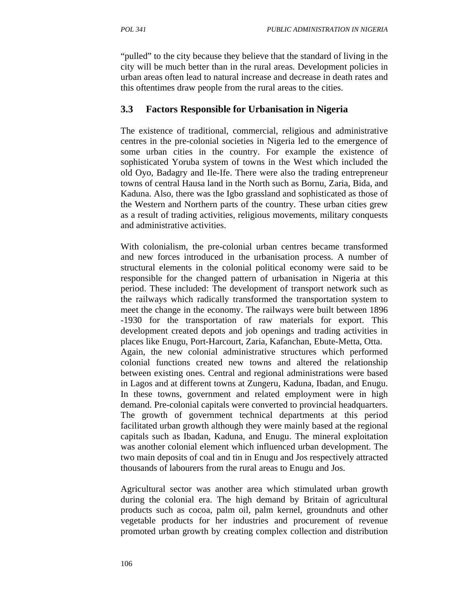"pulled" to the city because they believe that the standard of living in the city will be much better than in the rural areas. Development policies in urban areas often lead to natural increase and decrease in death rates and this oftentimes draw people from the rural areas to the cities.

## **3.3 Factors Responsible for Urbanisation in Nigeria**

The existence of traditional, commercial, religious and administrative centres in the pre-colonial societies in Nigeria led to the emergence of some urban cities in the country. For example the existence of sophisticated Yoruba system of towns in the West which included the old Oyo, Badagry and Ile-Ife. There were also the trading entrepreneur towns of central Hausa land in the North such as Bornu, Zaria, Bida, and Kaduna. Also, there was the Igbo grassland and sophisticated as those of the Western and Northern parts of the country. These urban cities grew as a result of trading activities, religious movements, military conquests and administrative activities.

With colonialism, the pre-colonial urban centres became transformed and new forces introduced in the urbanisation process. A number of structural elements in the colonial political economy were said to be responsible for the changed pattern of urbanisation in Nigeria at this period. These included: The development of transport network such as the railways which radically transformed the transportation system to meet the change in the economy. The railways were built between 1896 -1930 for the transportation of raw materials for export. This development created depots and job openings and trading activities in places like Enugu, Port-Harcourt, Zaria, Kafanchan, Ebute-Metta, Otta. Again, the new colonial administrative structures which performed colonial functions created new towns and altered the relationship between existing ones. Central and regional administrations were based in Lagos and at different towns at Zungeru, Kaduna, Ibadan, and Enugu. In these towns, government and related employment were in high demand. Pre-colonial capitals were converted to provincial headquarters. The growth of government technical departments at this period facilitated urban growth although they were mainly based at the regional capitals such as Ibadan, Kaduna, and Enugu. The mineral exploitation was another colonial element which influenced urban development. The two main deposits of coal and tin in Enugu and Jos respectively attracted thousands of labourers from the rural areas to Enugu and Jos.

Agricultural sector was another area which stimulated urban growth during the colonial era. The high demand by Britain of agricultural products such as cocoa, palm oil, palm kernel, groundnuts and other vegetable products for her industries and procurement of revenue promoted urban growth by creating complex collection and distribution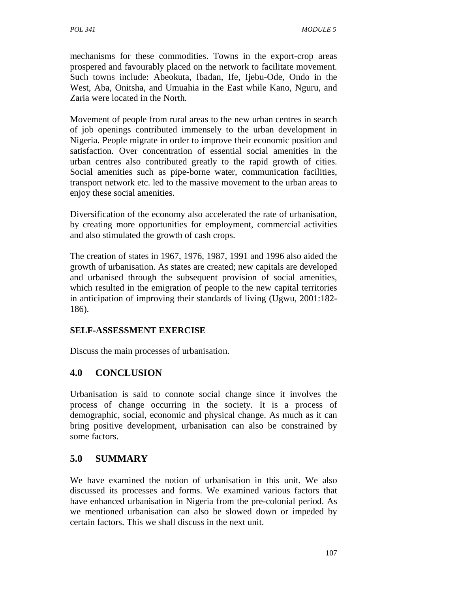mechanisms for these commodities. Towns in the export-crop areas prospered and favourably placed on the network to facilitate movement. Such towns include: Abeokuta, Ibadan, Ife, Ijebu-Ode, Ondo in the West, Aba, Onitsha, and Umuahia in the East while Kano, Nguru, and Zaria were located in the North.

Movement of people from rural areas to the new urban centres in search of job openings contributed immensely to the urban development in Nigeria. People migrate in order to improve their economic position and satisfaction. Over concentration of essential social amenities in the urban centres also contributed greatly to the rapid growth of cities. Social amenities such as pipe-borne water, communication facilities, transport network etc. led to the massive movement to the urban areas to enjoy these social amenities.

Diversification of the economy also accelerated the rate of urbanisation, by creating more opportunities for employment, commercial activities and also stimulated the growth of cash crops.

The creation of states in 1967, 1976, 1987, 1991 and 1996 also aided the growth of urbanisation. As states are created; new capitals are developed and urbanised through the subsequent provision of social amenities, which resulted in the emigration of people to the new capital territories in anticipation of improving their standards of living (Ugwu, 2001:182- 186).

## **SELF-ASSESSMENT EXERCISE**

Discuss the main processes of urbanisation.

#### **4.0 CONCLUSION**

Urbanisation is said to connote social change since it involves the process of change occurring in the society. It is a process of demographic, social, economic and physical change. As much as it can bring positive development, urbanisation can also be constrained by some factors.

## **5.0 SUMMARY**

We have examined the notion of urbanisation in this unit. We also discussed its processes and forms. We examined various factors that have enhanced urbanisation in Nigeria from the pre-colonial period. As we mentioned urbanisation can also be slowed down or impeded by certain factors. This we shall discuss in the next unit.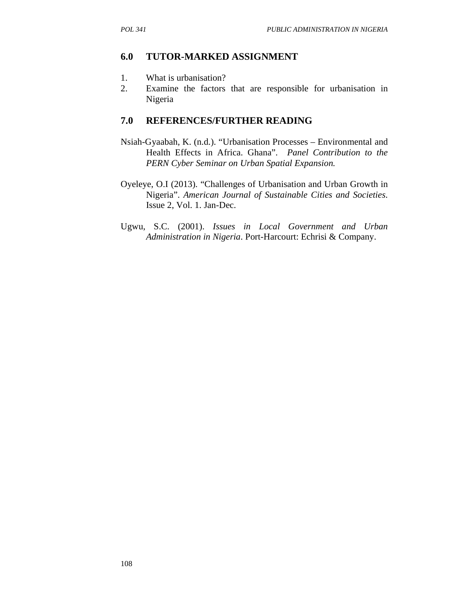## **6.0 TUTOR-MARKED ASSIGNMENT**

- 1. What is urbanisation?
- 2. Examine the factors that are responsible for urbanisation in Nigeria

- Nsiah-Gyaabah, K. (n.d.). "Urbanisation Processes Environmental and Health Effects in Africa. Ghana". *Panel Contribution to the PERN Cyber Seminar on Urban Spatial Expansion.*
- Oyeleye, O.I (2013). "Challenges of Urbanisation and Urban Growth in Nigeria". *American Journal of Sustainable Cities and Societies*. Issue 2, Vol. 1. Jan-Dec.
- Ugwu, S.C. (2001). *Issues in Local Government and Urban Administration in Nigeria*. Port-Harcourt: Echrisi & Company.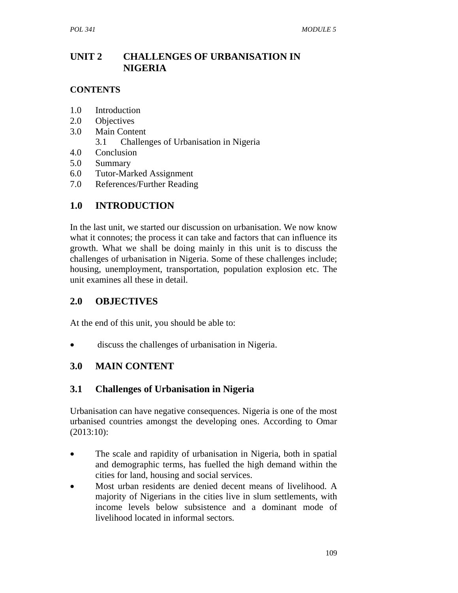## **UNIT 2 CHALLENGES OF URBANISATION IN NIGERIA**

### **CONTENTS**

- 1.0 Introduction
- 2.0 Objectives
- 3.0 Main Content
	- 3.1 Challenges of Urbanisation in Nigeria
- 4.0 Conclusion
- 5.0 Summary
- 6.0 Tutor-Marked Assignment
- 7.0 References/Further Reading

# **1.0 INTRODUCTION**

In the last unit, we started our discussion on urbanisation. We now know what it connotes; the process it can take and factors that can influence its growth. What we shall be doing mainly in this unit is to discuss the challenges of urbanisation in Nigeria. Some of these challenges include; housing, unemployment, transportation, population explosion etc. The unit examines all these in detail.

## **2.0 OBJECTIVES**

At the end of this unit, you should be able to:

discuss the challenges of urbanisation in Nigeria.

## **3.0 MAIN CONTENT**

# **3.1 Challenges of Urbanisation in Nigeria**

Urbanisation can have negative consequences. Nigeria is one of the most urbanised countries amongst the developing ones. According to Omar (2013:10):

- The scale and rapidity of urbanisation in Nigeria, both in spatial and demographic terms, has fuelled the high demand within the cities for land, housing and social services.
- Most urban residents are denied decent means of livelihood. A majority of Nigerians in the cities live in slum settlements, with income levels below subsistence and a dominant mode of livelihood located in informal sectors.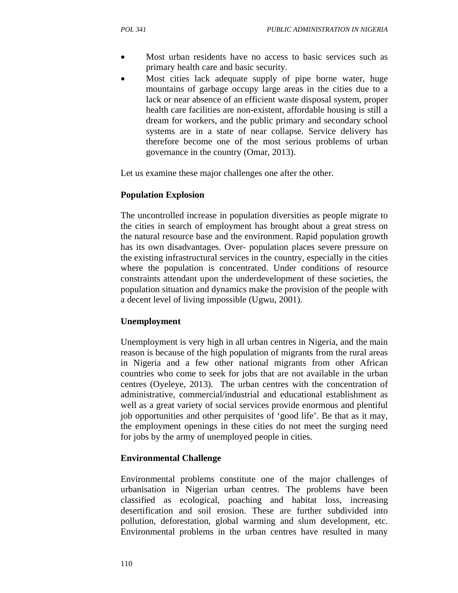- Most urban residents have no access to basic services such as primary health care and basic security.
- Most cities lack adequate supply of pipe borne water, huge mountains of garbage occupy large areas in the cities due to a lack or near absence of an efficient waste disposal system, proper health care facilities are non-existent, affordable housing is still a dream for workers, and the public primary and secondary school systems are in a state of near collapse. Service delivery has therefore become one of the most serious problems of urban governance in the country (Omar, 2013).

Let us examine these major challenges one after the other.

#### **Population Explosion**

The uncontrolled increase in population diversities as people migrate to the cities in search of employment has brought about a great stress on the natural resource base and the environment. Rapid population growth has its own disadvantages. Over- population places severe pressure on the existing infrastructural services in the country, especially in the cities where the population is concentrated. Under conditions of resource constraints attendant upon the underdevelopment of these societies, the population situation and dynamics make the provision of the people with a decent level of living impossible (Ugwu, 2001).

#### **Unemployment**

Unemployment is very high in all urban centres in Nigeria, and the main reason is because of the high population of migrants from the rural areas in Nigeria and a few other national migrants from other African countries who come to seek for jobs that are not available in the urban centres (Oyeleye, 2013). The urban centres with the concentration of administrative, commercial/industrial and educational establishment as well as a great variety of social services provide enormous and plentiful job opportunities and other perquisites of 'good life'. Be that as it may, the employment openings in these cities do not meet the surging need for jobs by the army of unemployed people in cities.

#### **Environmental Challenge**

Environmental problems constitute one of the major challenges of urbanisation in Nigerian urban centres. The problems have been classified as ecological, poaching and habitat loss, increasing desertification and soil erosion. These are further subdivided into pollution, deforestation, global warming and slum development, etc. Environmental problems in the urban centres have resulted in many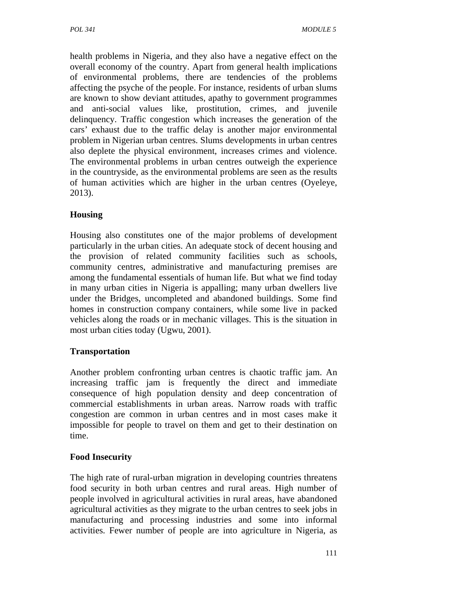health problems in Nigeria, and they also have a negative effect on the overall economy of the country. Apart from general health implications of environmental problems, there are tendencies of the problems affecting the psyche of the people. For instance, residents of urban slums are known to show deviant attitudes, apathy to government programmes and anti-social values like, prostitution, crimes, and juvenile delinquency. Traffic congestion which increases the generation of the cars' exhaust due to the traffic delay is another major environmental problem in Nigerian urban centres. Slums developments in urban centres also deplete the physical environment, increases crimes and violence. The environmental problems in urban centres outweigh the experience in the countryside, as the environmental problems are seen as the results of human activities which are higher in the urban centres (Oyeleye, 2013).

### **Housing**

Housing also constitutes one of the major problems of development particularly in the urban cities. An adequate stock of decent housing and the provision of related community facilities such as schools, community centres, administrative and manufacturing premises are among the fundamental essentials of human life. But what we find today in many urban cities in Nigeria is appalling; many urban dwellers live under the Bridges, uncompleted and abandoned buildings. Some find homes in construction company containers, while some live in packed vehicles along the roads or in mechanic villages. This is the situation in most urban cities today (Ugwu, 2001).

#### **Transportation**

Another problem confronting urban centres is chaotic traffic jam. An increasing traffic jam is frequently the direct and immediate consequence of high population density and deep concentration of commercial establishments in urban areas. Narrow roads with traffic congestion are common in urban centres and in most cases make it impossible for people to travel on them and get to their destination on time.

#### **Food Insecurity**

The high rate of rural-urban migration in developing countries threatens food security in both urban centres and rural areas. High number of people involved in agricultural activities in rural areas, have abandoned agricultural activities as they migrate to the urban centres to seek jobs in manufacturing and processing industries and some into informal activities. Fewer number of people are into agriculture in Nigeria, as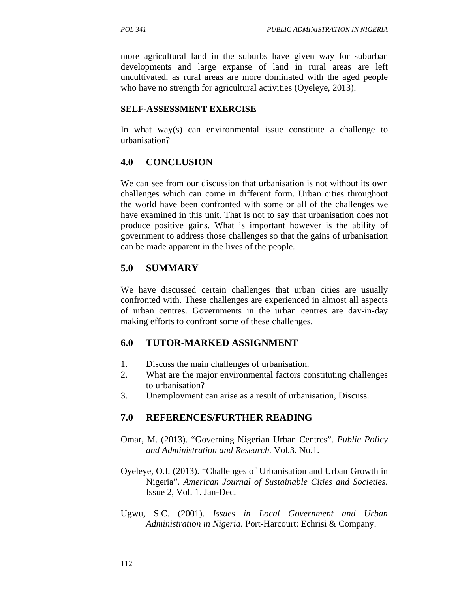more agricultural land in the suburbs have given way for suburban developments and large expanse of land in rural areas are left uncultivated, as rural areas are more dominated with the aged people who have no strength for agricultural activities (Oyeleye, 2013).

#### **SELF-ASSESSMENT EXERCISE**

In what way(s) can environmental issue constitute a challenge to urbanisation?

### **4.0 CONCLUSION**

We can see from our discussion that urbanisation is not without its own challenges which can come in different form. Urban cities throughout the world have been confronted with some or all of the challenges we have examined in this unit. That is not to say that urbanisation does not produce positive gains. What is important however is the ability of government to address those challenges so that the gains of urbanisation can be made apparent in the lives of the people.

## **5.0 SUMMARY**

We have discussed certain challenges that urban cities are usually confronted with. These challenges are experienced in almost all aspects of urban centres. Governments in the urban centres are day-in-day making efforts to confront some of these challenges.

## **6.0 TUTOR-MARKED ASSIGNMENT**

- 1. Discuss the main challenges of urbanisation.
- 2. What are the major environmental factors constituting challenges to urbanisation?
- 3. Unemployment can arise as a result of urbanisation, Discuss.

- Omar, M. (2013). "Governing Nigerian Urban Centres". *Public Policy and Administration and Research.* Vol.3. No.1.
- Oyeleye, O.I. (2013). "Challenges of Urbanisation and Urban Growth in Nigeria". *American Journal of Sustainable Cities and Societies*. Issue 2, Vol. 1. Jan-Dec.
- Ugwu, S.C. (2001). *Issues in Local Government and Urban Administration in Nigeria*. Port-Harcourt: Echrisi & Company.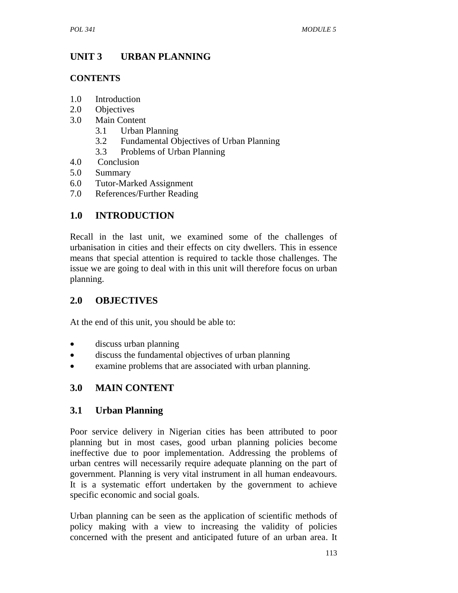# **UNIT 3 URBAN PLANNING**

## **CONTENTS**

- 1.0 Introduction
- 2.0 Objectives
- 3.0 Main Content
	- 3.1 Urban Planning
	- 3.2 Fundamental Objectives of Urban Planning
	- 3.3 Problems of Urban Planning
- 4.0 Conclusion
- 5.0 Summary
- 6.0 Tutor-Marked Assignment
- 7.0 References/Further Reading

# **1.0 INTRODUCTION**

Recall in the last unit, we examined some of the challenges of urbanisation in cities and their effects on city dwellers. This in essence means that special attention is required to tackle those challenges. The issue we are going to deal with in this unit will therefore focus on urban planning.

# **2.0 OBJECTIVES**

At the end of this unit, you should be able to:

- discuss urban planning
- discuss the fundamental objectives of urban planning
- examine problems that are associated with urban planning.

# **3.0 MAIN CONTENT**

# **3.1 Urban Planning**

Poor service delivery in Nigerian cities has been attributed to poor planning but in most cases, good urban planning policies become ineffective due to poor implementation. Addressing the problems of urban centres will necessarily require adequate planning on the part of government. Planning is very vital instrument in all human endeavours. It is a systematic effort undertaken by the government to achieve specific economic and social goals.

Urban planning can be seen as the application of scientific methods of policy making with a view to increasing the validity of policies concerned with the present and anticipated future of an urban area. It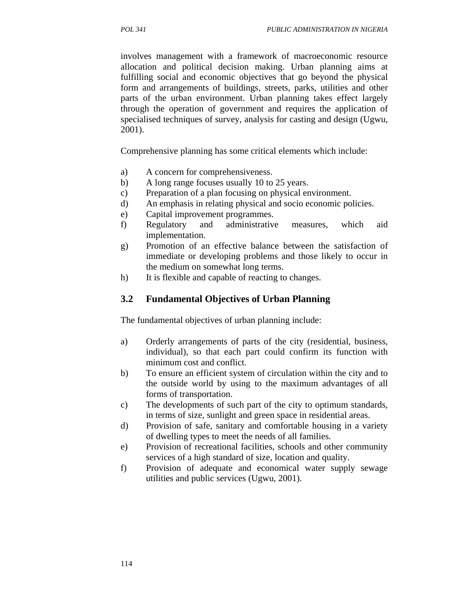involves management with a framework of macroeconomic resource allocation and political decision making. Urban planning aims at fulfilling social and economic objectives that go beyond the physical form and arrangements of buildings, streets, parks, utilities and other parts of the urban environment. Urban planning takes effect largely through the operation of government and requires the application of specialised techniques of survey, analysis for casting and design (Ugwu, 2001).

Comprehensive planning has some critical elements which include:

- a) A concern for comprehensiveness.
- b) A long range focuses usually 10 to 25 years.
- c) Preparation of a plan focusing on physical environment.
- d) An emphasis in relating physical and socio economic policies.
- e) Capital improvement programmes.
- f) Regulatory and administrative measures, which aid implementation.
- g) Promotion of an effective balance between the satisfaction of immediate or developing problems and those likely to occur in the medium on somewhat long terms.
- h) It is flexible and capable of reacting to changes.

#### **3.2 Fundamental Objectives of Urban Planning**

The fundamental objectives of urban planning include:

- a) Orderly arrangements of parts of the city (residential, business, individual), so that each part could confirm its function with minimum cost and conflict.
- b) To ensure an efficient system of circulation within the city and to the outside world by using to the maximum advantages of all forms of transportation.
- c) The developments of such part of the city to optimum standards, in terms of size, sunlight and green space in residential areas.
- d) Provision of safe, sanitary and comfortable housing in a variety of dwelling types to meet the needs of all families.
- e) Provision of recreational facilities, schools and other community services of a high standard of size, location and quality.
- f) Provision of adequate and economical water supply sewage utilities and public services (Ugwu, 2001).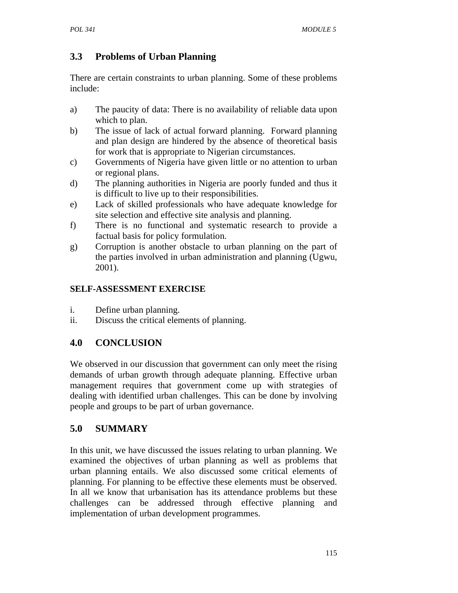# **3.3 Problems of Urban Planning**

There are certain constraints to urban planning. Some of these problems include:

- a) The paucity of data: There is no availability of reliable data upon which to plan.
- b) The issue of lack of actual forward planning. Forward planning and plan design are hindered by the absence of theoretical basis for work that is appropriate to Nigerian circumstances.
- c) Governments of Nigeria have given little or no attention to urban or regional plans.
- d) The planning authorities in Nigeria are poorly funded and thus it is difficult to live up to their responsibilities.
- e) Lack of skilled professionals who have adequate knowledge for site selection and effective site analysis and planning.
- f) There is no functional and systematic research to provide a factual basis for policy formulation.
- g) Corruption is another obstacle to urban planning on the part of the parties involved in urban administration and planning (Ugwu, 2001).

## **SELF-ASSESSMENT EXERCISE**

- i. Define urban planning.
- ii. Discuss the critical elements of planning.

# **4.0 CONCLUSION**

We observed in our discussion that government can only meet the rising demands of urban growth through adequate planning. Effective urban management requires that government come up with strategies of dealing with identified urban challenges. This can be done by involving people and groups to be part of urban governance.

# **5.0 SUMMARY**

In this unit, we have discussed the issues relating to urban planning. We examined the objectives of urban planning as well as problems that urban planning entails. We also discussed some critical elements of planning. For planning to be effective these elements must be observed. In all we know that urbanisation has its attendance problems but these challenges can be addressed through effective planning and implementation of urban development programmes.